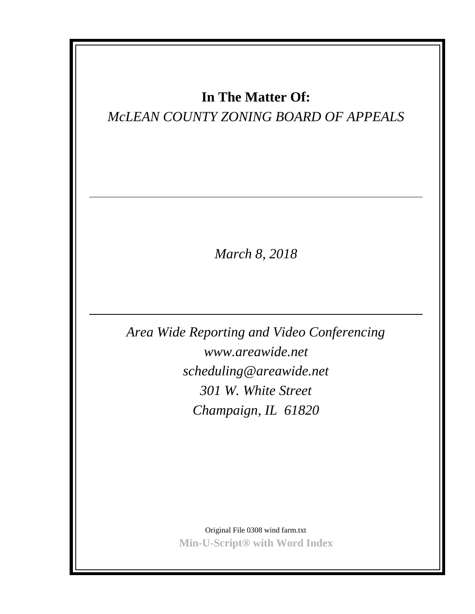# **In The Matter Of:**

# *McLEAN COUNTY ZONING BOARD OF APPEALS*

*March 8, 2018*

*Area Wide Reporting and Video Conferencing www.areawide.net scheduling@areawide.net 301 W. White Street Champaign, IL 61820*

> Original File 0308 wind farm.txt **Min-U-Script® with Word Index**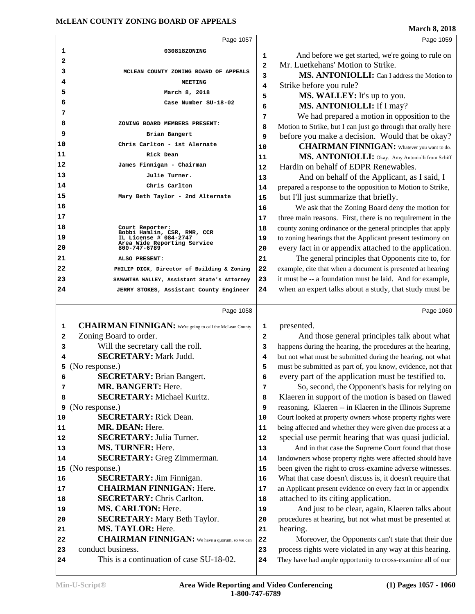This is a continuation of case SU-18-02.

| $(1)$ Pages $1057 - 1060$ |  |
|---------------------------|--|

They have had ample opportunity to cross-examine all of our

|         | Page 1057                                                                                 |                | Page 1059                                                                                              |
|---------|-------------------------------------------------------------------------------------------|----------------|--------------------------------------------------------------------------------------------------------|
| 1       | 030818ZONING                                                                              | 1              | And before we get started, we're going to rule on                                                      |
| 2       |                                                                                           | $\overline{a}$ | Mr. Luetkehans' Motion to Strike.                                                                      |
| 3       | MCLEAN COUNTY ZONING BOARD OF APPEALS                                                     | 3              | MS. ANTONIOLLI: Can I address the Motion to                                                            |
| 4       | <b>MEETING</b>                                                                            | 4              | Strike before you rule?                                                                                |
| 5       | March 8, 2018                                                                             | 5              | MS. WALLEY: It's up to you.                                                                            |
| 6       | Case Number SU-18-02                                                                      | 6              | MS. ANTONIOLLI: If I may?                                                                              |
| 7       |                                                                                           | 7              | We had prepared a motion in opposition to the                                                          |
| 8       | ZONING BOARD MEMBERS PRESENT:                                                             | 8              | Motion to Strike, but I can just go through that orally here                                           |
| 9       | Brian Bangert                                                                             | 9              | before you make a decision. Would that be okay?                                                        |
| 10      | Chris Carlton - 1st Alernate                                                              | 10             | <b>CHAIRMAN FINNIGAN:</b> Whatever you want to do.                                                     |
| 11      | Rick Dean                                                                                 | 11             | MS. ANTONIOLLI: Okay. Amy Antoniolli from Schiff                                                       |
| 12      | James Finnigan - Chairman                                                                 | 12             | Hardin on behalf of EDPR Renewables.                                                                   |
| 13      | Julie Turner.                                                                             | 13             | And on behalf of the Applicant, as I said, I                                                           |
| 14      | Chris Carlton                                                                             | 14             | prepared a response to the opposition to Motion to Strike,                                             |
| 15      | Mary Beth Taylor - 2nd Alternate                                                          | 15             | but I'll just summarize that briefly.                                                                  |
| 16      |                                                                                           | 16             | We ask that the Zoning Board deny the motion for                                                       |
| 17      |                                                                                           | 17             | three main reasons. First, there is no requirement in the                                              |
| 18      | Court Reporter:                                                                           | 18             | county zoning ordinance or the general principles that apply                                           |
| 19      | Bobbi Hamlin, CSR, RMR, CCR<br>IL License # 084-2747                                      | 19             | to zoning hearings that the Applicant present testimony on                                             |
| 20      | Area Wide Reporting Service<br>800-747-6789                                               | 20             | every fact in or appendix attached to the application.                                                 |
| 21      | ALSO PRESENT:                                                                             | 21             | The general principles that Opponents cite to, for                                                     |
| 22      | PHILIP DICK, Director of Building & Zoning                                                | 22             | example, cite that when a document is presented at hearing                                             |
| 23      | SAMANTHA WALLEY, Assistant State's Attorney                                               | 23             | it must be -- a foundation must be laid. And for example,                                              |
| 24      | JERRY STOKES, Assistant County Engineer                                                   | 24             | when an expert talks about a study, that study must be                                                 |
|         | Page 1058                                                                                 |                | Page 1060                                                                                              |
|         |                                                                                           |                |                                                                                                        |
| 1       | <b>CHAIRMAN FINNIGAN:</b> We're going to call the McLean County<br>Zoning Board to order. | 1              | presented.                                                                                             |
| 2       | Will the secretary call the roll.                                                         | $\overline{a}$ | And those general principles talk about what                                                           |
| 3       | <b>SECRETARY: Mark Judd.</b>                                                              | 3              | happens during the hearing, the procedures at the hearing,                                             |
| 4       |                                                                                           | 4              | but not what must be submitted during the hearing, not what                                            |
| 5       | (No response.)<br><b>SECRETARY: Brian Bangert.</b>                                        | 5              | must be submitted as part of, you know, evidence, not that                                             |
| 6       | MR. BANGERT: Here.                                                                        | 6              | every part of the application must be testified to.                                                    |
| 7       | <b>SECRETARY: Michael Kuritz.</b>                                                         | 7              | So, second, the Opponent's basis for relying on<br>Klaeren in support of the motion is based on flawed |
| 8       | (No response.)                                                                            | 8<br>9         | reasoning. Klaeren -- in Klaeren in the Illinois Supreme                                               |
| 9<br>10 | <b>SECRETARY:</b> Rick Dean.                                                              | 10             | Court looked at property owners whose property rights were                                             |
| 11      | MR. DEAN: Here.                                                                           | 11             | being affected and whether they were given due process at a                                            |
| 12      | <b>SECRETARY: Julia Turner.</b>                                                           | 12             | special use permit hearing that was quasi judicial.                                                    |
| 13      | MS. TURNER: Here.                                                                         | 13             | And in that case the Supreme Court found that those                                                    |
| 14      | <b>SECRETARY:</b> Greg Zimmerman.                                                         | 14             | landowners whose property rights were affected should have                                             |
| 15      | (No response.)                                                                            | 15             | been given the right to cross-examine adverse witnesses.                                               |
| 16      | <b>SECRETARY:</b> Jim Finnigan.                                                           | 16             | What that case doesn't discuss is, it doesn't require that                                             |
| 17      | <b>CHAIRMAN FINNIGAN: Here.</b>                                                           | 17             | an Applicant present evidence on every fact in or appendix                                             |
| 18      | <b>SECRETARY: Chris Carlton.</b>                                                          | 18             | attached to its citing application.                                                                    |
| 19      | <b>MS. CARLTON: Here.</b>                                                                 | 19             | And just to be clear, again, Klaeren talks about                                                       |
| 20      | <b>SECRETARY:</b> Mary Beth Taylor.                                                       | 20             | procedures at hearing, but not what must be presented at                                               |
| 21      | MS. TAYLOR: Here.                                                                         | 21             | hearing.                                                                                               |
| 22      | <b>CHAIRMAN FINNIGAN:</b> We have a quorum, so we can                                     | 22             | Moreover, the Opponents can't state that their due                                                     |
| 23      | conduct business.                                                                         | 23             | process rights were violated in any way at this hearing.                                               |
|         |                                                                                           |                |                                                                                                        |

**1-800-747-6789**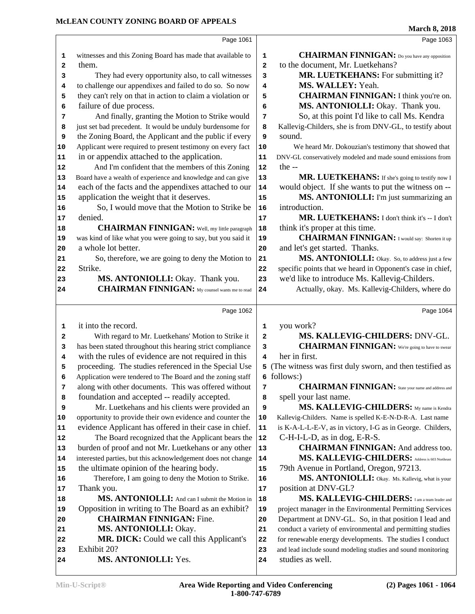|    |                                                              |                         | March $\delta$ , 2018                                        |
|----|--------------------------------------------------------------|-------------------------|--------------------------------------------------------------|
|    | Page 1061                                                    |                         | Page 1063                                                    |
| 1  | witnesses and this Zoning Board has made that available to   | 1                       | <b>CHAIRMAN FINNIGAN:</b> Do you have any opposition         |
| 2  | them.                                                        | $\overline{\mathbf{2}}$ | to the document, Mr. Luetkehans?                             |
| 3  | They had every opportunity also, to call witnesses           | 3                       | MR. LUETKEHANS: For submitting it?                           |
| 4  | to challenge our appendixes and failed to do so. So now      | 4                       | MS. WALLEY: Yeah.                                            |
| 5  | they can't rely on that in action to claim a violation or    | 5                       | <b>CHAIRMAN FINNIGAN:</b> I think you're on.                 |
| 6  | failure of due process.                                      | 6                       | MS. ANTONIOLLI: Okay. Thank you.                             |
| 7  | And finally, granting the Motion to Strike would             | 7                       | So, at this point I'd like to call Ms. Kendra                |
| 8  | just set bad precedent. It would be unduly burdensome for    | 8                       | Kallevig-Childers, she is from DNV-GL, to testify about      |
| 9  | the Zoning Board, the Applicant and the public if every      | 9                       | sound.                                                       |
| 10 | Applicant were required to present testimony on every fact   | 10                      | We heard Mr. Dokouzian's testimony that showed that          |
| 11 | in or appendix attached to the application.                  | 11                      | DNV-GL conservatively modeled and made sound emissions from  |
| 12 | And I'm confident that the members of this Zoning            | 12                      | the $-$                                                      |
| 13 | Board have a wealth of experience and knowledge and can give | 13                      | MR. LUETKEHANS: If she's going to testify now I              |
| 14 | each of the facts and the appendixes attached to our         | 14                      | would object. If she wants to put the witness on --          |
| 15 | application the weight that it deserves.                     | 15                      | MS. ANTONIOLLI: I'm just summarizing an                      |
| 16 | So, I would move that the Motion to Strike be                | 16                      | introduction.                                                |
| 17 | denied.                                                      | 17                      | MR. LUETKEHANS: I don't think it's -- I don't                |
| 18 | <b>CHAIRMAN FINNIGAN:</b> Well, my little paragraph          | 18                      | think it's proper at this time.                              |
| 19 | was kind of like what you were going to say, but you said it | 19                      | <b>CHAIRMAN FINNIGAN:</b> I would say: Shorten it up         |
| 20 | a whole lot better.                                          | 20                      | and let's get started. Thanks.                               |
| 21 | So, therefore, we are going to deny the Motion to            | 21                      | MS. ANTONIOLLI: Okay. So, to address just a few              |
| 22 | Strike.                                                      | 22                      | specific points that we heard in Opponent's case in chief,   |
| 23 | MS. ANTONIOLLI: Okay. Thank you.                             | 23                      | we'd like to introduce Ms. Kallevig-Childers.                |
| 24 | <b>CHAIRMAN FINNIGAN:</b> My counsel wants me to read        | 24                      | Actually, okay. Ms. Kallevig-Childers, where do              |
|    |                                                              |                         |                                                              |
|    | Page 1062                                                    |                         | Page 1064                                                    |
| 1  | it into the record.                                          | 1                       | you work?                                                    |
| 2  | With regard to Mr. Luetkehans' Motion to Strike it           | 2                       | MS. KALLEVIG-CHILDERS: DNV-GL.                               |
| 3  | has been stated throughout this hearing strict compliance    | 3                       | <b>CHAIRMAN FINNIGAN:</b> We're going to have to swear       |
| 4  | with the rules of evidence are not required in this          |                         | her in first.<br>4                                           |
| 5  | proceeding. The studies referenced in the Special Use        |                         | 5 (The witness was first duly sworn, and then testified as   |
| 6  | Application were tendered to The Board and the zoning staff  |                         | $6$ follows:)                                                |
| 7  | along with other documents. This was offered without         | 7                       | <b>CHAIRMAN FINNIGAN:</b> State your name and address and    |
| 8  | foundation and accepted -- readily accepted.                 | 8                       | spell your last name.                                        |
| 9  | Mr. Luetkehans and his clients were provided an              | 9                       | MS. KALLEVIG-CHILDERS: My name is Kendra                     |
| 10 | opportunity to provide their own evidence and counter the    | 10                      | Kallevig-Childers. Name is spelled K-E-N-D-R-A. Last name    |
| 11 | evidence Applicant has offered in their case in chief.       | ${\bf 11}$              | is K-A-L-L-E-V, as in victory, I-G as in George. Childers,   |
| 12 | The Board recognized that the Applicant bears the            | 12                      | C-H-I-L-D, as in dog, E-R-S.                                 |
| 13 | burden of proof and not Mr. Luetkehans or any other          | 13                      | <b>CHAIRMAN FINNIGAN:</b> And address too.                   |
| 14 | interested parties, but this acknowledgement does not change | 14                      | MS. KALLEVIG-CHILDERS: Address is 603 Northeast              |
| 15 | the ultimate opinion of the hearing body.                    | 15                      | 79th Avenue in Portland, Oregon, 97213.                      |
| 16 | Therefore, I am going to deny the Motion to Strike.          | 16                      | MS. ANTONIOLLI: Okay. Ms. Kallevig, what is your             |
| 17 | Thank you.                                                   | $17$                    | position at DNV-GL?                                          |
| 18 | MS. ANTONIOLLI: And can I submit the Motion in               | 18                      | MS. KALLEVIG-CHILDERS: I am a team leader and                |
| 19 | Opposition in writing to The Board as an exhibit?            | 19                      | project manager in the Environmental Permitting Services     |
| 20 | <b>CHAIRMAN FINNIGAN: Fine.</b>                              | 20                      | Department at DNV-GL. So, in that position I lead and        |
| 21 | MS. ANTONIOLLI: Okay.                                        | 21                      | conduct a variety of environmental and permitting studies    |
| 22 | MR. DICK: Could we call this Applicant's                     | 22                      | for renewable energy developments. The studies I conduct     |
| 23 | Exhibit 20?                                                  | 23                      | and lead include sound modeling studies and sound monitoring |
| 24 | MS. ANTONIOLLI: Yes.                                         | 24                      | studies as well.                                             |
|    |                                                              |                         |                                                              |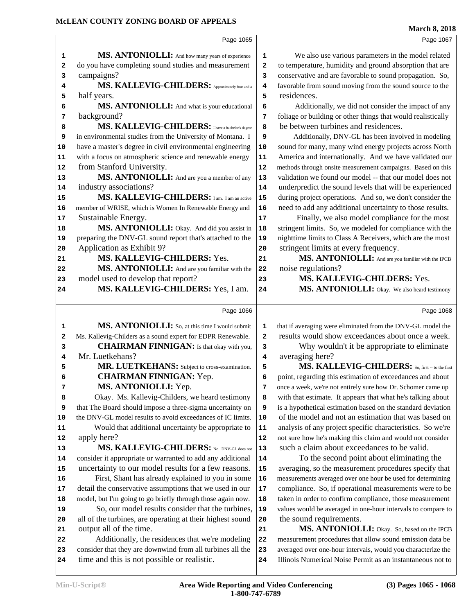|    |                                                             |              | <b>March 8, 2018</b>                                         |
|----|-------------------------------------------------------------|--------------|--------------------------------------------------------------|
|    | Page 1065                                                   |              | Page 1067                                                    |
| 1  | MS. ANTONIOLLI: And how many years of experience            | $\mathbf{1}$ | We also use various parameters in the model related          |
| 2  | do you have completing sound studies and measurement        | $\mathbf{2}$ | to temperature, humidity and ground absorption that are      |
| 3  | campaigns?                                                  | 3            | conservative and are favorable to sound propagation. So,     |
| 4  | MS. KALLEVIG-CHILDERS: Approximately four and a             | 4            | favorable from sound moving from the sound source to the     |
| 5  | half years.                                                 | 5            | residences.                                                  |
| 6  | MS. ANTONIOLLI: And what is your educational                | 6            | Additionally, we did not consider the impact of any          |
| 7  | background?                                                 | 7            | foliage or building or other things that would realistically |
| 8  | MS. KALLEVIG-CHILDERS: I have a bachelor's degree           | 8            | be between turbines and residences.                          |
| 9  | in environmental studies from the University of Montana. I  | 9            | Additionally, DNV-GL has been involved in modeling           |
| 10 | have a master's degree in civil environmental engineering   | 10           | sound for many, many wind energy projects across North       |
| 11 | with a focus on atmospheric science and renewable energy    | 11           | America and internationally. And we have validated our       |
| 12 | from Stanford University.                                   | 12           | methods through onsite measurement campaigns. Based on this  |
| 13 | MS. ANTONIOLLI: And are you a member of any                 | 13           | validation we found our model -- that our model does not     |
| 14 | industry associations?                                      | 14           | underpredict the sound levels that will be experienced       |
| 15 | MS. KALLEVIG-CHILDERS: I am. I am an active                 | 15           | during project operations. And so, we don't consider the     |
| 16 | member of WRISE, which is Women In Renewable Energy and     | 16           | need to add any additional uncertainty to those results.     |
| 17 | Sustainable Energy.                                         | 17           | Finally, we also model compliance for the most               |
| 18 | MS. ANTONIOLLI: Okay. And did you assist in                 | 18           | stringent limits. So, we modeled for compliance with the     |
| 19 | preparing the DNV-GL sound report that's attached to the    | 19           | nighttime limits to Class A Receivers, which are the most    |
| 20 | Application as Exhibit 9?                                   | 20           | stringent limits at every frequency.                         |
| 21 | MS. KALLEVIG-CHILDERS: Yes.                                 | 21           | MS. ANTONIOLLI: And are you familiar with the IPCB           |
| 22 | MS. ANTONIOLLI: And are you familiar with the               | 22           | noise regulations?                                           |
| 23 | model used to develop that report?                          | 23           | MS. KALLEVIG-CHILDERS: Yes.                                  |
| 24 | MS. KALLEVIG-CHILDERS: Yes, I am.                           | 24           | MS. ANTONIOLLI: Okay. We also heard testimony                |
|    | Page 1066                                                   |              | Page 1068                                                    |
| 1  | MS. ANTONIOLLI: So, at this time I would submit             | 1            | that if averaging were eliminated from the DNV-GL model the  |
| 2  | Ms. Kallevig-Childers as a sound expert for EDPR Renewable. | $\mathbf{2}$ | results would show exceedances about once a week.            |
| 3  | <b>CHAIRMAN FINNIGAN:</b> Is that okay with you,            | 3            | Why wouldn't it be appropriate to eliminate                  |
| 4  | Mr. Luetkehans?                                             | 4            | averaging here?                                              |
| 5  | MR. LUETKEHANS: Subject to cross-examination.               | 5            | MS. KALLEVIG-CHILDERS: So, first -- to the first             |
| 6  | <b>CHAIRMAN FINNIGAN: Yep.</b>                              | 6            | point, regarding this estimation of exceedances and about    |
| 7  | MS. ANTONIOLLI: Yep.                                        | 7            | once a week, we're not entirely sure how Dr. Schomer came up |
| 8  | Okay. Ms. Kallevig-Childers, we heard testimony             | 8            | with that estimate. It appears that what he's talking about  |
| 9  | that The Board should impose a three-sigma uncertainty on   | 9            | is a hypothetical estimation based on the standard deviation |
| 10 | the DNV-GL model results to avoid exceedances of IC limits. | ${\bf 10}$   | of the model and not an estimation that was based on         |
| 11 | Would that additional uncertainty be appropriate to         | 11           | analysis of any project specific characteristics. So we're   |
| 12 | apply here?                                                 | 12           | not sure how he's making this claim and would not consider   |
| 13 | MS. KALLEVIG-CHILDERS: No. DNV-GL does not                  | 13           | such a claim about exceedances to be valid.                  |
| 14 | consider it appropriate or warranted to add any additional  | 14           | To the second point about eliminating the                    |
| 15 | uncertainty to our model results for a few reasons.         | 15           | averaging, so the measurement procedures specify that        |
| 16 | First, Shant has already explained to you in some           | 16           | measurements averaged over one hour be used for determining  |
| 17 | detail the conservative assumptions that we used in our     | 17           | compliance. So, if operational measurements were to be       |
| 18 | model, but I'm going to go briefly through those again now. | 18           | taken in order to confirm compliance, those measurement      |
| 19 | So, our model results consider that the turbines,           | 19           | values would be averaged in one-hour intervals to compare to |
| 20 | all of the turbines, are operating at their highest sound   | 20           | the sound requirements.                                      |
| 21 | output all of the time.                                     | 21           | MS. ANTONIOLLI: Okay. So, based on the IPCB                  |
| 22 | Additionally, the residences that we're modeling            | 22           | measurement procedures that allow sound emission data be     |
| 23 | consider that they are downwind from all turbines all the   | 23           | averaged over one-hour intervals, would you characterize the |
| 24 | time and this is not possible or realistic.                 | 24           | Illinois Numerical Noise Permit as an instantaneous not to   |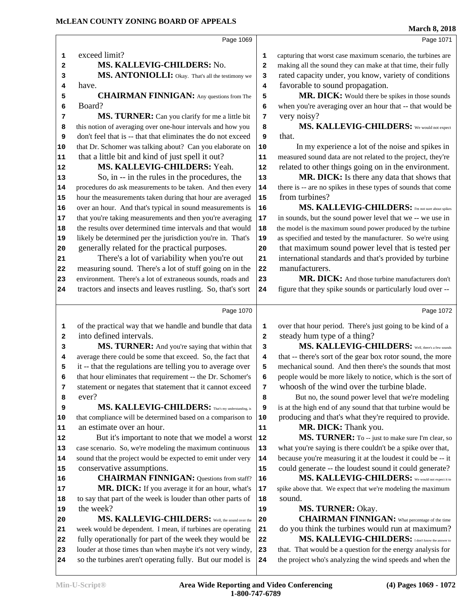**MS. KALLEVIG-CHILDERS:** No.

**MS. ANTONIOLLI:** Okay. That's all the testimony we 3

**CHAIRMAN FINNIGAN:** Any questions from The 5

 **MS. TURNER:** Can you clarify for me a little bit 7 this notion of averaging over one-hour intervals and how you **8** 

exceed limit?

have.

Board?

**(4) Pages 1069 - 1072**

**Min-U-Script® Area Wide Reporting and Video Conferencing**

| don't feel that is -- that that eliminates the do not exceed<br>9 | that.                                                                                                                                                                                                                                                                                                                                                                                                                                                                                                                                                                                                                                              |
|-------------------------------------------------------------------|----------------------------------------------------------------------------------------------------------------------------------------------------------------------------------------------------------------------------------------------------------------------------------------------------------------------------------------------------------------------------------------------------------------------------------------------------------------------------------------------------------------------------------------------------------------------------------------------------------------------------------------------------|
| that Dr. Schomer was talking about? Can you elaborate on<br>10    | In my experience a lot of the noise and spikes                                                                                                                                                                                                                                                                                                                                                                                                                                                                                                                                                                                                     |
| 11                                                                | measured sound data are not related to the project, they                                                                                                                                                                                                                                                                                                                                                                                                                                                                                                                                                                                           |
| 12                                                                | related to other things going on in the environment                                                                                                                                                                                                                                                                                                                                                                                                                                                                                                                                                                                                |
| So, in -- in the rules in the procedures, the<br>13               | MR. DICK: Is there any data that shows the                                                                                                                                                                                                                                                                                                                                                                                                                                                                                                                                                                                                         |
| procedures do ask measurements to be taken. And then every<br>14  | there is -- are no spikes in these types of sounds that co                                                                                                                                                                                                                                                                                                                                                                                                                                                                                                                                                                                         |
| hour the measurements taken during that hour are averaged<br>15   | from turbines?                                                                                                                                                                                                                                                                                                                                                                                                                                                                                                                                                                                                                                     |
| over an hour. And that's typical in sound measurements is<br>16   | MS. KALLEVIG-CHILDERS: I'm not sure about                                                                                                                                                                                                                                                                                                                                                                                                                                                                                                                                                                                                          |
| that you're taking measurements and then you're averaging<br>17   | in sounds, but the sound power level that we -- we use                                                                                                                                                                                                                                                                                                                                                                                                                                                                                                                                                                                             |
| the results over determined time intervals and that would<br>18   | the model is the maximum sound power produced by the turb                                                                                                                                                                                                                                                                                                                                                                                                                                                                                                                                                                                          |
| likely be determined per the jurisdiction you're in. That's<br>19 | as specified and tested by the manufacturer. So we're usi                                                                                                                                                                                                                                                                                                                                                                                                                                                                                                                                                                                          |
| 20                                                                | that maximum sound power level that is tested p                                                                                                                                                                                                                                                                                                                                                                                                                                                                                                                                                                                                    |
| There's a lot of variability when you're out<br>21                | international standards and that's provided by turbi                                                                                                                                                                                                                                                                                                                                                                                                                                                                                                                                                                                               |
| measuring sound. There's a lot of stuff going on in the<br>22     | manufacturers.                                                                                                                                                                                                                                                                                                                                                                                                                                                                                                                                                                                                                                     |
| environment. There's a lot of extraneous sounds, roads and<br>23  | MR. DICK: And those turbine manufacturers do                                                                                                                                                                                                                                                                                                                                                                                                                                                                                                                                                                                                       |
| tractors and insects and leaves rustling. So, that's sort<br>24   | figure that they spike sounds or particularly loud over                                                                                                                                                                                                                                                                                                                                                                                                                                                                                                                                                                                            |
| Page 1070                                                         | Page 1                                                                                                                                                                                                                                                                                                                                                                                                                                                                                                                                                                                                                                             |
|                                                                   | over that hour period. There's just going to be kind of                                                                                                                                                                                                                                                                                                                                                                                                                                                                                                                                                                                            |
|                                                                   | steady hum type of a thing?                                                                                                                                                                                                                                                                                                                                                                                                                                                                                                                                                                                                                        |
|                                                                   | MS. KALLEVIG-CHILDERS: Well, there's a few                                                                                                                                                                                                                                                                                                                                                                                                                                                                                                                                                                                                         |
|                                                                   | that -- there's sort of the gear box rotor sound, the m                                                                                                                                                                                                                                                                                                                                                                                                                                                                                                                                                                                            |
|                                                                   | mechanical sound. And then there's the sounds that m                                                                                                                                                                                                                                                                                                                                                                                                                                                                                                                                                                                               |
|                                                                   | people would be more likely to notice, which is the sor                                                                                                                                                                                                                                                                                                                                                                                                                                                                                                                                                                                            |
|                                                                   | whoosh of the wind over the turbine blade.                                                                                                                                                                                                                                                                                                                                                                                                                                                                                                                                                                                                         |
| 8                                                                 | But no, the sound power level that we're modeli                                                                                                                                                                                                                                                                                                                                                                                                                                                                                                                                                                                                    |
| 9                                                                 | is at the high end of any sound that that turbine would                                                                                                                                                                                                                                                                                                                                                                                                                                                                                                                                                                                            |
|                                                                   | producing and that's what they're required to provid                                                                                                                                                                                                                                                                                                                                                                                                                                                                                                                                                                                               |
| 11                                                                | MR. DICK: Thank you.                                                                                                                                                                                                                                                                                                                                                                                                                                                                                                                                                                                                                               |
| ${\bf 12}$                                                        | MS. TURNER: To -- just to make sure I'm clear                                                                                                                                                                                                                                                                                                                                                                                                                                                                                                                                                                                                      |
| case scenario. So, we're modeling the maximum continuous<br>13    | what you're saying is there couldn't be a spike over th                                                                                                                                                                                                                                                                                                                                                                                                                                                                                                                                                                                            |
| 14                                                                | because you're measuring it at the loudest it could be -                                                                                                                                                                                                                                                                                                                                                                                                                                                                                                                                                                                           |
| 15                                                                | could generate -- the loudest sound it could generat                                                                                                                                                                                                                                                                                                                                                                                                                                                                                                                                                                                               |
| <b>CHAIRMAN FINNIGAN:</b> Questions from staff?<br>16             | MS. KALLEVIG-CHILDERS: We would not expe                                                                                                                                                                                                                                                                                                                                                                                                                                                                                                                                                                                                           |
| MR. DICK: If you average it for an hour, what's<br>17             | spike above that. We expect that we're modeling the maximu                                                                                                                                                                                                                                                                                                                                                                                                                                                                                                                                                                                         |
| to say that part of the week is louder than other parts of<br>18  | sound.                                                                                                                                                                                                                                                                                                                                                                                                                                                                                                                                                                                                                                             |
| 19                                                                | <b>MS. TURNER: Okay.</b>                                                                                                                                                                                                                                                                                                                                                                                                                                                                                                                                                                                                                           |
| MS. KALLEVIG-CHILDERS: Well, the sound over the<br>20             | <b>CHAIRMAN FINNIGAN:</b> What percentage of the                                                                                                                                                                                                                                                                                                                                                                                                                                                                                                                                                                                                   |
|                                                                   |                                                                                                                                                                                                                                                                                                                                                                                                                                                                                                                                                                                                                                                    |
| week would be dependent. I mean, if turbines are operating<br>21  | do you think the turbines would run at maximus                                                                                                                                                                                                                                                                                                                                                                                                                                                                                                                                                                                                     |
| fully operationally for part of the week they would be<br>22      | MS. KALLEVIG-CHILDERS: I don't know the ans                                                                                                                                                                                                                                                                                                                                                                                                                                                                                                                                                                                                        |
| louder at those times than when maybe it's not very windy,<br>23  | that. That would be a question for the energy analysis :                                                                                                                                                                                                                                                                                                                                                                                                                                                                                                                                                                                           |
|                                                                   | of the practical way that we handle and bundle that data<br>1<br>2<br>MS. TURNER: And you're saying that within that<br>з<br>average there could be some that exceed. So, the fact that<br>4<br>it -- that the regulations are telling you to average over<br>5<br>that hour eliminates that requirement -- the Dr. Schomer's<br>6<br>statement or negates that statement that it cannot exceed<br>7<br>MS. KALLEVIG-CHILDERS: That's my understanding, is<br>that compliance will be determined based on a comparison to<br>10<br>But it's important to note that we model a worst<br>sound that the project would be expected to emit under very |

**1-800-747-6789**

Page 1069

 capturing that worst case maximum scenario, the turbines are making all the sound they can make at that time, their fully rated capacity under, you know, variety of conditions favorable to sound propagation.

MR. DICK: Would there be spikes in those sounds when you're averaging over an hour that -- that would be very noisy?

 **MS. KALLEVIG-CHILDERS:** We would not expect

 d spikes in piect, they're vironment.

shows that ds that come

Page 1072

# **Well, there's a few sounds d** the more ds that most is the sort of

re I'm clear, so we see that, **b 14** be -- it **d** generate?

 **MS. KALLEVIG-CHILDERS:** We would not expect it to **he maximum** 

**MS. KALLEVIG-CHILDERS:** I don't know the answer to

analysis for nd when the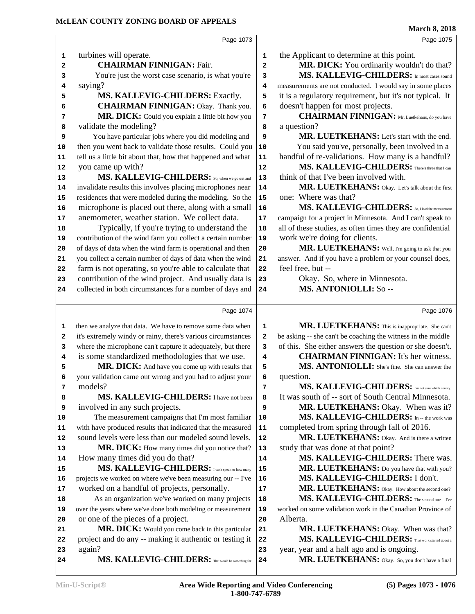| MCLEAN COUNTY ZONING BOARD OF APPEALS                                                                                                                                                                                                                                                                                                                                                                                                                                                                                                                                                                                                                                                                                                                                                                                                                                                                                                                                                                                                                                                                                                                   |                                                                                                                                          | <b>March 8, 2018</b>                                                                                                                                                                                                                                                                                                                                                                                                                                                                                                                                                                                                                                                                                                                                                                                                                                                                                                                                                                                                                      |
|---------------------------------------------------------------------------------------------------------------------------------------------------------------------------------------------------------------------------------------------------------------------------------------------------------------------------------------------------------------------------------------------------------------------------------------------------------------------------------------------------------------------------------------------------------------------------------------------------------------------------------------------------------------------------------------------------------------------------------------------------------------------------------------------------------------------------------------------------------------------------------------------------------------------------------------------------------------------------------------------------------------------------------------------------------------------------------------------------------------------------------------------------------|------------------------------------------------------------------------------------------------------------------------------------------|-------------------------------------------------------------------------------------------------------------------------------------------------------------------------------------------------------------------------------------------------------------------------------------------------------------------------------------------------------------------------------------------------------------------------------------------------------------------------------------------------------------------------------------------------------------------------------------------------------------------------------------------------------------------------------------------------------------------------------------------------------------------------------------------------------------------------------------------------------------------------------------------------------------------------------------------------------------------------------------------------------------------------------------------|
| Page 1073                                                                                                                                                                                                                                                                                                                                                                                                                                                                                                                                                                                                                                                                                                                                                                                                                                                                                                                                                                                                                                                                                                                                               |                                                                                                                                          | Page 1075                                                                                                                                                                                                                                                                                                                                                                                                                                                                                                                                                                                                                                                                                                                                                                                                                                                                                                                                                                                                                                 |
| turbines will operate.<br>1<br><b>CHAIRMAN FINNIGAN: Fair.</b><br>2<br>You're just the worst case scenario, is what you're<br>з<br>saying?<br>4<br>MS. KALLEVIG-CHILDERS: Exactly.<br>5<br><b>CHAIRMAN FINNIGAN:</b> Okay. Thank you.<br>6<br>MR. DICK: Could you explain a little bit how you<br>7<br>validate the modeling?<br>8<br>You have particular jobs where you did modeling and<br>9<br>then you went back to validate those results. Could you<br>10<br>tell us a little bit about that, how that happened and what<br>11<br>you came up with?<br>12<br>MS. KALLEVIG-CHILDERS: So, when we go out and<br>13<br>invalidate results this involves placing microphones near<br>14<br>residences that were modeled during the modeling. So the<br>15<br>microphone is placed out there, along with a small<br>16<br>anemometer, weather station. We collect data.<br>17<br>Typically, if you're trying to understand the<br>18<br>contribution of the wind farm you collect a certain number<br>19<br>of days of data when the wind farm is operational and then<br>20<br>you collect a certain number of days of data when the wind<br>21<br>22 | 1<br>$\overline{a}$<br>3<br>4<br>5<br>6<br>7<br>8<br>9<br>$10$<br>11<br>12<br>13<br>14<br>15<br>16<br>17<br>18<br>19<br>${\bf 20}$<br>21 | the Applicant to determine at this point.<br>MR. DICK: You ordinarily wouldn't do that?<br>MS. KALLEVIG-CHILDERS: In most cases sound<br>measurements are not conducted. I would say in some places<br>it is a regulatory requirement, but it's not typical. It<br>doesn't happen for most projects.<br><b>CHAIRMAN FINNIGAN:</b> Mr. Luetkehans, do you have<br>a question?<br>MR. LUETKEHANS: Let's start with the end.<br>You said you've, personally, been involved in a<br>handful of re-validations. How many is a handful?<br>MS. KALLEVIG-CHILDERS: There's three that I can<br>think of that I've been involved with.<br>MR. LUETKEHANS: Okay. Let's talk about the first<br>one: Where was that?<br>MS. KALLEVIG-CHILDERS: So, I lead the measurement<br>campaign for a project in Minnesota. And I can't speak to<br>all of these studies, as often times they are confidential<br>work we're doing for clients.<br>MR. LUETKEHANS: Well, I'm going to ask that you<br>answer. And if you have a problem or your counsel does, |
| farm is not operating, so you're able to calculate that<br>contribution of the wind project. And usually data is<br>23<br>collected in both circumstances for a number of days and                                                                                                                                                                                                                                                                                                                                                                                                                                                                                                                                                                                                                                                                                                                                                                                                                                                                                                                                                                      | 22<br>23<br>24                                                                                                                           | feel free, but --<br>Okay. So, where in Minnesota.<br>MS. ANTONIOLLI: So --                                                                                                                                                                                                                                                                                                                                                                                                                                                                                                                                                                                                                                                                                                                                                                                                                                                                                                                                                               |
| 24                                                                                                                                                                                                                                                                                                                                                                                                                                                                                                                                                                                                                                                                                                                                                                                                                                                                                                                                                                                                                                                                                                                                                      |                                                                                                                                          |                                                                                                                                                                                                                                                                                                                                                                                                                                                                                                                                                                                                                                                                                                                                                                                                                                                                                                                                                                                                                                           |
| Page 1074                                                                                                                                                                                                                                                                                                                                                                                                                                                                                                                                                                                                                                                                                                                                                                                                                                                                                                                                                                                                                                                                                                                                               |                                                                                                                                          | Page 1076                                                                                                                                                                                                                                                                                                                                                                                                                                                                                                                                                                                                                                                                                                                                                                                                                                                                                                                                                                                                                                 |
| then we analyze that data. We have to remove some data when<br>1<br>it's extremely windy or rainy, there's various circumstances<br>2<br>where the microphone can't capture it adequately, but there<br>3                                                                                                                                                                                                                                                                                                                                                                                                                                                                                                                                                                                                                                                                                                                                                                                                                                                                                                                                               | 1<br>2<br>3                                                                                                                              | MR. LUETKEHANS: This is inappropriate. She can't<br>be asking -- she can't be coaching the witness in the middle<br>of this. She either answers the question or she doesn't.                                                                                                                                                                                                                                                                                                                                                                                                                                                                                                                                                                                                                                                                                                                                                                                                                                                              |
| is some standardized methodologies that we use.<br>4<br><b>MR. DICK:</b> And have you come up with results that<br>5                                                                                                                                                                                                                                                                                                                                                                                                                                                                                                                                                                                                                                                                                                                                                                                                                                                                                                                                                                                                                                    | 4<br>5                                                                                                                                   | <b>CHAIRMAN FINNIGAN:</b> It's her witness.<br>MS. ANTONIOLLI: She's fine. She can answer the                                                                                                                                                                                                                                                                                                                                                                                                                                                                                                                                                                                                                                                                                                                                                                                                                                                                                                                                             |
| your validation came out wrong and you had to adjust your<br>6                                                                                                                                                                                                                                                                                                                                                                                                                                                                                                                                                                                                                                                                                                                                                                                                                                                                                                                                                                                                                                                                                          | 6                                                                                                                                        | question.                                                                                                                                                                                                                                                                                                                                                                                                                                                                                                                                                                                                                                                                                                                                                                                                                                                                                                                                                                                                                                 |
| models?<br>7<br>MS. KALLEVIG-CHILDERS: I have not been<br>8                                                                                                                                                                                                                                                                                                                                                                                                                                                                                                                                                                                                                                                                                                                                                                                                                                                                                                                                                                                                                                                                                             | 7<br>8                                                                                                                                   | MS. KALLEVIG-CHILDERS: Fm not sure which county.<br>It was south of -- sort of South Central Minnesota.                                                                                                                                                                                                                                                                                                                                                                                                                                                                                                                                                                                                                                                                                                                                                                                                                                                                                                                                   |
| involved in any such projects.<br>9<br>The measurement campaigns that I'm most familiar<br>10                                                                                                                                                                                                                                                                                                                                                                                                                                                                                                                                                                                                                                                                                                                                                                                                                                                                                                                                                                                                                                                           | 9<br>10                                                                                                                                  | MR. LUETKEHANS: Okay. When was it?<br>MS. KALLEVIG-CHILDERS: In -- the work was                                                                                                                                                                                                                                                                                                                                                                                                                                                                                                                                                                                                                                                                                                                                                                                                                                                                                                                                                           |
| with have produced results that indicated that the measured<br>11                                                                                                                                                                                                                                                                                                                                                                                                                                                                                                                                                                                                                                                                                                                                                                                                                                                                                                                                                                                                                                                                                       | 11                                                                                                                                       | completed from spring through fall of 2016.                                                                                                                                                                                                                                                                                                                                                                                                                                                                                                                                                                                                                                                                                                                                                                                                                                                                                                                                                                                               |
| sound levels were less than our modeled sound levels.<br>12                                                                                                                                                                                                                                                                                                                                                                                                                                                                                                                                                                                                                                                                                                                                                                                                                                                                                                                                                                                                                                                                                             | 12                                                                                                                                       | MR. LUETKEHANS: Okay. And is there a written                                                                                                                                                                                                                                                                                                                                                                                                                                                                                                                                                                                                                                                                                                                                                                                                                                                                                                                                                                                              |
| MR. DICK: How many times did you notice that?<br>13<br>How many times did you do that?<br>14                                                                                                                                                                                                                                                                                                                                                                                                                                                                                                                                                                                                                                                                                                                                                                                                                                                                                                                                                                                                                                                            | 13<br>14                                                                                                                                 | study that was done at that point?<br>MS. KALLEVIG-CHILDERS: There was.                                                                                                                                                                                                                                                                                                                                                                                                                                                                                                                                                                                                                                                                                                                                                                                                                                                                                                                                                                   |
| MS. KALLEVIG-CHILDERS: I can't speak to how many<br>15                                                                                                                                                                                                                                                                                                                                                                                                                                                                                                                                                                                                                                                                                                                                                                                                                                                                                                                                                                                                                                                                                                  | 15                                                                                                                                       | MR. LUETKEHANS: Do you have that with you?                                                                                                                                                                                                                                                                                                                                                                                                                                                                                                                                                                                                                                                                                                                                                                                                                                                                                                                                                                                                |
| projects we worked on where we've been measuring our -- I've<br>16                                                                                                                                                                                                                                                                                                                                                                                                                                                                                                                                                                                                                                                                                                                                                                                                                                                                                                                                                                                                                                                                                      | 16                                                                                                                                       | MS. KALLEVIG-CHILDERS: I don't.                                                                                                                                                                                                                                                                                                                                                                                                                                                                                                                                                                                                                                                                                                                                                                                                                                                                                                                                                                                                           |
| worked on a handful of projects, personally.<br>17                                                                                                                                                                                                                                                                                                                                                                                                                                                                                                                                                                                                                                                                                                                                                                                                                                                                                                                                                                                                                                                                                                      | 17                                                                                                                                       | MR. LUETKEHANS: Okay. How about the second one?                                                                                                                                                                                                                                                                                                                                                                                                                                                                                                                                                                                                                                                                                                                                                                                                                                                                                                                                                                                           |
| As an organization we've worked on many projects<br>18                                                                                                                                                                                                                                                                                                                                                                                                                                                                                                                                                                                                                                                                                                                                                                                                                                                                                                                                                                                                                                                                                                  | 18                                                                                                                                       | MS. KALLEVIG-CHILDERS: The second one -- I've                                                                                                                                                                                                                                                                                                                                                                                                                                                                                                                                                                                                                                                                                                                                                                                                                                                                                                                                                                                             |
| over the years where we've done both modeling or measurement<br>19                                                                                                                                                                                                                                                                                                                                                                                                                                                                                                                                                                                                                                                                                                                                                                                                                                                                                                                                                                                                                                                                                      | 19                                                                                                                                       | worked on some validation work in the Canadian Province of                                                                                                                                                                                                                                                                                                                                                                                                                                                                                                                                                                                                                                                                                                                                                                                                                                                                                                                                                                                |
| or one of the pieces of a project.<br>20                                                                                                                                                                                                                                                                                                                                                                                                                                                                                                                                                                                                                                                                                                                                                                                                                                                                                                                                                                                                                                                                                                                | 20                                                                                                                                       | Alberta.                                                                                                                                                                                                                                                                                                                                                                                                                                                                                                                                                                                                                                                                                                                                                                                                                                                                                                                                                                                                                                  |
| MR. DICK: Would you come back in this particular<br>21<br>project and do any -- making it authentic or testing it<br>22                                                                                                                                                                                                                                                                                                                                                                                                                                                                                                                                                                                                                                                                                                                                                                                                                                                                                                                                                                                                                                 | 21<br>22                                                                                                                                 | MR. LUETKEHANS: Okay. When was that?<br>MS. KALLEVIG-CHILDERS: That work started about a                                                                                                                                                                                                                                                                                                                                                                                                                                                                                                                                                                                                                                                                                                                                                                                                                                                                                                                                                  |
| again?<br>23                                                                                                                                                                                                                                                                                                                                                                                                                                                                                                                                                                                                                                                                                                                                                                                                                                                                                                                                                                                                                                                                                                                                            | 23                                                                                                                                       | year, year and a half ago and is ongoing.                                                                                                                                                                                                                                                                                                                                                                                                                                                                                                                                                                                                                                                                                                                                                                                                                                                                                                                                                                                                 |
| MS. KALLEVIG-CHILDERS: That would be something for<br>24                                                                                                                                                                                                                                                                                                                                                                                                                                                                                                                                                                                                                                                                                                                                                                                                                                                                                                                                                                                                                                                                                                | 24                                                                                                                                       | MR. LUETKEHANS: Okay. So, you don't have a final                                                                                                                                                                                                                                                                                                                                                                                                                                                                                                                                                                                                                                                                                                                                                                                                                                                                                                                                                                                          |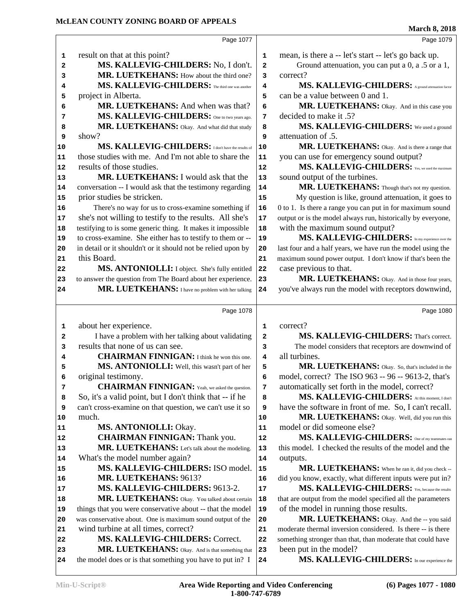|              |                                                                                                                   |                  | <b>March 8, 2018</b>                                                                                   |
|--------------|-------------------------------------------------------------------------------------------------------------------|------------------|--------------------------------------------------------------------------------------------------------|
|              | Page 1077                                                                                                         |                  | Page 1079                                                                                              |
| 1            | result on that at this point?                                                                                     | 1                | mean, is there a -- let's start -- let's go back up.                                                   |
| $\mathbf{2}$ | MS. KALLEVIG-CHILDERS: No, I don't.                                                                               | 2                | Ground attenuation, you can put a $0$ , a .5 or a 1,                                                   |
| 3            | MR. LUETKEHANS: How about the third one?                                                                          | 3                | correct?                                                                                               |
| 4            | MS. KALLEVIG-CHILDERS: The third one was another                                                                  | 4                | MS. KALLEVIG-CHILDERS: A ground attenuation factor                                                     |
| 5            | project in Alberta.                                                                                               | 5                | can be a value between 0 and 1.                                                                        |
| 6            | MR. LUETKEHANS: And when was that?                                                                                | 6                | MR. LUETKEHANS: Okay. And in this case you                                                             |
| 7            | MS. KALLEVIG-CHILDERS: One to two years ago.                                                                      | 7                | decided to make it .5?                                                                                 |
| 8            | MR. LUETKEHANS: Okay. And what did that study                                                                     | 8                | MS. KALLEVIG-CHILDERS: We used a ground                                                                |
| 9            | show?                                                                                                             | 9                | attenuation of .5.                                                                                     |
| 10           | MS. KALLEVIG-CHILDERS: I don't have the results of                                                                | 10               | MR. LUETKEHANS: Okay. And is there a range that                                                        |
| 11           | those studies with me. And I'm not able to share the                                                              | 11               | you can use for emergency sound output?                                                                |
| 12           | results of those studies.                                                                                         | 12               | MS. KALLEVIG-CHILDERS: Yes, we used the maximum                                                        |
| 13           | <b>MR. LUETKEHANS: I would ask that the</b>                                                                       | 13               | sound output of the turbines.                                                                          |
| 14           | conversation -- I would ask that the testimony regarding                                                          | 14               | MR. LUETKEHANS: Though that's not my question.                                                         |
| 15           | prior studies be stricken.                                                                                        | 15               | My question is like, ground attenuation, it goes to                                                    |
| 16           | There's no way for us to cross-examine something if                                                               | 16               | 0 to 1. Is there a range you can put in for maximum sound                                              |
| 17           | she's not willing to testify to the results. All she's                                                            | 17               | output or is the model always run, historically by everyone,                                           |
| 18           | testifying to is some generic thing. It makes it impossible                                                       | 18               | with the maximum sound output?                                                                         |
| 19           | to cross-examine. She either has to testify to them or --                                                         | 19               | MS. KALLEVIG-CHILDERS: In my experience over the                                                       |
| 20           | in detail or it shouldn't or it should not be relied upon by                                                      | 20               | last four and a half years, we have run the model using the                                            |
| 21           | this Board.                                                                                                       | 21               | maximum sound power output. I don't know if that's been the                                            |
| 22           | MS. ANTONIOLLI: I object. She's fully entitled                                                                    | 22               | case previous to that.                                                                                 |
| 23<br>24     | to answer the question from The Board about her experience.<br>MR. LUETKEHANS: I have no problem with her talking | 23<br>24         | MR. LUETKEHANS: Okay. And in those four years,<br>you've always run the model with receptors downwind, |
|              |                                                                                                                   |                  |                                                                                                        |
|              | Page 1078                                                                                                         |                  | Page 1080                                                                                              |
| 1            | about her experience.                                                                                             | 1                | correct?                                                                                               |
| $\mathbf{2}$ | I have a problem with her talking about validating                                                                | 2                | MS. KALLEVIG-CHILDERS: That's correct.                                                                 |
| 3            | results that none of us can see.                                                                                  | 3                | The model considers that receptors are downwind of                                                     |
| 4            | <b>CHAIRMAN FINNIGAN:</b> I think he won this one.                                                                | 4                | all turbines.                                                                                          |
| 5            | MS. ANTONIOLLI: Well, this wasn't part of her                                                                     | 5                | MR. LUETKEHANS: Okay. So, that's included in the                                                       |
| 6            | original testimony.                                                                                               | 6                | model, correct? The ISO 963 -- 96 -- 9613-2, that's                                                    |
| 7            | <b>CHAIRMAN FINNIGAN:</b> Yeah, we asked the question.                                                            | 7                | automatically set forth in the model, correct?                                                         |
| 8            | So, it's a valid point, but I don't think that -- if he                                                           | 8                | MS. KALLEVIG-CHILDERS: At this moment, I don't                                                         |
| 9            | can't cross-examine on that question, we can't use it so                                                          | 9                | have the software in front of me. So, I can't recall.                                                  |
| 10           | much.                                                                                                             | 10               | MR. LUETKEHANS: Okay. Well, did you run this                                                           |
| 11           | MS. ANTONIOLLI: Okay.                                                                                             | 11               | model or did someone else?                                                                             |
| 12           | <b>CHAIRMAN FINNIGAN: Thank you.</b>                                                                              | 12               | MS. KALLEVIG-CHILDERS: One of my teammates ran                                                         |
| 13           | MR. LUETKEHANS: Let's talk about the modeling.                                                                    | 13               | this model. I checked the results of the model and the                                                 |
| 14           | What's the model number again?                                                                                    | 14               | outputs.                                                                                               |
| 15           | MS. KALLEVIG-CHILDERS: ISO model.                                                                                 | 15               | MR. LUETKEHANS: When he ran it, did you check --                                                       |
| 16           | MR. LUETKEHANS: 9613?                                                                                             | 16               | did you know, exactly, what different inputs were put in?                                              |
| 17           | MS. KALLEVIG-CHILDERS: 9613-2.                                                                                    | 17               | MS. KALLEVIG-CHILDERS: Yes, because the results                                                        |
| 18           | MR. LUETKEHANS: Okay. You talked about certain                                                                    | 18               | that are output from the model specified all the parameters                                            |
| 19           | things that you were conservative about -- that the model                                                         | 19               | of the model in running those results.                                                                 |
| 20           | was conservative about. One is maximum sound output of the                                                        | 20               | MR. LUETKEHANS: Okay. And the -- you said                                                              |
|              |                                                                                                                   |                  |                                                                                                        |
| 21           | wind turbine at all times, correct?                                                                               | 21               | moderate thermal inversion considered. Is there -- is there                                            |
| 22           | MS. KALLEVIG-CHILDERS: Correct.                                                                                   | 22               | something stronger than that, than moderate that could have                                            |
| 23<br>24     | MR. LUETKEHANS: Okay. And is that something that<br>the model does or is that something you have to put in? I     | 23<br>${\bf 24}$ | been put in the model?<br>MS. KALLEVIG-CHILDERS: In our experience the                                 |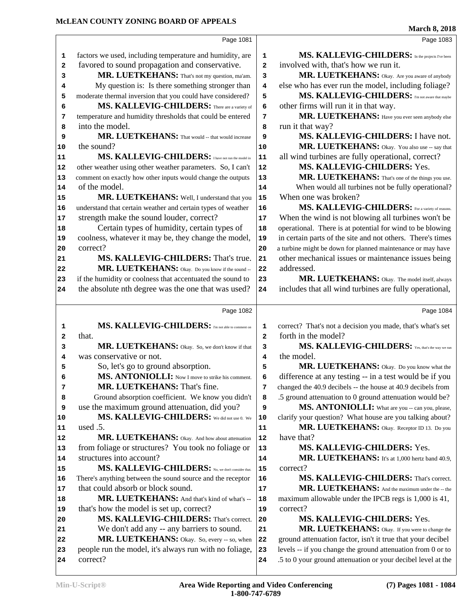|                                                                | Page 1081                                                    |              | Page 1083                                                                                                                                                                                                                                                                                                                                                                  |
|----------------------------------------------------------------|--------------------------------------------------------------|--------------|----------------------------------------------------------------------------------------------------------------------------------------------------------------------------------------------------------------------------------------------------------------------------------------------------------------------------------------------------------------------------|
| 1                                                              | factors we used, including temperature and humidity, are     | 1            | MS. KALLEVIG-CHILDERS: In the projects I've been                                                                                                                                                                                                                                                                                                                           |
| $\mathbf{2}$                                                   | favored to sound propagation and conservative.               | 2            | involved with, that's how we run it.                                                                                                                                                                                                                                                                                                                                       |
| 3                                                              | MR. LUETKEHANS: That's not my question, ma'am.               | 3            | MR. LUETKEHANS: Okay. Are you aware of anybody                                                                                                                                                                                                                                                                                                                             |
| 4                                                              | My question is: Is there something stronger than             | 4            | else who has ever run the model, including foliage?                                                                                                                                                                                                                                                                                                                        |
| 5                                                              | moderate thermal inversion that you could have considered?   | 5            | MS. KALLEVIG-CHILDERS: I'm not aware that maybe                                                                                                                                                                                                                                                                                                                            |
| 6                                                              | MS. KALLEVIG-CHILDERS: There are a variety of                | 6            | other firms will run it in that way.                                                                                                                                                                                                                                                                                                                                       |
| 7                                                              | temperature and humidity thresholds that could be entered    | 7            | MR. LUETKEHANS: Have you ever seen anybody else                                                                                                                                                                                                                                                                                                                            |
| 8                                                              | into the model.                                              | 8            | run it that way?                                                                                                                                                                                                                                                                                                                                                           |
| 9                                                              | MR. LUETKEHANS: That would -- that would increase            | 9            | MS. KALLEVIG-CHILDERS: I have not.                                                                                                                                                                                                                                                                                                                                         |
| 10                                                             | the sound?                                                   | $10$         | MR. LUETKEHANS: Okay. You also use -- say that                                                                                                                                                                                                                                                                                                                             |
| 11                                                             | MS. KALLEVIG-CHILDERS: I have not run the model in           | ${\bf 11}$   | all wind turbines are fully operational, correct?                                                                                                                                                                                                                                                                                                                          |
| 12                                                             | other weather using other weather parameters. So, I can't    | 12           | MS. KALLEVIG-CHILDERS: Yes.                                                                                                                                                                                                                                                                                                                                                |
| 13                                                             | comment on exactly how other inputs would change the outputs | 13           | MR. LUETKEHANS: That's one of the things you use.                                                                                                                                                                                                                                                                                                                          |
| 14                                                             | of the model.                                                | 14           | When would all turbines not be fully operational?                                                                                                                                                                                                                                                                                                                          |
| 15                                                             | MR. LUETKEHANS: Well, I understand that you                  | 15           | When one was broken?                                                                                                                                                                                                                                                                                                                                                       |
| 16                                                             | understand that certain weather and certain types of weather | 16           | MS. KALLEVIG-CHILDERS: For a variety of reasons.                                                                                                                                                                                                                                                                                                                           |
| 17                                                             | strength make the sound louder, correct?                     | 17           | When the wind is not blowing all turbines won't be                                                                                                                                                                                                                                                                                                                         |
| 18                                                             | Certain types of humidity, certain types of                  | 18           | operational. There is at potential for wind to be blowing                                                                                                                                                                                                                                                                                                                  |
| 19                                                             | coolness, whatever it may be, they change the model,         | 19           | in certain parts of the site and not others. There's times                                                                                                                                                                                                                                                                                                                 |
| 20                                                             | correct?                                                     | 20           | a turbine might be down for planned maintenance or may have                                                                                                                                                                                                                                                                                                                |
| 21                                                             | MS. KALLEVIG-CHILDERS: That's true.                          | 21           | other mechanical issues or maintenance issues being                                                                                                                                                                                                                                                                                                                        |
| 22                                                             | MR. LUETKEHANS: Okay. Do you know if the sound --            | 22           | addressed.                                                                                                                                                                                                                                                                                                                                                                 |
| 23                                                             | if the humidity or coolness that accentuated the sound to    | 23           | MR. LUETKEHANS: Okay. The model itself, always                                                                                                                                                                                                                                                                                                                             |
| 24                                                             | the absolute nth degree was the one that was used?           | 24           | includes that all wind turbines are fully operational,                                                                                                                                                                                                                                                                                                                     |
|                                                                |                                                              |              |                                                                                                                                                                                                                                                                                                                                                                            |
|                                                                |                                                              |              |                                                                                                                                                                                                                                                                                                                                                                            |
|                                                                | Page 1082                                                    |              |                                                                                                                                                                                                                                                                                                                                                                            |
| 1                                                              | MS. KALLEVIG-CHILDERS: Fin not able to comment on            | 1            | Page 1084<br>correct? That's not a decision you made, that's what's set                                                                                                                                                                                                                                                                                                    |
| 2                                                              | that.                                                        | $\mathbf{2}$ | forth in the model?                                                                                                                                                                                                                                                                                                                                                        |
| 3                                                              | MR. LUETKEHANS: Okay. So, we don't know if that              | 3            |                                                                                                                                                                                                                                                                                                                                                                            |
| 4                                                              | was conservative or not.                                     | 4            | the model.                                                                                                                                                                                                                                                                                                                                                                 |
| 5                                                              | So, let's go to ground absorption.                           | 5            |                                                                                                                                                                                                                                                                                                                                                                            |
| 6                                                              | MS. ANTONIOLLI: Now I move to strike his comment.            | 6            |                                                                                                                                                                                                                                                                                                                                                                            |
| 7                                                              | <b>MR. LUETKEHANS: That's fine.</b>                          | 7            | changed the 40.9 decibels -- the house at 40.9 decibels from                                                                                                                                                                                                                                                                                                               |
| 8                                                              | Ground absorption coefficient. We know you didn't            | 8            | .5 ground attenuation to 0 ground attenuation would be?                                                                                                                                                                                                                                                                                                                    |
| 9                                                              | use the maximum ground attenuation, did you?                 | 9            | MS. KALLEVIG-CHILDERS: Yes, that's the way we run<br>MR. LUETKEHANS: Okay. Do you know what the<br>difference at any testing -- in a test would be if you<br>MS. ANTONIOLLI: What are you -- can you, please,                                                                                                                                                              |
|                                                                | MS. KALLEVIG-CHILDERS: We did not use 0. We                  | 10           |                                                                                                                                                                                                                                                                                                                                                                            |
|                                                                | used .5.                                                     | 11           |                                                                                                                                                                                                                                                                                                                                                                            |
|                                                                | MR. LUETKEHANS: Okay. And how about attenuation              | 12           | have that?                                                                                                                                                                                                                                                                                                                                                                 |
|                                                                | from foliage or structures? You took no foliage or           | 13           | MS. KALLEVIG-CHILDERS: Yes.                                                                                                                                                                                                                                                                                                                                                |
|                                                                | structures into account?                                     | 14           |                                                                                                                                                                                                                                                                                                                                                                            |
|                                                                | MS. KALLEVIG-CHILDERS: No. we don't consider that.           | 15           | correct?                                                                                                                                                                                                                                                                                                                                                                   |
|                                                                | There's anything between the sound source and the receptor   | 16           |                                                                                                                                                                                                                                                                                                                                                                            |
|                                                                | that could absorb or block sound.                            | 17           |                                                                                                                                                                                                                                                                                                                                                                            |
|                                                                | MR. LUETKEHANS: And that's kind of what's --                 | 18           | maximum allowable under the IPCB regs is 1,000 is 41,                                                                                                                                                                                                                                                                                                                      |
|                                                                | that's how the model is set up, correct?                     | 19           | correct?                                                                                                                                                                                                                                                                                                                                                                   |
| 10<br>11<br>12<br>13<br>14<br>15<br>16<br>17<br>18<br>19<br>20 | MS. KALLEVIG-CHILDERS: That's correct.                       | 20           | MS. KALLEVIG-CHILDERS: Yes.                                                                                                                                                                                                                                                                                                                                                |
| 21                                                             | We don't add any -- any barriers to sound.                   | 21           |                                                                                                                                                                                                                                                                                                                                                                            |
| 22                                                             | MR. LUETKEHANS: Okay. So, every -- so, when                  | 22           | ground attenuation factor, isn't it true that your decibel                                                                                                                                                                                                                                                                                                                 |
| 23                                                             | people run the model, it's always run with no foliage,       | 23           | clarify your question? What house are you talking about?<br>MR. LUETKEHANS: Okay. Receptor ID 13. Do you<br>MR. LUETKEHANS: It's at 1,000 hertz band 40.9,<br>MS. KALLEVIG-CHILDERS: That's correct.<br>MR. LUETKEHANS: And the maximum under the -- the<br>MR. LUETKEHANS: Okay. If you were to change the<br>levels -- if you change the ground attenuation from 0 or to |
| 24                                                             | correct?                                                     | 24           | .5 to 0 your ground attenuation or your decibel level at the                                                                                                                                                                                                                                                                                                               |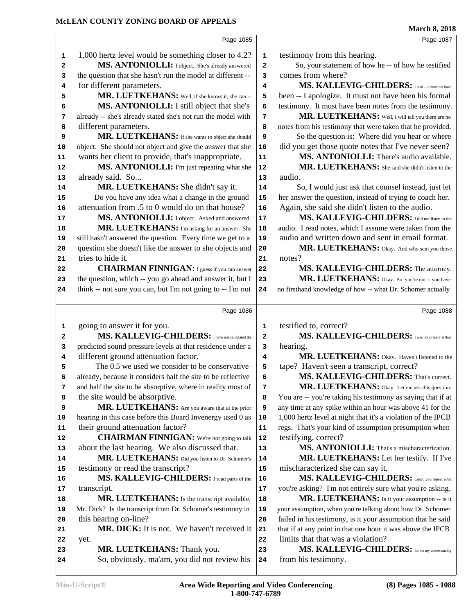|    |                                                              |      | March 8, 2018                                                |
|----|--------------------------------------------------------------|------|--------------------------------------------------------------|
|    | Page 1085                                                    |      | Page 1087                                                    |
| 1  | 1,000 hertz level would be something closer to 4.2?          | 1    | testimony from this hearing.                                 |
| 2  | MS. ANTONIOLLI: I object. She's already answered             | 2    | So, your statement of how he -- of how he testified          |
| з  | the question that she hasn't run the model at different --   | 3    | comes from where?                                            |
| 4  | for different parameters.                                    | 4    | MS. KALLEVIG-CHILDERS: I read -- it must not have            |
| 5  | MR. LUETKEHANS: Well, if she knows it, she can --            | 5    | been -- I apologize. It must not have been his formal        |
| 6  | MS. ANTONIOLLI: I still object that she's                    | 6    | testimony. It must have been notes from the testimony.       |
| 7  | already -- she's already stated she's not run the model with | 7    | MR. LUETKEHANS: Well, I will tell you there are no           |
| 8  | different parameters.                                        | 8    | notes from his testimony that were taken that he provided.   |
| 9  | MR. LUETKEHANS: If she wants to object she should            | 9    | So the question is: Where did you hear or where              |
| 10 | object. She should not object and give the answer that she   | 10   | did you get those quote notes that I've never seen?          |
| 11 | wants her client to provide, that's inappropriate.           | 11   | MS. ANTONIOLLI: There's audio available.                     |
| 12 | MS. ANTONIOLLI: I'm just repeating what she                  | 12   | MR. LUETKEHANS: She said she didn't listen to the            |
| 13 | already said. So                                             | 13   | audio.                                                       |
| 14 | MR. LUETKEHANS: She didn't say it.                           | 14   | So, I would just ask that counsel instead, just let          |
| 15 | Do you have any idea what a change in the ground             | 15   | her answer the question, instead of trying to coach her.     |
| 16 | attenuation from .5 to 0 would do on that house?             | 16   | Again, she said she didn't listen to the audio.              |
| 17 | MS. ANTONIOLLI: I object. Asked and answered.                | 17   | MS. KALLEVIG-CHILDERS: I did not listen to the               |
| 18 | MR. LUETKEHANS: I'm asking for an answer. She                | 18   | audio. I read notes, which I assume were taken from the      |
| 19 | still hasn't answered the question. Every time we get to a   | 19   | audio and written down and sent in email format.             |
| 20 | question she doesn't like the answer to she objects and      | 20   | MR. LUETKEHANS: Okay. And who sent you those                 |
| 21 | tries to hide it.                                            | 21   | notes?                                                       |
| 22 | <b>CHAIRMAN FINNIGAN:</b> I guess if you can answer          | 22   | MS. KALLEVIG-CHILDERS: The attorney.                         |
| 23 | the question, which -- you go ahead and answer it, but I     | 23   | MR. LUETKEHANS: Okay. So, you're not -- you have             |
| 24 | think -- not sure you can, but I'm not going to -- I'm not   | 24   | no firsthand knowledge of how -- what Dr. Schomer actually   |
|    |                                                              |      |                                                              |
|    | Page 1086                                                    |      | Page 1088                                                    |
| 1  | going to answer it for you.                                  | 1    | testified to, correct?                                       |
| 2  | MS. KALLEVIG-CHILDERS: I have not calculated the             | 2    | MS. KALLEVIG-CHILDERS: I was not present at that             |
| 3  | predicted sound pressure levels at that residence under a    | 3    | hearing.                                                     |
| 4  | different ground attenuation factor.                         | 4    | MR. LUETKEHANS: Okay. Haven't listened to the                |
| 5  | The 0.5 we used we consider to be conservative               | 5    | tape? Haven't seen a transcript, correct?                    |
| 6  | already, because it considers half the site to be reflective | 6    | MS. KALLEVIG-CHILDERS: That's correct.                       |
| 7  | and half the site to be absorptive, where in reality most of | 7    | MR. LUETKEHANS: Okay. Let me ask this question:              |
| 8  | the site would be absorptive.                                | 8    | You are -- you're taking his testimony as saying that if at  |
| 9  | MR. LUETKEHANS: Are you aware that at the prior              | 9    | any time at any spike within an hour was above 41 for the    |
| 10 | hearing in this case before this Board Invenergy used 0 as   | 10   | 1,000 hertz level at night that it's a violation of the IPCB |
| 11 | their ground attenuation factor?                             | 11   | regs. That's your kind of assumption presumption when        |
| 12 | <b>CHAIRMAN FINNIGAN:</b> We're not going to talk            | 12   | testifying, correct?                                         |
| 13 | about the last hearing. We also discussed that.              | 13   | MS. ANTONIOLLI: That's a mischaracterization.                |
| 14 | MR. LUETKEHANS: Did you listen to Dr. Schomer's              | 14   | MR. LUETKEHANS: Let her testify. If I've                     |
| 15 | testimony or read the transcript?                            | 15   | mischaracterized she can say it.                             |
| 16 | MS. KALLEVIG-CHILDERS: I read parts of the                   | 16   | MS. KALLEVIG-CHILDERS: Could you repeat what                 |
| 17 | transcript.                                                  | $17$ | you're asking? I'm not entirely sure what you're asking.     |
| 18 | MR. LUETKEHANS: Is the transcript available,                 | 18   | MR. LUETKEHANS: Is it your assumption -- is it               |
| 19 | Mr. Dick? Is the transcript from Dr. Schomer's testimony in  | 19   | your assumption, when you're talking about how Dr. Schomer   |
| 20 | this hearing on-line?                                        | 20   | failed in his testimony, is it your assumption that he said  |
| 21 | MR. DICK: It is not. We haven't received it                  | 21   | that if at any point in that one hour it was above the IPCB  |
| 22 | yet.                                                         | 22   | limits that that was a violation?                            |
| 23 | MR. LUETKEHANS: Thank you.                                   | 23   | MS. KALLEVIG-CHILDERS: It's not my understanding             |
|    |                                                              |      |                                                              |
| 24 | So, obviously, ma'am, you did not review his                 | 24   | from his testimony.                                          |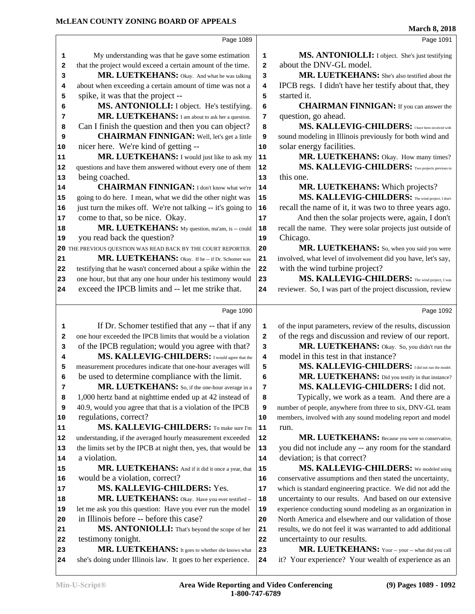|          | Page 1089                                                                                                       |                  | Page 1091                                                                                                 |
|----------|-----------------------------------------------------------------------------------------------------------------|------------------|-----------------------------------------------------------------------------------------------------------|
| 1        | My understanding was that he gave some estimation                                                               | $\mathbf 1$      | MS. ANTONIOLLI: I object. She's just testifying                                                           |
| 2        | that the project would exceed a certain amount of the time.                                                     | 2                | about the DNV-GL model.                                                                                   |
| 3        | MR. LUETKEHANS: Okay. And what he was talking                                                                   | 3                | MR. LUETKEHANS: She's also testified about the                                                            |
| 4        | about when exceeding a certain amount of time was not a                                                         | 4                | IPCB regs. I didn't have her testify about that, they                                                     |
| 5        | spike, it was that the project --                                                                               | 5                | started it.                                                                                               |
| 6        | MS. ANTONIOLLI: I object. He's testifying.                                                                      | 6                | <b>CHAIRMAN FINNIGAN:</b> If you can answer the                                                           |
| 7        | MR. LUETKEHANS: I am about to ask her a question.                                                               | 7                | question, go ahead.                                                                                       |
| 8        | Can I finish the question and then you can object?                                                              | 8                | MS. KALLEVIG-CHILDERS: I have been involved with                                                          |
| 9        | <b>CHAIRMAN FINNIGAN:</b> Well, let's get a little                                                              | 9                | sound modeling in Illinois previously for both wind and                                                   |
| 10       | nicer here. We're kind of getting --                                                                            | $10$             | solar energy facilities.                                                                                  |
| 11       | MR. LUETKEHANS: I would just like to ask my                                                                     | 11               | MR. LUETKEHANS: Okay. How many times?                                                                     |
| 12       | questions and have them answered without every one of them                                                      | 12               | MS. KALLEVIG-CHILDERS: TWO projects previous to                                                           |
| 13       | being coached.                                                                                                  | 13               | this one.                                                                                                 |
| 14       | <b>CHAIRMAN FINNIGAN:</b> I don't know what we're                                                               | 14               | MR. LUETKEHANS: Which projects?                                                                           |
| 15       | going to do here. I mean, what we did the other night was                                                       | 15               | MS. KALLEVIG-CHILDERS: The wind project, I don't                                                          |
| 16       | just turn the mikes off. We're not talking -- it's going to                                                     | 16               | recall the name of it, it was two to three years ago.                                                     |
| 17       | come to that, so be nice. Okay.                                                                                 | 17               | And then the solar projects were, again, I don't                                                          |
| 18       | MR. LUETKEHANS: My question, ma'am, is -- could                                                                 | 18               | recall the name. They were solar projects just outside of                                                 |
| 19       | you read back the question?                                                                                     | 19               | Chicago.                                                                                                  |
|          | 20 THE PREVIOUS QUESTION WAS READ BACK BY THE COURT REPORTER.                                                   | 20               | MR. LUETKEHANS: So, when you said you were                                                                |
| 21       | MR. LUETKEHANS: Okay. If he -- if Dr. Schomer was                                                               | 21               | involved, what level of involvement did you have, let's say,                                              |
| 22       | testifying that he wasn't concerned about a spike within the                                                    | 22               | with the wind turbine project?                                                                            |
| 23       | one hour, but that any one hour under his testimony would                                                       | 23               | MS. KALLEVIG-CHILDERS: The wind project, I was                                                            |
| 24       | exceed the IPCB limits and -- let me strike that.                                                               | 24               | reviewer. So, I was part of the project discussion, review                                                |
|          |                                                                                                                 |                  |                                                                                                           |
|          |                                                                                                                 |                  |                                                                                                           |
|          | Page 1090                                                                                                       |                  | Page 1092                                                                                                 |
| 1        | If Dr. Schomer testified that any -- that if any                                                                | 1                | of the input parameters, review of the results, discussion                                                |
| 2        | one hour exceeded the IPCB limits that would be a violation                                                     | $\mathbf{2}$     | of the regs and discussion and review of our report.                                                      |
| 3        | of the IPCB regulation; would you agree with that?                                                              | 3                | MR. LUETKEHANS: Okay. So, you didn't run the                                                              |
| 4        | MS. KALLEVIG-CHILDERS: I would agree that the                                                                   | 4                | model in this test in that instance?                                                                      |
| 5        | measurement procedures indicate that one-hour averages will                                                     | 5                | MS. KALLEVIG-CHILDERS: I did not run the model.                                                           |
| 6        | be used to determine compliance with the limit.                                                                 | 6                | MR. LUETKEHANS: Did you testify in that instance?                                                         |
| 7        | MR. LUETKEHANS: So, if the one-hour average in a                                                                | 7                | MS. KALLEVIG-CHILDERS: I did not.                                                                         |
| 8        | 1,000 hertz band at nighttime ended up at 42 instead of                                                         | 8                | Typically, we work as a team. And there are a                                                             |
| 9        | 40.9, would you agree that that is a violation of the IPCB                                                      | 9                | number of people, anywhere from three to six, DNV-GL team                                                 |
| 10       | regulations, correct?                                                                                           | 10               | members, involved with any sound modeling report and model                                                |
| 11       | MS. KALLEVIG-CHILDERS: To make sure I'm                                                                         | ${\bf 11}$       | run.                                                                                                      |
| 12       | understanding, if the averaged hourly measurement exceeded                                                      | 12               | MR. LUETKEHANS: Because you were so conservative,                                                         |
| 13       | the limits set by the IPCB at night then, yes, that would be                                                    | 13               | you did not include any -- any room for the standard                                                      |
| 14       | a violation.                                                                                                    | 14               | deviation; is that correct?                                                                               |
| 15       | MR. LUETKEHANS: And if it did it once a year, that                                                              | 15               | MS. KALLEVIG-CHILDERS: We modeled using                                                                   |
| 16       | would be a violation, correct?                                                                                  | 16               | conservative assumptions and then stated the uncertainty,                                                 |
| 17       | MS. KALLEVIG-CHILDERS: Yes.                                                                                     | 17               | which is standard engineering practice. We did not add the                                                |
| 18       | MR. LUETKEHANS: Okay. Have you ever testified --                                                                | 18               | uncertainty to our results. And based on our extensive                                                    |
| 19       | let me ask you this question: Have you ever run the model                                                       | 19               | experience conducting sound modeling as an organization in                                                |
| 20       | in Illinois before -- before this case?                                                                         | 20               | North America and elsewhere and our validation of those                                                   |
| 21       | MS. ANTONIOLLI: That's beyond the scope of her                                                                  | 21               | results, we do not feel it was warranted to add additional                                                |
| 22       | testimony tonight.                                                                                              | 22               | uncertainty to our results.                                                                               |
| 23<br>24 | MR. LUETKEHANS: It goes to whether she knows what<br>she's doing under Illinois law. It goes to her experience. | 23<br>${\bf 24}$ | MR. LUETKEHANS: Your -- your -- what did you call<br>it? Your experience? Your wealth of experience as an |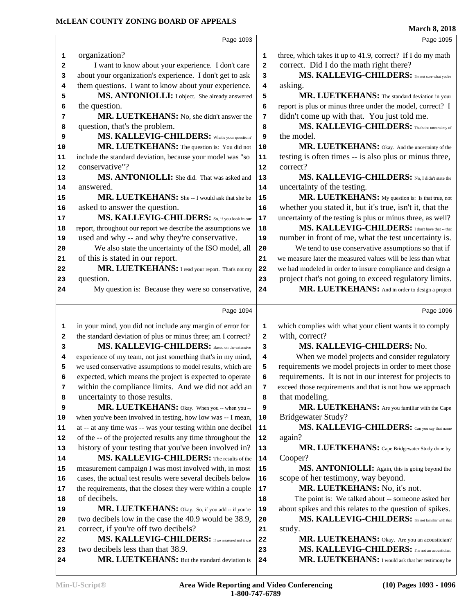|        | Page 1093                                                                                                                 |                              | Page 1095                                                                                                 |
|--------|---------------------------------------------------------------------------------------------------------------------------|------------------------------|-----------------------------------------------------------------------------------------------------------|
| 1      | organization?                                                                                                             | 1                            | three, which takes it up to 41.9, correct? If I do my math                                                |
| 2      | I want to know about your experience. I don't care                                                                        | $\overline{\mathbf{2}}$      | correct. Did I do the math right there?                                                                   |
| 3      | about your organization's experience. I don't get to ask                                                                  | 3                            | MS. KALLEVIG-CHILDERS: I'm not sure what you're                                                           |
| 4      | them questions. I want to know about your experience.                                                                     | 4                            | asking.                                                                                                   |
| 5      | MS. ANTONIOLLI: I object. She already answered                                                                            | 5                            | MR. LUETKEHANS: The standard deviation in your                                                            |
| 6      | the question.                                                                                                             | 6                            | report is plus or minus three under the model, correct? I                                                 |
| 7      | MR. LUETKEHANS: No, she didn't answer the                                                                                 | 7                            | didn't come up with that. You just told me.                                                               |
| 8      | question, that's the problem.                                                                                             | 8                            | MS. KALLEVIG-CHILDERS: That's the uncertainty of                                                          |
| 9      | MS. KALLEVIG-CHILDERS: What's your question?                                                                              | 9                            | the model.                                                                                                |
| 10     | MR. LUETKEHANS: The question is: You did not                                                                              | 10                           | MR. LUETKEHANS: Okay. And the uncertainty of the                                                          |
| 11     | include the standard deviation, because your model was "so                                                                | 11                           | testing is often times -- is also plus or minus three,                                                    |
| 12     | conservative"?                                                                                                            | 12                           | correct?                                                                                                  |
| 13     | MS. ANTONIOLLI: She did. That was asked and                                                                               | 13                           | MS. KALLEVIG-CHILDERS: No, I didn't state the                                                             |
| 14     | answered.                                                                                                                 | 14                           | uncertainty of the testing.                                                                               |
| 15     | MR. LUETKEHANS: She--I would ask that she be                                                                              | 15                           | MR. LUETKEHANS: My question is: Is that true, not                                                         |
| 16     | asked to answer the question.                                                                                             | 16                           | whether you stated it, but it's true, isn't it, that the                                                  |
| 17     | MS. KALLEVIG-CHILDERS: So, if you look in our                                                                             | 17                           | uncertainty of the testing is plus or minus three, as well?                                               |
| 18     | report, throughout our report we describe the assumptions we                                                              | 18                           | MS. KALLEVIG-CHILDERS: I don't have that -- that                                                          |
| 19     | used and why -- and why they're conservative.                                                                             | 19                           | number in front of me, what the test uncertainty is.                                                      |
| 20     | We also state the uncertainty of the ISO model, all                                                                       | 20                           | We tend to use conservative assumptions so that if                                                        |
| 21     | of this is stated in our report.                                                                                          | 21                           | we measure later the measured values will be less than what                                               |
| 22     | MR. LUETKEHANS: I read your report. That's not my                                                                         | 22                           | we had modeled in order to insure compliance and design a                                                 |
| 23     | question.                                                                                                                 | 23                           | project that's not going to exceed regulatory limits.<br>MR. LUETKEHANS: And in order to design a project |
| 24     | My question is: Because they were so conservative,                                                                        | 24                           |                                                                                                           |
|        | Page 1094                                                                                                                 |                              | Page 1096                                                                                                 |
|        |                                                                                                                           |                              |                                                                                                           |
| 1      | in your mind, you did not include any margin of error for<br>the standard deviation of plus or minus three; am I correct? | 1<br>$\overline{\mathbf{2}}$ | which complies with what your client wants it to comply<br>with, correct?                                 |
| 2<br>3 | MS. KALLEVIG-CHILDERS: Based on the extensive                                                                             | 3                            | MS. KALLEVIG-CHILDERS: No.                                                                                |
| 4      | experience of my team, not just something that's in my mind,                                                              | 4                            | When we model projects and consider regulatory                                                            |
| 5      | we used conservative assumptions to model results, which are                                                              | 5                            | requirements we model projects in order to meet those                                                     |
| 6      | expected, which means the project is expected to operate                                                                  | 6                            | requirements. It is not in our interest for projects to                                                   |
| 7      | within the compliance limits. And we did not add an                                                                       | 7                            | exceed those requirements and that is not how we approach                                                 |
| 8      | uncertainty to those results.                                                                                             | 8                            | that modeling.                                                                                            |
| 9      | MR. LUETKEHANS: Okay. When you -- when you --                                                                             | 9                            | MR. LUETKEHANS: Are you familiar with the Cape                                                            |
| 10     | when you've been involved in testing, how low was -- I mean,                                                              | ${\bf 10}$                   | <b>Bridgewater Study?</b>                                                                                 |
| 11     | at -- at any time was -- was your testing within one decibel                                                              | ${\bf 11}$                   | MS. KALLEVIG-CHILDERS: Can you say that name                                                              |
| 12     | of the -- of the projected results any time throughout the                                                                | 12                           | again?                                                                                                    |
| 13     | history of your testing that you've been involved in?                                                                     | 13                           | MR. LUETKEHANS: Cape Bridgewater Study done by                                                            |
| 14     | MS. KALLEVIG-CHILDERS: The results of the                                                                                 | 14                           | Cooper?                                                                                                   |
| 15     | measurement campaign I was most involved with, in most                                                                    | 15                           | MS. ANTONIOLLI: Again, this is going beyond the                                                           |
| 16     | cases, the actual test results were several decibels below                                                                | 16                           | scope of her testimony, way beyond.                                                                       |
| 17     | the requirements, that the closest they were within a couple                                                              | 17                           | MR. LUETKEHANS: No, it's not.                                                                             |
| 18     | of decibels.                                                                                                              | 18                           | The point is: We talked about -- someone asked her                                                        |
| 19     | MR. LUETKEHANS: Okay. So, if you add -- if you're                                                                         | 19                           | about spikes and this relates to the question of spikes.                                                  |
| 20     | two decibels low in the case the 40.9 would be 38.9,                                                                      | 20                           | MS. KALLEVIG-CHILDERS: I'm not familiar with that                                                         |
| 21     | correct, if you're off two decibels?                                                                                      | 21                           | study.                                                                                                    |
| 22     | MS. KALLEVIG-CHILDERS: If we measured and it was                                                                          | 22                           | MR. LUETKEHANS: Okay. Are you an acoustician?                                                             |
| 23     | two decibels less than that 38.9.                                                                                         | 23                           | MS. KALLEVIG-CHILDERS: I'm not an acoustician.                                                            |
| 24     | MR. LUETKEHANS: But the standard deviation is                                                                             | 24                           | MR. LUETKEHANS: I would ask that her testimony be                                                         |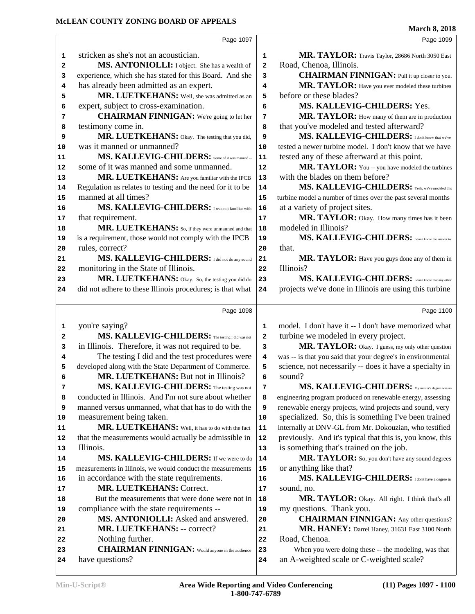|              |                                                             |                         | <b>March 8, 2018</b>                                         |
|--------------|-------------------------------------------------------------|-------------------------|--------------------------------------------------------------|
|              | Page 1097                                                   |                         | Page 1099                                                    |
| 1            | stricken as she's not an acoustician.                       | 1                       | MR. TAYLOR: Travis Taylor, 28686 North 3050 East             |
| $\mathbf{2}$ | MS. ANTONIOLLI: I object. She has a wealth of               | 2                       | Road, Chenoa, Illinois.                                      |
| з            | experience, which she has stated for this Board. And she    | 3                       | <b>CHAIRMAN FINNIGAN:</b> Pull it up closer to you.          |
| 4            | has already been admitted as an expert.                     | 4                       | MR. TAYLOR: Have you ever modeled these turbines             |
| 5            | MR. LUETKEHANS: Well, she was admitted as an                | 5                       | before or these blades?                                      |
| 6            | expert, subject to cross-examination.                       | 6                       | MS. KALLEVIG-CHILDERS: Yes.                                  |
| 7            | <b>CHAIRMAN FINNIGAN:</b> We're going to let her            | 7                       | MR. TAYLOR: How many of them are in production               |
| 8            | testimony come in.                                          | 8                       | that you've modeled and tested afterward?                    |
| 9            | MR. LUETKEHANS: Okay. The testing that you did,             | 9                       | MS. KALLEVIG-CHILDERS: I don't know that we've               |
| 10           | was it manned or unmanned?                                  | 10                      | tested a newer turbine model. I don't know that we have      |
| 11           | MS. KALLEVIG-CHILDERS: Some of it was manned --             | ${\bf 11}$              | tested any of these afterward at this point.                 |
| 12           | some of it was manned and some unmanned.                    | 12                      | MR. TAYLOR: You -- you have modeled the turbines             |
| 13           | MR. LUETKEHANS: Are you familiar with the IPCB              | 13                      | with the blades on them before?                              |
| 14           | Regulation as relates to testing and the need for it to be  | 14                      | MS. KALLEVIG-CHILDERS: Yeah, we've modeled this              |
| 15           | manned at all times?                                        | 15                      | turbine model a number of times over the past several months |
| 16           | MS. KALLEVIG-CHILDERS: I was not familiar with              | 16                      | at a variety of project sites.                               |
| 17           | that requirement.                                           | 17                      | MR. TAYLOR: Okay. How many times has it been                 |
| 18           | MR. LUETKEHANS: So, if they were unmanned and that          | 18                      | modeled in Illinois?                                         |
| 19           | is a requirement, those would not comply with the IPCB      | 19                      | MS. KALLEVIG-CHILDERS: Idon't know the answer to             |
| 20           | rules, correct?                                             | 20                      | that.                                                        |
| 21           | MS. KALLEVIG-CHILDERS: I did not do any sound               | 21                      | MR. TAYLOR: Have you guys done any of them in                |
| 22           | monitoring in the State of Illinois.                        | 22                      | Illinois?                                                    |
| 23           | MR. LUETKEHANS: Okay. So, the testing you did do            | 23                      | MS. KALLEVIG-CHILDERS: I don't know that any other           |
| 24           | did not adhere to these Illinois procedures; is that what   | 24                      | projects we've done in Illinois are using this turbine       |
|              |                                                             |                         |                                                              |
|              | Page 1098                                                   |                         | Page 1100                                                    |
| 1            | you're saying?                                              | 1                       | model. I don't have it -- I don't have memorized what        |
| 2            | MS. KALLEVIG-CHILDERS: The testing I did was not            | $\overline{\mathbf{2}}$ | turbine we modeled in every project.                         |
| 3            | in Illinois. Therefore, it was not required to be.          | 3                       | MR. TAYLOR: Okay. I guess, my only other question            |
| 4            | The testing I did and the test procedures were              | 4                       | was -- is that you said that your degree's in environmental  |
| 5            | developed along with the State Department of Commerce.      | 5                       | science, not necessarily -- does it have a specialty in      |
| 6            | MR. LUETKEHANS: But not in Illinois?                        | 6                       | sound?                                                       |
| 7            | MS. KALLEVIG-CHILDERS: The testing was not                  | 7                       | MS. KALLEVIG-CHILDERS: My master's degree was an             |
| 8            | conducted in Illinois. And I'm not sure about whether       | 8                       | engineering program produced on renewable energy, assessing  |
| 9            | manned versus unmanned, what that has to do with the        | 9                       | renewable energy projects, wind projects and sound, very     |
| 10           | measurement being taken.                                    | ${\bf 10}$              | specialized. So, this is something I've been trained         |
| 11           | MR. LUETKEHANS: Well, it has to do with the fact            | 11                      | internally at DNV-GL from Mr. Dokouzian, who testified       |
| 12           | that the measurements would actually be admissible in       | 12                      | previously. And it's typical that this is, you know, this    |
| 13           | Illinois.                                                   | 13                      | is something that's trained on the job.                      |
| 14           | MS. KALLEVIG-CHILDERS: If we were to do                     | 14                      | MR. TAYLOR: So, you don't have any sound degrees             |
| 15           | measurements in Illinois, we would conduct the measurements | 15                      | or anything like that?                                       |
| 16           | in accordance with the state requirements.                  | 16                      | MS. KALLEVIG-CHILDERS: I don't have a degree in              |
| 17           | MR. LUETKEHANS: Correct.                                    | 17                      | sound, no.                                                   |
| 18           | But the measurements that were done were not in             | 18                      | MR. TAYLOR: Okay. All right. I think that's all              |
| 19           | compliance with the state requirements --                   | 19                      | my questions. Thank you.                                     |
| 20           | MS. ANTONIOLLI: Asked and answered.                         | 20                      | <b>CHAIRMAN FINNIGAN:</b> Any other questions?               |
| 21           | MR. LUETKEHANS: -- correct?                                 | 21                      | MR. HANEY: Darrel Haney, 31631 East 3100 North               |
| 22           | Nothing further.                                            | 22                      | Road, Chenoa.                                                |
| 23           | <b>CHAIRMAN FINNIGAN:</b> Would anyone in the audience      | 23                      | When you were doing these -- the modeling, was that          |
| 24           | have questions?                                             | 24                      | an A-weighted scale or C-weighted scale?                     |
|              |                                                             |                         |                                                              |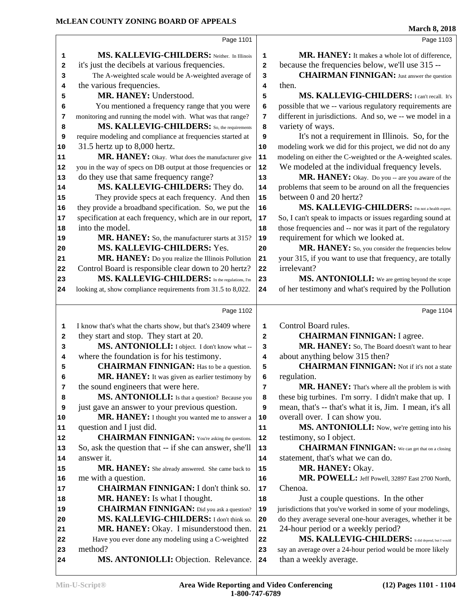|    |                                                              |                         | магси 8, <i>2</i> 018                                       |
|----|--------------------------------------------------------------|-------------------------|-------------------------------------------------------------|
|    | Page 1101                                                    |                         | Page 1103                                                   |
| 1  | MS. KALLEVIG-CHILDERS: Neither. In Illinois                  | 1                       | <b>MR. HANEY:</b> It makes a whole lot of difference,       |
| 2  | it's just the decibels at various frequencies.               | $\overline{\mathbf{2}}$ | because the frequencies below, we'll use 315 --             |
| 3  | The A-weighted scale would be A-weighted average of          | 3                       | <b>CHAIRMAN FINNIGAN:</b> Just answer the question          |
| 4  | the various frequencies.                                     | 4                       | then.                                                       |
| 5  | MR. HANEY: Understood.                                       | 5                       | MS. KALLEVIG-CHILDERS: I can't recall. It's                 |
| 6  | You mentioned a frequency range that you were                | 6                       | possible that we -- various regulatory requirements are     |
| 7  | monitoring and running the model with. What was that range?  | 7                       | different in jurisdictions. And so, we -- we model in a     |
| 8  | MS. KALLEVIG-CHILDERS: So, the requirements                  | 8                       | variety of ways.                                            |
| 9  | require modeling and compliance at frequencies started at    | 9                       | It's not a requirement in Illinois. So, for the             |
| 10 | 31.5 hertz up to 8,000 hertz.                                | 10                      | modeling work we did for this project, we did not do any    |
| 11 | MR. HANEY: Okay. What does the manufacturer give             | 11                      | modeling on either the C-weighted or the A-weighted scales. |
| 12 | you in the way of specs on DB output at those frequencies or | 12                      | We modeled at the individual frequency levels.              |
| 13 | do they use that same frequency range?                       | 13                      | MR. HANEY: Okay. Do you -- are you aware of the             |
| 14 | MS. KALLEVIG-CHILDERS: They do.                              | 14                      | problems that seem to be around on all the frequencies      |
| 15 | They provide specs at each frequency. And then               | $15$                    | between 0 and 20 hertz?                                     |
| 16 | they provide a broadband specification. So, we put the       | 16                      | MS. KALLEVIG-CHILDERS: I'm not a health expert.             |
| 17 | specification at each frequency, which are in our report,    | 17                      | So, I can't speak to impacts or issues regarding sound at   |
| 18 | into the model.                                              | 18                      | those frequencies and -- nor was it part of the regulatory  |
| 19 | MR. HANEY: So, the manufacturer starts at 315?               | 19                      | requirement for which we looked at.                         |
| 20 | MS. KALLEVIG-CHILDERS: Yes.                                  | 20                      | MR. HANEY: So, you consider the frequencies below           |
| 21 | MR. HANEY: Do you realize the Illinois Pollution             | 21                      | your 315, if you want to use that frequency, are totally    |
| 22 | Control Board is responsible clear down to 20 hertz?         | 22                      | irrelevant?                                                 |
| 23 | MS. KALLEVIG-CHILDERS: In the regulations, I'm               | 23                      | MS. ANTONIOLLI: We are getting beyond the scope             |
| 24 | looking at, show compliance requirements from 31.5 to 8,022. | 24                      | of her testimony and what's required by the Pollution       |
|    | Page 1102                                                    |                         | Page 1104                                                   |
| 1  | I know that's what the charts show, but that's 23409 where   | 1                       | Control Board rules.                                        |
| 2  | they start and stop. They start at 20.                       | $\mathbf{2}$            | <b>CHAIRMAN FINNIGAN: I agree.</b>                          |
| 3  | MS. ANTONIOLLI: I object. I don't know what --               | 3                       | MR. HANEY: So, The Board doesn't want to hear               |
| 4  | where the foundation is for his testimony.                   | 4                       | about anything below 315 then?                              |
| 5  | <b>CHAIRMAN FINNIGAN:</b> Has to be a question.              | 5                       | <b>CHAIRMAN FINNIGAN:</b> Not if it's not a state           |
| 6  | MR. HANEY: It was given as earlier testimony by              | 6                       | regulation.                                                 |
| 7  | the sound engineers that were here.                          | 7                       | MR. HANEY: That's where all the problem is with             |
| 8  | MS. ANTONIOLLI: Is that a question? Because you              | 8                       | these big turbines. I'm sorry. I didn't make that up. I     |
| 9  | just gave an answer to your previous question.               | 9                       | mean, that's -- that's what it is, Jim. I mean, it's all    |
| 10 | MR. HANEY: I thought you wanted me to answer a               | 10                      | overall over. I can show you.                               |
| 11 | question and I just did.                                     | 11                      | MS. ANTONIOLLI: Now, we're getting into his                 |
| 12 | <b>CHAIRMAN FINNIGAN:</b> You're asking the questions.       | ${\bf 12}$              | testimony, so I object.                                     |
| 13 | So, ask the question that -- if she can answer, she'll       | 13                      | <b>CHAIRMAN FINNIGAN:</b> We can get that on a closing      |
| 14 | answer it.                                                   | 14                      | statement, that's what we can do.                           |
| 15 | MR. HANEY: She already answered. She came back to            | 15                      | MR. HANEY: Okay.                                            |
| 16 | me with a question.                                          | 16                      | MR. POWELL: Jeff Powell, 32897 East 2700 North,             |
| 17 | <b>CHAIRMAN FINNIGAN: I don't think so.</b>                  | 17                      | Chenoa.                                                     |
| 18 | <b>MR. HANEY:</b> Is what I thought.                         | 18                      | Just a couple questions. In the other                       |
| 19 | <b>CHAIRMAN FINNIGAN:</b> Did you ask a question?            | 19                      | jurisdictions that you've worked in some of your modelings, |
| 20 | MS. KALLEVIG-CHILDERS: I don't think so.                     | 20                      | do they average several one-hour averages, whether it be    |
| 21 | MR. HANEY: Okay. I misunderstood then.                       | 21                      | 24-hour period or a weekly period?                          |
| 22 | Have you ever done any modeling using a C-weighted           | 22                      | MS. KALLEVIG-CHILDERS: It did depend, but I would           |
| 23 | method?                                                      | 23                      | say an average over a 24-hour period would be more likely   |
| 24 | MS. ANTONIOLLI: Objection. Relevance.                        | 24                      | than a weekly average.                                      |
|    |                                                              |                         |                                                             |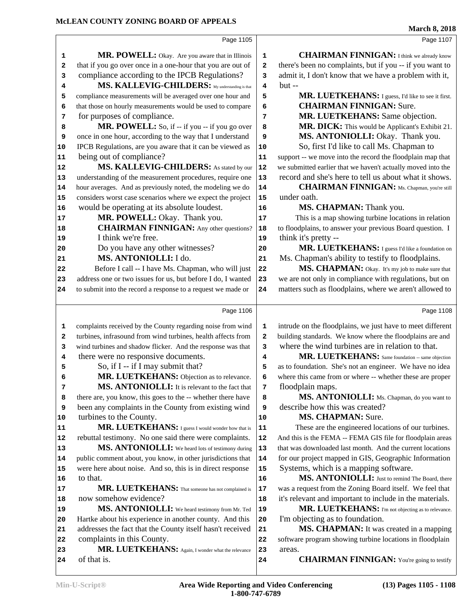Page 1105 **1 MR. POWELL:** Okay. Are you aware that in Illinois 1 that if you go over once in a one-hour that you are out of 2 compliance according to the IPCB Regulations? 3  **MS. KALLEVIG-CHILDERS:** My understanding is that compliance measurements will be averaged over one hour and **5**  that those on hourly measurements would be used to compare **6**  for purposes of compliance. **MR. POWELL:** So, if  $-$  if you  $-$  if you go over  $\vert 8$  once in one hour, according to the way that I understand **9**  IPCB Regulations, are you aware that it can be viewed as | **10**  being out of compliance? **MS. KALLEVIG-CHILDERS:** As stated by our | 12 understanding of the measurement procedures, require one 13 hour averages. And as previously noted, the modeling we do | **14**  considers worst case scenarios where we expect the project 15 would be operating at its absolute loudest. **MR. POWELL:** Okay. Thank you. **CHAIRMAN FINNIGAN:** Any other questions? 18 I think we're free. Do you have any other witnesses?  **MS. ANTONIOLLI:** I do. Before I call -- I have Ms. Chapman, who will just 22 23 address one or two issues for us, but before I do, I wanted 23 to submit into the record a response to a request we made or 24 Page 1106 complaints received by the County regarding noise from wind **1**  turbines, infrasound from wind turbines, health affects from 2 wind turbines and shadow flicker. And the response was that **3**  there were no responsive documents. So, if I -- if I may submit that? MR. LUETKEHANS: Objection as to relevance. 6 **MS. ANTONIOLLI:** It is relevant to the fact that  $\vert$  7 there are, you know, this goes to the -- whether there have **8**  been any complaints in the County from existing wind **9**  turbines to the County. **MR. LUETKEHANS:** I guess I would wonder how that is | 11 rebuttal testimony. No one said there were complaints. | **12 MS. ANTONIOLLI:** We heard lots of testimony during 13 14 public comment about, you know, in other jurisdictions that | 14 were here about noise. And so, this is in direct response 15 to that. **MR. LUETKEHANS:** That someone has not complained is | 17 now somehow evidence? **MS. ANTONIOLLI:** We heard testimony from Mr. Ted 19 Hartke about his experience in another county. And this 21 addresses the fact that the County itself hasn't received 21 complaints in this County. MR. LUETKEHANS: Again, I wonder what the relevance 23 of that is. Page 1107 **CHAIRMAN FINNIGAN:** I think we already know there's been no complaints, but if you -- if you want to admit it, I don't know that we have a problem with it, but -- **MR. LUETKEHANS:** I guess, I'd like to see it first.  **CHAIRMAN FINNIGAN:** Sure.  **MR. LUETKEHANS:** Same objection. MR. DICK: This would be Applicant's Exhibit 21. **MS. ANTONIOLLI:** Okay. Thank you. So, first I'd like to call Ms. Chapman to support -- we move into the record the floodplain map that we submitted earlier that we haven't actually moved into the record and she's here to tell us about what it shows.  **CHAIRMAN FINNIGAN:** Ms. Chapman, you're still under oath. **MS. CHAPMAN:** Thank you. This is a map showing turbine locations in relation to floodplains, to answer your previous Board question. I think it's pretty -- **MR. LUETKEHANS:** I guess I'd like a foundation on Ms. Chapman's ability to testify to floodplains. MS. CHAPMAN: Okay. It's my job to make sure that we are not only in compliance with regulations, but on matters such as floodplains, where we aren't allowed to Page 1108 intrude on the floodplains, we just have to meet different building standards. We know where the floodplains are and where the wind turbines are in relation to that. **MR. LUETKEHANS:** Same foundation -- same objection as to foundation. She's not an engineer. We have no idea where this came from or where -- whether these are proper floodplain maps. MS. ANTONIOLLI: Ms. Chapman, do you want to describe how this was created?  **MS. CHAPMAN:** Sure. These are the engineered locations of our turbines. And this is the FEMA -- FEMA GIS file for floodplain areas that was downloaded last month. And the current locations for our project mapped in GIS, Geographic Information Systems, which is a mapping software. **MS. ANTONIOLLI:** Just to remind The Board, there was a request from the Zoning Board itself. We feel that it's relevant and important to include in the materials. MR. LUETKEHANS: I'm not objecting as to relevance. I'm objecting as to foundation.  **MS. CHAPMAN:** It was created in a mapping software program showing turbine locations in floodplain areas. **CHAIRMAN FINNIGAN:** You're going to testify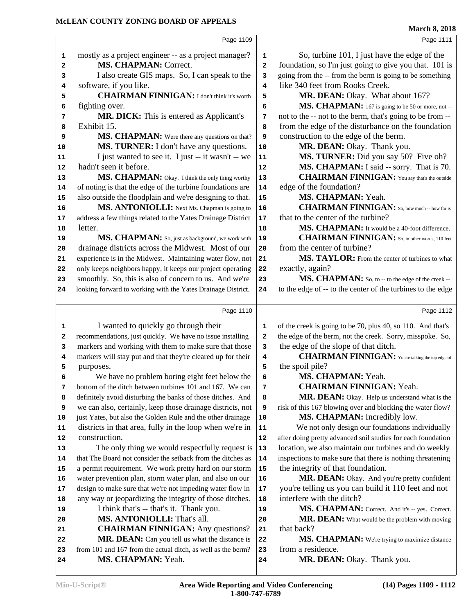| MCLEAN COUNTY ZONING BOARD OF APPEALS                              |           | <b>March 8, 2018</b>                                                                 |
|--------------------------------------------------------------------|-----------|--------------------------------------------------------------------------------------|
|                                                                    | Page 1109 | Page 1111                                                                            |
| mostly as a project engineer -- as a project manager?<br>1         |           | So, turbine 101, I just have the edge of the<br>1                                    |
| MS. CHAPMAN: Correct.<br>2                                         |           | foundation, so I'm just going to give you that. 101 is<br>$\overline{a}$             |
| I also create GIS maps. So, I can speak to the<br>3                |           | going from the -- from the berm is going to be something<br>3                        |
| software, if you like.<br>4                                        |           | like 340 feet from Rooks Creek.<br>4                                                 |
| <b>CHAIRMAN FINNIGAN:</b> I don't think it's worth<br>5            |           | MR. DEAN: Okay. What about 167?<br>5                                                 |
| fighting over.<br>6                                                |           | MS. CHAPMAN: 167 is going to be 50 or more, not --<br>6                              |
| MR. DICK: This is entered as Applicant's<br>7                      |           | not to the -- not to the berm, that's going to be from --<br>7                       |
| Exhibit 15.<br>8                                                   |           | from the edge of the disturbance on the foundation<br>8                              |
| MS. CHAPMAN: Were there any questions on that?<br>9                |           | construction to the edge of the berm.<br>9                                           |
| MS. TURNER: I don't have any questions.<br>10                      | $10$      | MR. DEAN: Okay. Thank you.                                                           |
| I just wanted to see it. I just -- it wasn't -- we<br>11           | 11        | MS. TURNER: Did you say 50? Five oh?                                                 |
| hadn't seen it before.<br>12                                       | 12        | MS. CHAPMAN: I said -- sorry. That is 70.                                            |
| MS. CHAPMAN: Okay. I think the only thing worthy<br>13             | 13        | <b>CHAIRMAN FINNIGAN:</b> You say that's the outside                                 |
| of noting is that the edge of the turbine foundations are<br>14    | 14        | edge of the foundation?                                                              |
| also outside the floodplain and we're designing to that.<br>15     | 15        | MS. CHAPMAN: Yeah.                                                                   |
| MS. ANTONIOLLI: Next Ms. Chapman is going to<br>16                 | 16        | <b>CHAIRMAN FINNIGAN:</b> So, how much -- how far is                                 |
| address a few things related to the Yates Drainage District<br>17  | 17        | that to the center of the turbine?                                                   |
| letter.<br>18                                                      | 18        | MS. CHAPMAN: It would be a 40-foot difference.                                       |
| MS. CHAPMAN: So, just as background, we work with<br>19            | 19        | <b>CHAIRMAN FINNIGAN:</b> So, in other words, 110 feet                               |
| drainage districts across the Midwest. Most of our<br>20           | 20        | from the center of turbine?                                                          |
| experience is in the Midwest. Maintaining water flow, not<br>21    | 21        | MS. TAYLOR: From the center of turbines to what                                      |
| only keeps neighbors happy, it keeps our project operating<br>22   | 22        | exactly, again?                                                                      |
| smoothly. So, this is also of concern to us. And we're<br>23       | 23        | MS. CHAPMAN: So, to -- to the edge of the creek --                                   |
| looking forward to working with the Yates Drainage District.<br>24 | 24        | to the edge of -- to the center of the turbines to the edge                          |
|                                                                    | Page 1110 | Page 1112                                                                            |
| I wanted to quickly go through their<br>1                          |           | of the creek is going to be 70, plus 40, so 110. And that's<br>1                     |
| recommendations, just quickly. We have no issue installing<br>2    |           | the edge of the berm, not the creek. Sorry, misspoke. So,<br>$\overline{\mathbf{2}}$ |
| markers and working with them to make sure that those<br>3         |           | the edge of the slope of that ditch.<br>3                                            |
| markers will stay put and that they're cleared up for their<br>4   |           | <b>CHAIRMAN FINNIGAN:</b> You're talking the top edge of<br>4                        |
| 5<br>purposes.                                                     |           | the spoil pile?<br>5                                                                 |
| We have no problem boring eight feet below the<br>6                |           | MS. CHAPMAN: Yeah.<br>6                                                              |
| bottom of the ditch between turbines 101 and 167. We can<br>7      |           | <b>CHAIRMAN FINNIGAN: Yeah.</b><br>7                                                 |
| definitely avoid disturbing the banks of those ditches. And<br>8   |           | MR. DEAN: Okay. Help us understand what is the<br>8                                  |
| we can also, certainly, keep those drainage districts, not<br>9    |           | risk of this 167 blowing over and blocking the water flow?<br>9                      |
| just Yates, but also the Golden Rule and the other drainage<br>10  | 10        | MS. CHAPMAN: Incredibly low.                                                         |
| districts in that area, fully in the loop when we're in<br>11      | 11        | We not only design our foundations individually                                      |
| construction.<br>12                                                | 12        | after doing pretty advanced soil studies for each foundation                         |
| The only thing we would respectfully request is<br> 13             | 13        | location, we also maintain our turbines and do weekly                                |
| that The Board not consider the setback from the ditches as<br>14  | 14        | inspections to make sure that there is nothing threatening                           |
| a permit requirement. We work pretty hard on our storm<br>15       | 15        | the integrity of that foundation.                                                    |
| water prevention plan, storm water plan, and also on our<br>16     | 16        | MR. DEAN: Okay. And you're pretty confident                                          |
| design to make sure that we're not impeding water flow in<br>17    | $17\,$    | you're telling us you can build it 110 feet and not                                  |
| any way or jeopardizing the integrity of those ditches.<br>18      | 18        | interfere with the ditch?                                                            |
| I think that's -- that's it. Thank you.<br>19                      | 19        | MS. CHAPMAN: Correct. And it's -- yes. Correct.                                      |
| MS. ANTONIOLLI: That's all.<br>20                                  | 20        | MR. DEAN: What would be the problem with moving                                      |
| <b>CHAIRMAN FINNIGAN:</b> Any questions?<br>21                     | 21        | that back?                                                                           |
| MR. DEAN: Can you tell us what the distance is<br>22               | 22        | MS. CHAPMAN: We're trying to maximize distance                                       |
| from 101 and 167 from the actual ditch, as well as the berm?<br>23 | 23        | from a residence.                                                                    |
| MS. CHAPMAN: Yeah.<br>24                                           | 24        | MR. DEAN: Okay. Thank you.                                                           |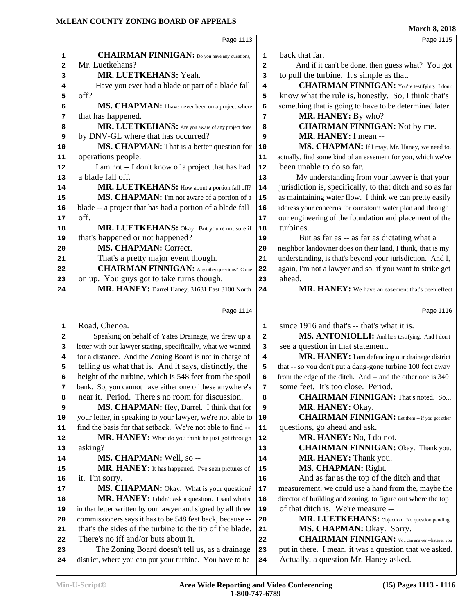|    |                                                              |    | <b>March 8, 2018</b>                                         |
|----|--------------------------------------------------------------|----|--------------------------------------------------------------|
|    | Page 1113                                                    |    | Page 1115                                                    |
| 1  | <b>CHAIRMAN FINNIGAN:</b> Do you have any questions,         | 1  | back that far.                                               |
| 2  | Mr. Luetkehans?                                              | 2  | And if it can't be done, then guess what? You got            |
| 3  | MR. LUETKEHANS: Yeah.                                        | 3  | to pull the turbine. It's simple as that.                    |
| 4  | Have you ever had a blade or part of a blade fall            | 4  | <b>CHAIRMAN FINNIGAN:</b> You're testifying. I don't         |
| 5  | off?                                                         | 5  | know what the rule is, honestly. So, I think that's          |
| 6  | MS. CHAPMAN: I have never been on a project where            | 6  | something that is going to have to be determined later.      |
| 7  | that has happened.                                           | 7  | MR. HANEY: By who?                                           |
| 8  | MR. LUETKEHANS: Are you aware of any project done            | 8  | <b>CHAIRMAN FINNIGAN:</b> Not by me.                         |
| 9  | by DNV-GL where that has occurred?                           | 9  | MR. HANEY: I mean --                                         |
| 10 | <b>MS. CHAPMAN:</b> That is a better question for            | 10 | MS. CHAPMAN: If I may, Mr. Haney, we need to,                |
| 11 | operations people.                                           | 11 | actually, find some kind of an easement for you, which we've |
| 12 | I am not -- I don't know of a project that has had           | 12 | been unable to do so far.                                    |
| 13 | a blade fall off.                                            | 13 | My understanding from your lawyer is that your               |
| 14 | MR. LUETKEHANS: How about a portion fall off?                | 14 | jurisdiction is, specifically, to that ditch and so as far   |
| 15 | MS. CHAPMAN: I'm not aware of a portion of a                 | 15 | as maintaining water flow. I think we can pretty easily      |
| 16 | blade -- a project that has had a portion of a blade fall    | 16 | address your concerns for our storm water plan and through   |
| 17 | off.                                                         | 17 | our engineering of the foundation and placement of the       |
| 18 | MR. LUETKEHANS: Okay. But you're not sure if                 | 18 | turbines.                                                    |
| 19 | that's happened or not happened?                             | 19 | But as far as -- as far as dictating what a                  |
| 20 | <b>MS. CHAPMAN: Correct.</b>                                 | 20 | neighbor landowner does on their land, I think, that is my   |
| 21 | That's a pretty major event though.                          | 21 | understanding, is that's beyond your jurisdiction. And I,    |
| 22 | <b>CHAIRMAN FINNIGAN:</b> Any other questions? Come          | 22 | again, I'm not a lawyer and so, if you want to strike get    |
| 23 | on up. You guys got to take turns though.                    | 23 | ahead.                                                       |
| 24 | MR. HANEY: Darrel Haney, 31631 East 3100 North               | 24 | MR. HANEY: We have an easement that's been effect            |
|    |                                                              |    |                                                              |
|    | Page 1114                                                    |    | Page 1116                                                    |
| 1  | Road, Chenoa.                                                | 1  | since 1916 and that's -- that's what it is.                  |
| 2  | Speaking on behalf of Yates Drainage, we drew up a           | 2  | MS. ANTONIOLLI: And he's testifying. And I don't             |
| 3  | letter with our lawyer stating, specifically, what we wanted | 3  | see a question in that statement.                            |
| 4  | for a distance. And the Zoning Board is not in charge of     | 4  | MR. HANEY: I am defending our drainage district              |
| 5  | telling us what that is. And it says, distinctly, the        | 5  | that -- so you don't put a dang-gone turbine 100 feet away   |
| 6  | height of the turbine, which is 548 feet from the spoil      | 6  | from the edge of the ditch. And -- and the other one is 340  |
| 7  | bank. So, you cannot have either one of these anywhere's     | 7  | some feet. It's too close. Period.                           |
| 8  | near it. Period. There's no room for discussion.             | 8  | <b>CHAIRMAN FINNIGAN:</b> That's noted. So                   |
| 9  | MS. CHAPMAN: Hey, Darrel. I think that for                   | 9  | MR. HANEY: Okay.                                             |
| 10 | your letter, in speaking to your lawyer, we're not able to   | 10 | <b>CHAIRMAN FINNIGAN:</b> Let them -- if you got other       |
| 11 | find the basis for that setback. We're not able to find --   | 11 | questions, go ahead and ask.                                 |
| 12 | MR. HANEY: What do you think he just got through             | 12 | MR. HANEY: No, I do not.                                     |
| 13 | asking?                                                      | 13 | <b>CHAIRMAN FINNIGAN:</b> Okay. Thank you.                   |
| 14 | MS. CHAPMAN: Well, so --                                     | 14 | MR. HANEY: Thank you.                                        |
| 15 | MR. HANEY: It has happened. I've seen pictures of            | 15 | MS. CHAPMAN: Right.                                          |
| 16 | it. I'm sorry.                                               | 16 | And as far as the top of the ditch and that                  |
| 17 | MS. CHAPMAN: Okay. What is your question?                    | 17 | measurement, we could use a hand from the, maybe the         |
| 18 | MR. HANEY: I didn't ask a question. I said what's            | 18 | director of building and zoning, to figure out where the top |
| 19 | in that letter written by our lawyer and signed by all three | 19 | of that ditch is. We're measure --                           |
| 20 | commissioners says it has to be 548 feet back, because --    | 20 | MR. LUETKEHANS: Objection. No question pending.              |
| 21 | that's the sides of the turbine to the tip of the blade.     | 21 | MS. CHAPMAN: Okay. Sorry.                                    |
| 22 | There's no iff and/or buts about it.                         | 22 | <b>CHAIRMAN FINNIGAN:</b> You can answer whatever you        |
| 23 | The Zoning Board doesn't tell us, as a drainage              | 23 | put in there. I mean, it was a question that we asked.       |
| 24 | district, where you can put your turbine. You have to be     | 24 | Actually, a question Mr. Haney asked.                        |
|    |                                                              |    |                                                              |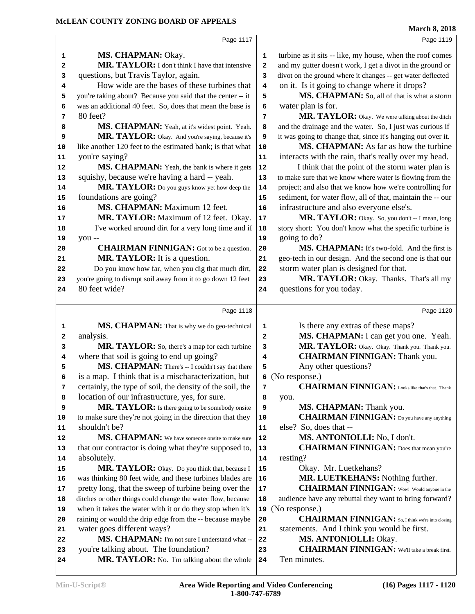**MS. CHAPMAN:** Okay. **MR. TAYLOR:** I don't think I have that intensive  $\begin{vmatrix} 2 \end{vmatrix}$  questions, but Travis Taylor, again. How wide are the bases of these turbines that  $\begin{vmatrix} 4 \end{vmatrix}$  you're taking about? Because you said that the center -- it  $\begin{vmatrix} 5 \end{vmatrix}$  was an additional 40 feet. So, does that mean the base is **6**  80 feet? **MS. CHAPMAN:** Yeah, at it's widest point. Yeah. 8 MR. TAYLOR: Okay. And you're saying, because it's 9 like another 120 feet to the estimated bank; is that what 10 you're saying? **MS. CHAPMAN:** Yeah, the bank is where it gets 12 squishy, because we're having a hard -- yeah. **MR. TAYLOR:** Do you guys know yet how deep the 14 foundations are going?  **MS. CHAPMAN:** Maximum 12 feet. **MR. TAYLOR:** Maximum of 12 feet. Okay. 17 I've worked around dirt for a very long time and if | **18**  you -- **CHAIRMAN FINNIGAN:** Got to be a question. 20  **MR. TAYLOR:** It is a question. Do you know how far, when you dig that much dirt, you're going to disrupt soil away from it to go down 12 feet 23 80 feet wide? Page 1118 **MS. CHAPMAN:** That is why we do geo-technical 1 analysis. **MR. TAYLOR:** So, there's a map for each turbine 3 where that soil is going to end up going? **MS. CHAPMAN:** There's -- I couldn't say that there | 5 is a map. I think that is a mischaracterization, but certainly, the type of soil, the density of the soil, the  $\vert$  **7**  location of our infrastructure, yes, for sure. MR. TAYLOR: Is there going to be somebody onsite 9 to make sure they're not going in the direction that they | **10**  shouldn't be? **MS. CHAPMAN:** We have someone onsite to make sure 12 that our contractor is doing what they're supposed to, 113 absolutely. **MR. TAYLOR:** Okay. Do you think that, because I | 15 was thinking 80 feet wide, and these turbines blades are | **16**  pretty long, that the sweep of turbine being over the 17 ditches or other things could change the water flow, because | **18**  when it takes the water with it or do they stop when it's | **19**  raining or would the drip edge from the -- because maybe 20 water goes different ways? **MS. CHAPMAN:** I'm not sure I understand what -- 22 you're talking about. The foundation? MR. TAYLOR: No. I'm talking about the whole 24 turbine as it sits -- like, my house, when the roof comes and my gutter doesn't work, I get a divot in the ground or divot on the ground where it changes -- get water deflected on it. Is it going to change where it drops? MS. CHAPMAN: So, all of that is what a storm water plan is for. **MR. TAYLOR:** Okay. We were talking about the ditch and the drainage and the water. So, I just was curious if it was going to change that, since it's hanging out over it. **MS. CHAPMAN:** As far as how the turbine interacts with the rain, that's really over my head. I think that the point of the storm water plan is to make sure that we know where water is flowing from the project; and also that we know how we're controlling for sediment, for water flow, all of that, maintain the -- our infrastructure and also everyone else's. MR. TAYLOR: Okay. So, you don't -- I mean, long story short: You don't know what the specific turbine is going to do? **MS. CHAPMAN:** It's two-fold. And the first is geo-tech in our design. And the second one is that our storm water plan is designed for that. MR. TAYLOR: Okay. Thanks. That's all my questions for you today. Page 1120 Is there any extras of these maps?  **MS. CHAPMAN:** I can get you one. Yeah. MR. TAYLOR: Okay. Okay. Thank you. Thank you.  **CHAIRMAN FINNIGAN:** Thank you. Any other questions? (No response.) **CHAIRMAN FINNIGAN:** Looks like that's that. Thank you. **MS. CHAPMAN:** Thank you.  **CHAIRMAN FINNIGAN:** Do you have any anything else? So, does that --  **MS. ANTONIOLLI:** No, I don't.  **CHAIRMAN FINNIGAN:** Does that mean you're resting? Okay. Mr. Luetkehans?  **MR. LUETKEHANS:** Nothing further.  **CHAIRMAN FINNIGAN:** Wow! Would anyone in the audience have any rebuttal they want to bring forward? (No response.)  **CHAIRMAN FINNIGAN:** So, I think we're into closing statements. And I think you would be first.  **MS. ANTONIOLLI:** Okay. **CHAIRMAN FINNIGAN:** We'll take a break first. Ten minutes.

Page 1117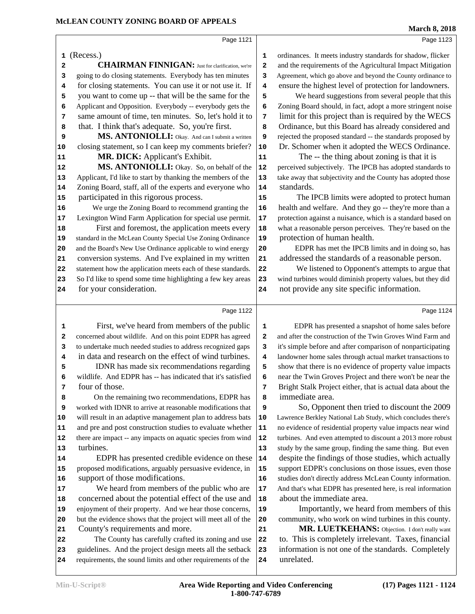| <b>Min-U-Script®</b> |  |  |  |  |  |
|----------------------|--|--|--|--|--|
|----------------------|--|--|--|--|--|

support of those modifications.

County's requirements and more.

 We heard from members of the public who are 17 concerned about the potential effect of the use and | **18**  enjoyment of their property. And we hear those concerns, 19 but the evidence shows that the project will meet all of the 20

 The County has carefully crafted its zoning and use 22 23 guidelines. And the project design meets all the setback 23 requirements, the sound limits and other requirements of the 24

| Page 1121                                                    | Page 1123                                                    |
|--------------------------------------------------------------|--------------------------------------------------------------|
| (Recess.)                                                    | ordinances. It meets industry standards for shadow, flicker  |
| 1                                                            | 1                                                            |
| <b>CHAIRMAN FINNIGAN:</b> Just for clarification, we're      | and the requirements of the Agricultural Impact Mitigation   |
| 2                                                            | 2                                                            |
| going to do closing statements. Everybody has ten minutes    | Agreement, which go above and beyond the County ordinance to |
| з                                                            | 3                                                            |
| for closing statements. You can use it or not use it. If     | ensure the highest level of protection for landowners.       |
| 4                                                            | 4                                                            |
| you want to come up -- that will be the same for the         | We heard suggestions from several people that this           |
| 5                                                            | 5                                                            |
| Applicant and Opposition. Everybody -- everybody gets the    | Zoning Board should, in fact, adopt a more stringent noise   |
| 6                                                            | 6                                                            |
| same amount of time, ten minutes. So, let's hold it to       | limit for this project than is required by the WECS          |
| 7                                                            | 7                                                            |
| that. I think that's adequate. So, you're first.             | Ordinance, but this Board has already considered and         |
| 8                                                            | 8                                                            |
| MS. ANTONIOLLI: Okay. And can I submit a written             | rejected the proposed standard -- the standards proposed by  |
| 9                                                            | 9                                                            |
| closing statement, so I can keep my comments briefer?        | Dr. Schomer when it adopted the WECS Ordinance.              |
| 10                                                           | ${\bf 10}$                                                   |
| MR. DICK: Applicant's Exhibit.                               | The -- the thing about zoning is that it is                  |
| 11                                                           | 11                                                           |
| MS. ANTONIOLLI: Okay. So, on behalf of the                   | perceived subjectively. The IPCB has adopted standards to    |
| 12                                                           | 12                                                           |
| Applicant, I'd like to start by thanking the members of the  | take away that subjectivity and the County has adopted those |
| 13                                                           | 13                                                           |
| Zoning Board, staff, all of the experts and everyone who     | standards.                                                   |
| 14                                                           | 14                                                           |
| participated in this rigorous process.                       | The IPCB limits were adopted to protect human                |
| 15                                                           | 15                                                           |
| We urge the Zoning Board to recommend granting the           | health and welfare. And they go -- they're more than a       |
| 16                                                           | 16                                                           |
| Lexington Wind Farm Application for special use permit.      | protection against a nuisance, which is a standard based on  |
| 17                                                           | 17                                                           |
| First and foremost, the application meets every              | what a reasonable person perceives. They're based on the     |
| 18                                                           | 18                                                           |
| standard in the McLean County Special Use Zoning Ordinance   | protection of human health.                                  |
| 19                                                           | 19                                                           |
| and the Board's New Use Ordinance applicable to wind energy  | EDPR has met the IPCB limits and in doing so, has            |
| 20                                                           | 20                                                           |
| conversion systems. And I've explained in my written         | addressed the standards of a reasonable person.              |
| 21                                                           | 21                                                           |
| statement how the application meets each of these standards. | We listened to Opponent's attempts to argue that             |
| 22                                                           | 22                                                           |
| So I'd like to spend some time highlighting a few key areas  | wind turbines would diminish property values, but they did   |
| 23                                                           | 23                                                           |
| for your consideration.                                      | not provide any site specific information.                   |
| 24                                                           | 24                                                           |
| Page 1122                                                    | Page 1124                                                    |
| First, we've heard from members of the public                | EDPR has presented a snapshot of home sales before           |
| 1                                                            | 1                                                            |
| concerned about wildlife. And on this point EDPR has agreed  | and after the construction of the Twin Groves Wind Farm and  |
| 2                                                            | 2                                                            |
| to undertake much needed studies to address recognized gaps  | it's simple before and after comparison of nonparticipating  |
| 3                                                            | 3                                                            |
| in data and research on the effect of wind turbines.         | landowner home sales through actual market transactions to   |
| 4                                                            | $\overline{\mathbf{4}}$                                      |
| IDNR has made six recommendations regarding                  | show that there is no evidence of property value impacts     |
| 5                                                            | 5                                                            |
| wildlife. And EDPR has -- has indicated that it's satisfied  | near the Twin Groves Project and there won't be near the     |
| 6                                                            | 6                                                            |
| four of those.                                               | Bright Stalk Project either, that is actual data about the   |
| 7                                                            | 7                                                            |
| On the remaining two recommendations, EDPR has               | immediate area.                                              |
| 8                                                            | 8                                                            |
| worked with IDNR to arrive at reasonable modifications that  | So, Opponent then tried to discount the 2009                 |
| 9                                                            | 9                                                            |
| will result in an adaptive management plan to address bats   | Lawrence Berkley National Lab Study, which concludes there's |
| 10                                                           | 10                                                           |
| and pre and post construction studies to evaluate whether    | no evidence of residential property value impacts near wind  |
| 11                                                           | ${\bf 11}$                                                   |
| there are impact -- any impacts on aquatic species from wind | turbines. And even attempted to discount a 2013 more robust  |
| 12                                                           | 12                                                           |
| turbines.                                                    | study by the same group, finding the same thing. But even    |
| 13                                                           | 13                                                           |
| EDPR has presented credible evidence on these                | despite the findings of those studies, which actually        |
| 14                                                           | 14                                                           |
| proposed modifications, arguably persuasive evidence, in     | support EDPR's conclusions on those issues, even those       |
| 15                                                           | 15                                                           |

 So, Opponent then tried to discount the 2009 **100 Lawrence Berkley National Lab Study, which concludes there's** dence of residential property value impacts near wind **12** And even attempted to discount a 2013 more robust by the same group, finding the same thing. But even te the findings of those studies, which actually support EDPR's conclusions on those issues, even those studies don't directly address McLean County information. And that's what EDPR has presented here, is real information about the immediate area.

 Importantly, we heard from members of this community, who work on wind turbines in this county.

21 MR. LUETKEHANS: Objection. I don't really want to. This is completely irrelevant. Taxes, financial information is not one of the standards. Completely unrelated.

Page 1123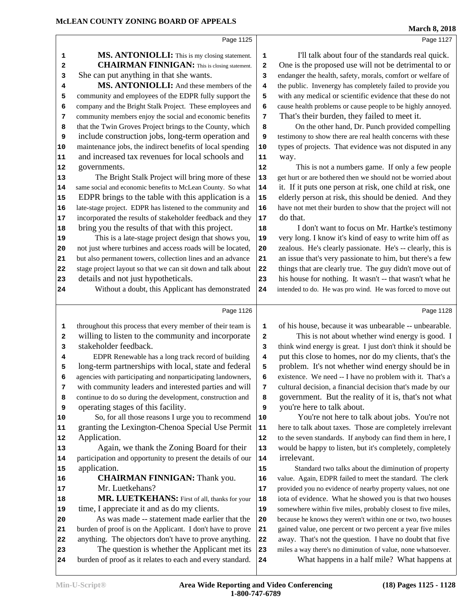|          | Page 1125                                                    |            | Page 1127                                                    |
|----------|--------------------------------------------------------------|------------|--------------------------------------------------------------|
| 1        | MS. ANTONIOLLI: This is my closing statement.                | 1          | I'll talk about four of the standards real quick.            |
| 2        | <b>CHAIRMAN FINNIGAN:</b> This is closing statement.         | 2          | One is the proposed use will not be detrimental to or        |
| 3        | She can put anything in that she wants.                      | 3          | endanger the health, safety, morals, comfort or welfare of   |
| 4        | MS. ANTONIOLLI: And these members of the                     | 4          | the public. Invenergy has completely failed to provide you   |
| 5        | community and employees of the EDPR fully support the        | 5          | with any medical or scientific evidence that these do not    |
| 6        | company and the Bright Stalk Project. These employees and    | 6          | cause health problems or cause people to be highly annoyed.  |
| 7        | community members enjoy the social and economic benefits     | 7          | That's their burden, they failed to meet it.                 |
| 8        | that the Twin Groves Project brings to the County, which     | 8          | On the other hand, Dr. Punch provided compelling             |
| 9        | include construction jobs, long-term operation and           | 9          | testimony to show there are real health concerns with these  |
| 10       | maintenance jobs, the indirect benefits of local spending    | 10         | types of projects. That evidence was not disputed in any     |
| 11       | and increased tax revenues for local schools and             | 11         | way.                                                         |
| 12       | governments.                                                 | 12         | This is not a numbers game. If only a few people             |
| 13       | The Bright Stalk Project will bring more of these            | 13         | get hurt or are bothered then we should not be worried about |
| 14       | same social and economic benefits to McLean County. So what  | 14         | it. If it puts one person at risk, one child at risk, one    |
| 15       | EDPR brings to the table with this application is a          | 15         | elderly person at risk, this should be denied. And they      |
| 16       | late-stage project. EDPR has listened to the community and   | 16         | have not met their burden to show that the project will not  |
| 17       | incorporated the results of stakeholder feedback and they    | 17         | do that.                                                     |
| 18       | bring you the results of that with this project.             | 18         | I don't want to focus on Mr. Hartke's testimony              |
| 19       | This is a late-stage project design that shows you,          | 19         | very long. I know it's kind of easy to write him off as      |
| 20       | not just where turbines and access roads will be located,    | 20         | zealous. He's clearly passionate. He's -- clearly, this is   |
| 21       | but also permanent towers, collection lines and an advance   | 21         | an issue that's very passionate to him, but there's a few    |
| 22       | stage project layout so that we can sit down and talk about  | 22         | things that are clearly true. The guy didn't move out of     |
| 23       | details and not just hypotheticals.                          | 23         | his house for nothing. It wasn't -- that wasn't what he      |
| 24       | Without a doubt, this Applicant has demonstrated             | 24         | intended to do. He was pro wind. He was forced to move out   |
|          |                                                              |            |                                                              |
|          | Page 1126                                                    |            | Page 1128                                                    |
| 1        | throughout this process that every member of their team is   | 1          | of his house, because it was unbearable -- unbearable.       |
| 2        | willing to listen to the community and incorporate           | 2          | This is not about whether wind energy is good. I             |
| 3        | stakeholder feedback.                                        | 3          | think wind energy is great. I just don't think it should be  |
| 4        | EDPR Renewable has a long track record of building           | 4          | put this close to homes, nor do my clients, that's the       |
| 5        | long-term partnerships with local, state and federal         | 5          | problem. It's not whether wind energy should be in           |
| 6        | agencies with participating and nonparticipating landowners, | 6          | existence. We need -- I have no problem with it. That's a    |
| 7        | with community leaders and interested parties and will       | 7          | cultural decision, a financial decision that's made by our   |
| 8        | continue to do so during the development, construction and   | 8          | government. But the reality of it is, that's not what        |
| 9        | operating stages of this facility.                           | 9          | you're here to talk about.                                   |
| 10       | So, for all those reasons I urge you to recommend            | 10         | You're not here to talk about jobs. You're not               |
| 11       | granting the Lexington-Chenoa Special Use Permit             | ${\bf 11}$ | here to talk about taxes. Those are completely irrelevant    |
| 12       | Application.                                                 | 12         | to the seven standards. If anybody can find them in here, I  |
| 13       | Again, we thank the Zoning Board for their                   | 13         | would be happy to listen, but it's completely, completely    |
| 14       | participation and opportunity to present the details of our  | 14         | irrelevant.                                                  |
| 15       | application.                                                 | 15         | Standard two talks about the diminution of property          |
| 16       | <b>CHAIRMAN FINNIGAN:</b> Thank you.                         | 16         | value. Again, EDPR failed to meet the standard. The clerk    |
| 17       | Mr. Luetkehans?                                              | 17         | provided you no evidence of nearby property values, not one  |
| 18       | MR. LUETKEHANS: First of all, thanks for your                | 18         | iota of evidence. What he showed you is that two houses      |
| 19       | time, I appreciate it and as do my clients.                  | 19         | somewhere within five miles, probably closest to five miles, |
| 20       | As was made -- statement made earlier that the               | 20         | because he knows they weren't within one or two, two houses  |
| 21       | burden of proof is on the Applicant. I don't have to prove   | 21         | gained value, one percent or two percent a year five miles   |
| 22       | anything. The objectors don't have to prove anything.        | 22         | away. That's not the question. I have no doubt that five     |
| 23<br>24 | The question is whether the Applicant met its                | 23         | miles a way there's no diminution of value, none whatsoever. |
|          | burden of proof as it relates to each and every standard.    | 24         | What happens in a half mile? What happens at                 |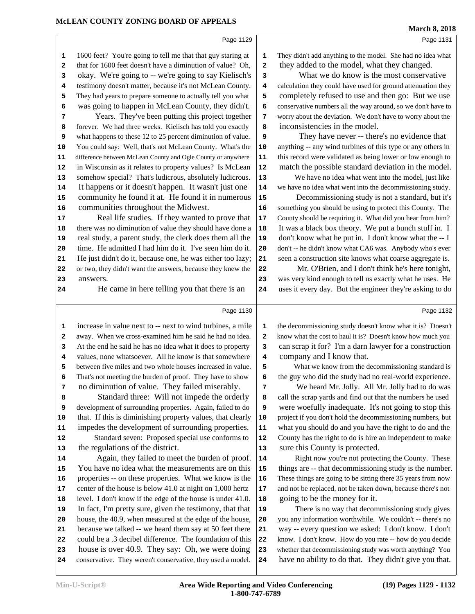#### Page 1129

 1600 feet? You're going to tell me that that guy staring at 1 that for 1600 feet doesn't have a diminution of value? Oh, 2 okay. We're going to -- we're going to say Kielisch's testimony doesn't matter, because it's not McLean County. 4 They had years to prepare someone to actually tell you what  $\begin{vmatrix} 5 \end{vmatrix}$  was going to happen in McLean County, they didn't. Years. They've been putting this project together  $\vert$  **7**  forever. We had three weeks. Kielisch has told you exactly **8**  what happens to these 12 to 25 percent diminution of value. **9**  You could say: Well, that's not McLean County. What's the 10 difference between McLean County and Ogle County or anywhere 11 in Wisconsin as it relates to property values? Is McLean | **12** 13 somehow special? That's ludicrous, absolutely ludicrous. 13 It happens or it doesn't happen. It wasn't just one | 14 community he found it at. He found it in numerous 15 communities throughout the Midwest. Real life studies. If they wanted to prove that 17 there was no diminution of value they should have done a | **18** 19 real study, a parent study, the clerk does them all the 19 something you should be using to protect this County. The

 time. He admitted I had him do it. I've seen him do it. He just didn't do it, because one, he was either too lazy; 21 or two, they didn't want the answers, because they knew the 22 answers.

He came in here telling you that there is an 24

Page 1130

 increase in value next to -- next to wind turbines, a mile 1 away. When we cross-examined him he said he had no idea. **2**  At the end he said he has no idea what it does to property 3 values, none whatsoever. All he know is that somewhere between five miles and two whole houses increased in value. 5 That's not meeting the burden of proof. They have to show **6**  no diminution of value. They failed miserably. Standard three: Will not impede the orderly **8**  development of surrounding properties. Again, failed to do **9**  that. If this is diminishing property values, that clearly 10 impedes the development of surrounding properties. 11 Standard seven: Proposed special use conforms to 12 the regulations of the district. Again, they failed to meet the burden of proof. 14 You have no idea what the measurements are on this 15 properties -- on these properties. What we know is the 16 center of the house is below 41.0 at night on 1,000 hertz | **17**  level. I don't know if the edge of the house is under 41.0. **18**  In fact, I'm pretty sure, given the testimony, that that 19 house, the 40.9, when measured at the edge of the house, 20 because we talked -- we heard them say at 50 feet there 21 could be a .3 decibel difference. The foundation of this 22 house is over 40.9. They say: Oh, we were doing conservative. They weren't conservative, they used a model. **24**   the decommissioning study doesn't know what it is? Doesn't know what the cost to haul it is? Doesn't know how much you can scrap it for? I'm a darn lawyer for a construction company and I know that.

 was very kind enough to tell us exactly what he uses. He uses it every day. But the engineer they're asking to do

 County should be requiring it. What did you hear from him? It was a black box theory. We put a bunch stuff in. I don't know what he put in. I don't know what the -- I don't -- he didn't know what CA6 was. Anybody who's ever seen a construction site knows what coarse aggregate is. Mr. O'Brien, and I don't think he's here tonight,

They didn't add anything to the model. She had no idea what they added to the model, what they changed.

inconsistencies in the model.

 What we do know is the most conservative calculation they could have used for ground attenuation they completely refused to use and then go: But we use conservative numbers all the way around, so we don't have to worry about the deviation. We don't have to worry about the

They have never -- there's no evidence that anything -- any wind turbines of this type or any others in this record were validated as being lower or low enough to match the possible standard deviation in the model. We have no idea what went into the model, just like we have no idea what went into the decommissioning study. Decommissioning study is not a standard, but it's

What we know from the decommissioning standard is the guy who did the study had no real-world experience.

 We heard Mr. Jolly. All Mr. Jolly had to do was call the scrap yards and find out that the numbers he used were woefully inadequate. It's not going to stop this project if you don't hold the decommissioning numbers, but what you should do and you have the right to do and the County has the right to do is hire an independent to make sure this County is protected.

Right now you're not protecting the County. These things are -- that decommissioning study is the number. These things are going to be sitting there 35 years from now and not be replaced, not be taken down, because there's not going to be the money for it.

There is no way that decommissioning study gives you any information worthwhile. We couldn't -- there's no way -- every question we asked: I don't know. I don't know. I don't know. How do you rate -- how do you decide whether that decommissioning study was worth anything? You have no ability to do that. They didn't give you that.

Page 1131

Page 1132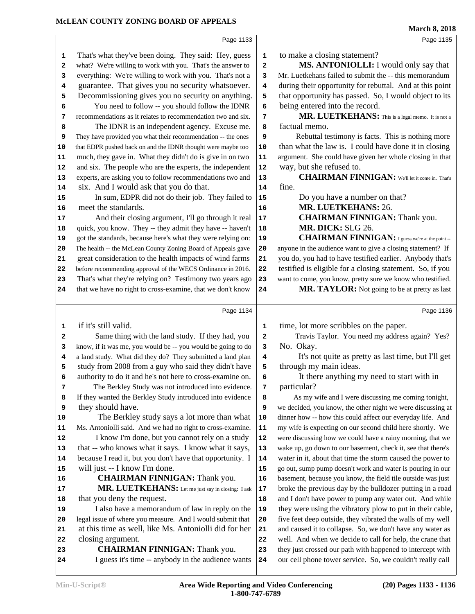|          |                                                                                            |            | March 8, 2018                                                                                                           |
|----------|--------------------------------------------------------------------------------------------|------------|-------------------------------------------------------------------------------------------------------------------------|
|          | Page 1133                                                                                  |            | Page 1135                                                                                                               |
| 1        | That's what they've been doing. They said: Hey, guess                                      | 1          | to make a closing statement?                                                                                            |
| 2        | what? We're willing to work with you. That's the answer to                                 | 2          | MS. ANTONIOLLI: I would only say that                                                                                   |
| з        | everything: We're willing to work with you. That's not a                                   | 3          | Mr. Luetkehans failed to submit the -- this memorandum                                                                  |
| 4        | guarantee. That gives you no security whatsoever.                                          | 4          | during their opportunity for rebuttal. And at this point                                                                |
| 5        | Decommissioning gives you no security on anything.                                         | 5          | that opportunity has passed. So, I would object to its                                                                  |
| 6        | You need to follow -- you should follow the IDNR                                           | 6          | being entered into the record.                                                                                          |
| 7        | recommendations as it relates to recommendation two and six.                               | 7          | MR. LUETKEHANS: This is a legal memo. It is not a                                                                       |
| 8        | The IDNR is an independent agency. Excuse me.                                              | 8          | factual memo.                                                                                                           |
| 9        | They have provided you what their recommendation -- the ones                               | 9          | Rebuttal testimony is facts. This is nothing more                                                                       |
| 10       | that EDPR pushed back on and the IDNR thought were maybe too                               | ${\bf 10}$ | than what the law is. I could have done it in closing                                                                   |
| 11       | much, they gave in. What they didn't do is give in on two                                  | 11         | argument. She could have given her whole closing in that                                                                |
| 12       | and six. The people who are the experts, the independent                                   | 12         | way, but she refused to.                                                                                                |
| 13       | experts, are asking you to follow recommendations two and                                  | 13         | <b>CHAIRMAN FINNIGAN:</b> We'll let it come in. That's                                                                  |
| 14       | six. And I would ask that you do that.                                                     | 14         | fine.                                                                                                                   |
| 15       | In sum, EDPR did not do their job. They failed to                                          | 15         | Do you have a number on that?                                                                                           |
| 16       | meet the standards.                                                                        | 16         | MR. LUETKEHANS: 26.                                                                                                     |
| 17       | And their closing argument, I'll go through it real                                        | 17         | <b>CHAIRMAN FINNIGAN: Thank you.</b>                                                                                    |
| 18       | quick, you know. They -- they admit they have -- haven't                                   | 18         | MR. DICK: SLG 26.                                                                                                       |
| 19       | got the standards, because here's what they were relying on:                               | 19         | <b>CHAIRMAN FINNIGAN:</b> I guess we're at the point --                                                                 |
| 20       | The health -- the McLean County Zoning Board of Appeals gave                               | 20         | anyone in the audience want to give a closing statement? If                                                             |
| 21       | great consideration to the health impacts of wind farms                                    | 21         | you do, you had to have testified earlier. Anybody that's                                                               |
| 22       | before recommending approval of the WECS Ordinance in 2016.                                | 22         | testified is eligible for a closing statement. So, if you                                                               |
| 23       | That's what they're relying on? Testimony two years ago                                    | 23         | want to come, you know, pretty sure we know who testified.                                                              |
| 24       | that we have no right to cross-examine, that we don't know                                 | 24         | MR. TAYLOR: Not going to be at pretty as last                                                                           |
|          | Page 1134                                                                                  |            | Page 1136                                                                                                               |
| 1        | if it's still valid.                                                                       | 1          | time, lot more scribbles on the paper.                                                                                  |
| 2        | Same thing with the land study. If they had, you                                           | 2          | Travis Taylor. You need my address again? Yes?                                                                          |
| 3        | know, if it was me, you would be -- you would be going to do                               | 3          | No. Okay.                                                                                                               |
| 4        | a land study. What did they do? They submitted a land plan                                 | 4          | It's not quite as pretty as last time, but I'll get                                                                     |
| 5        | study from 2008 from a guy who said they didn't have                                       | 5          | through my main ideas.                                                                                                  |
| 6        | authority to do it and he's not here to cross-examine on.                                  | 6          | It there anything my need to start with in                                                                              |
| 7        | The Berkley Study was not introduced into evidence.                                        | 7          | particular?                                                                                                             |
| 8        | If they wanted the Berkley Study introduced into evidence                                  | 8          | As my wife and I were discussing me coming tonight,                                                                     |
| 9        | they should have.                                                                          | 9          | we decided, you know, the other night we were discussing at                                                             |
| 10       | The Berkley study says a lot more than what                                                | 10         | dinner how -- how this could affect our everyday life. And                                                              |
| 11       | Ms. Antoniolli said. And we had no right to cross-examine.                                 | 11         | my wife is expecting on our second child here shortly. We                                                               |
| 12       | I know I'm done, but you cannot rely on a study                                            | 12         | were discussing how we could have a rainy morning, that we                                                              |
| 13       | that -- who knows what it says. I know what it says,                                       | 13         | wake up, go down to our basement, check it, see that there's                                                            |
| 14       | because I read it, but you don't have that opportunity. I                                  | 14         | water in it, about that time the storm caused the power to                                                              |
| 15       | will just -- I know I'm done.                                                              | 15         | go out, sump pump doesn't work and water is pouring in our                                                              |
| 16       | <b>CHAIRMAN FINNIGAN:</b> Thank you.                                                       | 16         | basement, because you know, the field tile outside was just                                                             |
| 17       | MR. LUETKEHANS: Let me just say in closing: I ask                                          | 17         | broke the previous day by the bulldozer putting in a road                                                               |
| 18       | that you deny the request.                                                                 | 18         | and I don't have power to pump any water out. And while                                                                 |
| 19       | I also have a memorandum of law in reply on the                                            | 19         | they were using the vibratory plow to put in their cable,                                                               |
| 20       | legal issue of where you measure. And I would submit that                                  | 20         | five feet deep outside, they vibrated the walls of my well                                                              |
| 21       | at this time as well, like Ms. Antoniolli did for her                                      | 21         | and caused it to collapse. So, we don't have any water as                                                               |
| 22       | closing argument.                                                                          | 22         | well. And when we decide to call for help, the crane that                                                               |
| 23<br>24 | <b>CHAIRMAN FINNIGAN:</b> Thank you.<br>I guess it's time -- anybody in the audience wants | 23         | they just crossed our path with happened to intercept with<br>our cell phone tower service. So, we couldn't really call |
|          |                                                                                            | 24         |                                                                                                                         |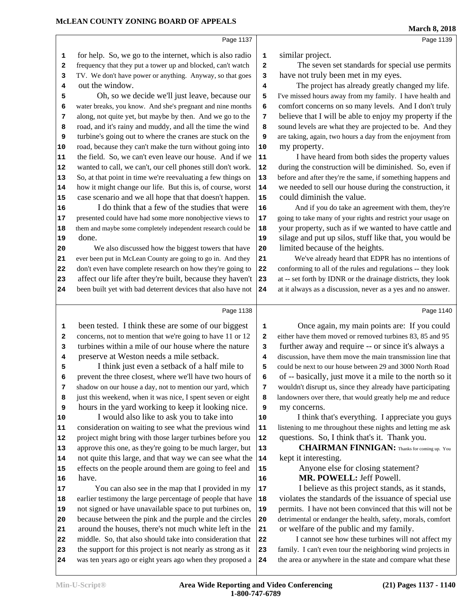# **March 8, 2018**

Page 1139

| 1        | for help. So, we go to the internet, which is also radio                                                                 | 1                       | sin             |
|----------|--------------------------------------------------------------------------------------------------------------------------|-------------------------|-----------------|
| 2        | frequency that they put a tower up and blocked, can't watch                                                              | $\overline{\mathbf{2}}$ |                 |
| 3        | TV. We don't have power or anything. Anyway, so that goes                                                                | 3                       | ha              |
| 4        | out the window.                                                                                                          | 4                       |                 |
| 5        | Oh, so we decide we'll just leave, because our                                                                           | 5                       | I've            |
| 6        | water breaks, you know. And she's pregnant and nine months                                                               | 6                       | cor             |
| 7        | along, not quite yet, but maybe by then. And we go to the                                                                | 7                       | bel             |
| 8        | road, and it's rainy and muddy, and all the time the wind                                                                | 8                       | sou             |
| 9        | turbine's going out to where the cranes are stuck on the                                                                 | 9                       | are             |
| 10       | road, because they can't make the turn without going into                                                                | 10                      | my              |
| 11       | the field. So, we can't even leave our house. And if we                                                                  | 11                      |                 |
| 12       | wanted to call, we can't, our cell phones still don't work.                                                              | 12                      | dur             |
| 13       | So, at that point in time we're reevaluating a few things on                                                             | 13                      | befo            |
| 14       | how it might change our life. But this is, of course, worst                                                              | 14                      | we              |
| 15       | case scenario and we all hope that that doesn't happen.<br>I do think that a few of the studies that were                | 15                      | CO <sub>1</sub> |
| 16       |                                                                                                                          | 16                      |                 |
| 17       | presented could have had some more nonobjective views to                                                                 | 17                      | goir            |
| 18       | them and maybe some completely independent research could be<br>done.                                                    | 18                      | you             |
| 19       |                                                                                                                          | 19                      | sila            |
| 20       | We also discussed how the biggest towers that have                                                                       | 20                      | lin             |
| 21       | ever been put in McLean County are going to go in. And they<br>don't even have complete research on how they're going to | 21<br>22                | con             |
| 22<br>23 | affect our life after they're built, because they haven't                                                                | 23                      | $at -$          |
| 24       | been built yet with bad deterrent devices that also have not                                                             | 24                      | at it           |
|          |                                                                                                                          |                         |                 |
|          | Page 1138                                                                                                                |                         |                 |
| 1        | been tested. I think these are some of our biggest                                                                       | 1                       |                 |
| 2        | concerns, not to mention that we're going to have 11 or 12                                                               | 2                       | eith            |
| 3        | turbines within a mile of our house where the nature                                                                     | 3                       | fur             |
| 4        | preserve at Weston needs a mile setback.                                                                                 | 4                       | disc            |
| 5        | I think just even a setback of a half mile to                                                                            | 5                       | coul            |
| 6        | prevent the three closest, where we'll have two hours of                                                                 | 6                       | οf              |
| 7        | shadow on our house a day, not to mention our yard, which                                                                | 7                       | WO              |
| 8        | just this weekend, when it was nice, I spent seven or eight                                                              | 8                       | land            |
| 9        | hours in the yard working to keep it looking nice.                                                                       | 9                       | my              |
| 10       | I would also like to ask you to take into                                                                                | 10                      |                 |
| 11       | consideration on waiting to see what the previous wind                                                                   | 11                      | liste           |
| 12       | project might bring with those larger turbines before you                                                                | 12                      | qu              |
| 13       | approve this one, as they're going to be much larger, but                                                                | 13                      |                 |
| 14       | not quite this large, and that way we can see what the                                                                   | 14                      | ke <sub>l</sub> |
| 15       | effects on the people around them are going to feel and                                                                  | 15                      |                 |
| 16       | have.                                                                                                                    | 16                      |                 |
| 17       | You can also see in the map that I provided in my                                                                        | 17                      |                 |
| 18       | earlier testimony the large percentage of people that have                                                               | 18                      | vic             |
| 19       | not signed or have unavailable space to put turbines on,                                                                 | 19                      | per             |
| 20       | because between the pink and the purple and the circles                                                                  | 20                      | detr            |
| 21       | around the houses, there's not much white left in the                                                                    | 21                      | or              |
| 22       | middle. So, that also should take into consideration that                                                                | 22                      |                 |
| 23       | the support for this project is not nearly as strong as it                                                               | 23                      | fam             |
| 24       | was ten years ago or eight years ago when they proposed a                                                                | 24                      | the             |
|          |                                                                                                                          |                         |                 |

milar project.

Page 1137

The seven set standards for special use permits  $v$ e not truly been met in my eyes.

The project has already greatly changed my life. missed hours away from my family. I have health and mfort concerns on so many levels. And I don't truly lieve that I will be able to enjoy my property if the and levels are what they are projected to be. And they taking, again, two hours a day from the enjoyment from **10** my property.

**11** I have heard from both sides the property values ing the construction will be diminished. So, even if before and after they're the same, if something happens and needed to sell our house during the construction, it **15** could diminish the value.

**16** And if you do take an agreement with them, they're 18<sup>1</sup> got take many of your rights and restrict your usage on ar property, such as if we wanted to have cattle and age and put up silos, stuff like that, you would be **20** limited because of the heights.

**21** We've already heard that EDPR has no intentions of forming to all of the rules and regulations -- they look - set forth by **IDNR** or the drainage districts, they look always as a discussion, never as a yes and no answer.

#### Page 1140

Once again, my main points are: If you could er have them moved or removed turbines 83, 85 and 95 rther away and require -- or since it's always a **E** ussion, have them move the main transmission line that d be next to our house between 29 and 3000 North Road -- basically, just move it a mile to the north so it  **7** wouldn't disrupt us, since they already have participating lowners over there, that would greatly help me and reduce  *concerns.* 

I think that's everything. I appreciate you guys ening to me throughout these nights and letting me ask estions. So, I think that's it. Thank you.

**13 CHAIRMAN FINNIGAN:** Thanks for coming up. You pt it interesting.

> Anyone else for closing statement? **16 MR. POWELL:** Jeff Powell.

**17** I believe as this project stands, as it stands, blates the standards of the issuance of special use mits. I have not been convinced that this will not be imental or endanger the health, safety, morals, comfort welfare of the public and my family.

**22** I cannot see how these turbines will not affect my **23** family. I can't even tour the neighboring wind projects in area or anywhere in the state and compare what these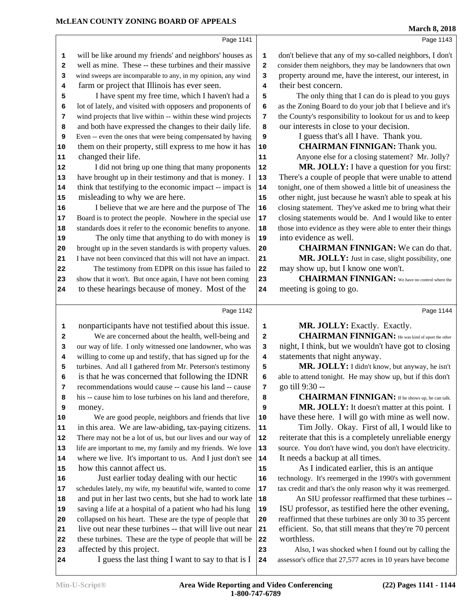Г

# Page 1141

Page 1143

|                                                 | Page 1141                                                                                                                                                                                                                                                                                                                                                                                                                                                                                                                                                                                                  |                                                 | Page 1145                                                                                                                                                                                                                                                                                                                                                                                                                                                                                                            |
|-------------------------------------------------|------------------------------------------------------------------------------------------------------------------------------------------------------------------------------------------------------------------------------------------------------------------------------------------------------------------------------------------------------------------------------------------------------------------------------------------------------------------------------------------------------------------------------------------------------------------------------------------------------------|-------------------------------------------------|----------------------------------------------------------------------------------------------------------------------------------------------------------------------------------------------------------------------------------------------------------------------------------------------------------------------------------------------------------------------------------------------------------------------------------------------------------------------------------------------------------------------|
| 1<br>2<br>3<br>4<br>5<br>6<br>7<br>8<br>9<br>10 | will be like around my friends' and neighbors' houses as<br>well as mine. These -- these turbines and their massive<br>wind sweeps are incomparable to any, in my opinion, any wind<br>farm or project that Illinois has ever seen.<br>I have spent my free time, which I haven't had a<br>lot of lately, and visited with opposers and proponents of<br>wind projects that live within -- within these wind projects<br>and both have expressed the changes to their daily life.<br>Even -- even the ones that were being compensated by having<br>them on their property, still express to me how it has | 1<br>2<br>3<br>4<br>5<br>6<br>7<br>8<br>9<br>10 | don't believe that any of my so-called neighbors, I don't<br>consider them neighbors, they may be landowners that own<br>property around me, have the interest, our interest, in<br>their best concern.<br>The only thing that I can do is plead to you guys<br>as the Zoning Board to do your job that I believe and it's<br>the County's responsibility to lookout for us and to keep<br>our interests in close to your decision.<br>I guess that's all I have. Thank you.<br><b>CHAIRMAN FINNIGAN: Thank you.</b> |
| 11                                              | changed their life.                                                                                                                                                                                                                                                                                                                                                                                                                                                                                                                                                                                        | 11                                              | Anyone else for a closing statement? Mr. Jolly?                                                                                                                                                                                                                                                                                                                                                                                                                                                                      |
| 12                                              | I did not bring up one thing that many proponents                                                                                                                                                                                                                                                                                                                                                                                                                                                                                                                                                          | 12                                              | MR. JOLLY: I have a question for you first:                                                                                                                                                                                                                                                                                                                                                                                                                                                                          |
| 13                                              | have brought up in their testimony and that is money. I                                                                                                                                                                                                                                                                                                                                                                                                                                                                                                                                                    | $13$                                            | There's a couple of people that were unable to attend                                                                                                                                                                                                                                                                                                                                                                                                                                                                |
| 14                                              | think that testifying to the economic impact -- impact is                                                                                                                                                                                                                                                                                                                                                                                                                                                                                                                                                  | 14                                              | tonight, one of them showed a little bit of uneasiness the                                                                                                                                                                                                                                                                                                                                                                                                                                                           |
| 15                                              | misleading to why we are here.                                                                                                                                                                                                                                                                                                                                                                                                                                                                                                                                                                             | 15                                              | other night, just because he wasn't able to speak at his                                                                                                                                                                                                                                                                                                                                                                                                                                                             |
| 16<br>17                                        | I believe that we are here and the purpose of The<br>Board is to protect the people. Nowhere in the special use                                                                                                                                                                                                                                                                                                                                                                                                                                                                                            | 16<br>17                                        | closing statement. They've asked me to bring what their<br>closing statements would be. And I would like to enter                                                                                                                                                                                                                                                                                                                                                                                                    |
| 18                                              | standards does it refer to the economic benefits to anyone.                                                                                                                                                                                                                                                                                                                                                                                                                                                                                                                                                | 18                                              | those into evidence as they were able to enter their things                                                                                                                                                                                                                                                                                                                                                                                                                                                          |
| 19                                              | The only time that anything to do with money is                                                                                                                                                                                                                                                                                                                                                                                                                                                                                                                                                            | 19                                              | into evidence as well.                                                                                                                                                                                                                                                                                                                                                                                                                                                                                               |
| 20                                              | brought up in the seven standards is with property values.                                                                                                                                                                                                                                                                                                                                                                                                                                                                                                                                                 | 20                                              | <b>CHAIRMAN FINNIGAN:</b> We can do that.                                                                                                                                                                                                                                                                                                                                                                                                                                                                            |
| 21                                              | I have not been convinced that this will not have an impact.                                                                                                                                                                                                                                                                                                                                                                                                                                                                                                                                               | 21                                              | MR. JOLLY: Just in case, slight possibility, one                                                                                                                                                                                                                                                                                                                                                                                                                                                                     |
| 22                                              | The testimony from EDPR on this issue has failed to                                                                                                                                                                                                                                                                                                                                                                                                                                                                                                                                                        | 22                                              | may show up, but I know one won't.                                                                                                                                                                                                                                                                                                                                                                                                                                                                                   |
| 23                                              | show that it won't. But once again, I have not been coming                                                                                                                                                                                                                                                                                                                                                                                                                                                                                                                                                 | 23                                              | <b>CHAIRMAN FINNIGAN:</b> We have no control where the                                                                                                                                                                                                                                                                                                                                                                                                                                                               |
| 24                                              | to these hearings because of money. Most of the                                                                                                                                                                                                                                                                                                                                                                                                                                                                                                                                                            | 24                                              | meeting is going to go.                                                                                                                                                                                                                                                                                                                                                                                                                                                                                              |
|                                                 | Page 1142                                                                                                                                                                                                                                                                                                                                                                                                                                                                                                                                                                                                  |                                                 | Page 1144                                                                                                                                                                                                                                                                                                                                                                                                                                                                                                            |
|                                                 |                                                                                                                                                                                                                                                                                                                                                                                                                                                                                                                                                                                                            |                                                 |                                                                                                                                                                                                                                                                                                                                                                                                                                                                                                                      |
| 1                                               | nonparticipants have not testified about this issue.<br>We are concerned about the health, well-being and                                                                                                                                                                                                                                                                                                                                                                                                                                                                                                  | 1<br>$\mathbf{2}$                               | MR. JOLLY: Exactly. Exactly.<br><b>CHAIRMAN FINNIGAN:</b> He was kind of upset the other                                                                                                                                                                                                                                                                                                                                                                                                                             |
| 2<br>3                                          | our way of life. I only witnessed one landowner, who was                                                                                                                                                                                                                                                                                                                                                                                                                                                                                                                                                   | 3                                               | night, I think, but we wouldn't have got to closing                                                                                                                                                                                                                                                                                                                                                                                                                                                                  |
| 4                                               | willing to come up and testify, that has signed up for the                                                                                                                                                                                                                                                                                                                                                                                                                                                                                                                                                 | $\overline{\mathbf{4}}$                         | statements that night anyway.                                                                                                                                                                                                                                                                                                                                                                                                                                                                                        |
| 5                                               | turbines. And all I gathered from Mr. Peterson's testimony                                                                                                                                                                                                                                                                                                                                                                                                                                                                                                                                                 | 5                                               | MR. JOLLY: I didn't know, but anyway, he isn't                                                                                                                                                                                                                                                                                                                                                                                                                                                                       |
| 6                                               | is that he was concerned that following the IDNR                                                                                                                                                                                                                                                                                                                                                                                                                                                                                                                                                           |                                                 |                                                                                                                                                                                                                                                                                                                                                                                                                                                                                                                      |
|                                                 |                                                                                                                                                                                                                                                                                                                                                                                                                                                                                                                                                                                                            | 6                                               | able to attend tonight. He may show up, but if this don't                                                                                                                                                                                                                                                                                                                                                                                                                                                            |
| 7                                               | recommendations would cause -- cause his land -- cause                                                                                                                                                                                                                                                                                                                                                                                                                                                                                                                                                     | 7                                               | go till 9:30 --                                                                                                                                                                                                                                                                                                                                                                                                                                                                                                      |
| 8                                               | his -- cause him to lose turbines on his land and therefore,                                                                                                                                                                                                                                                                                                                                                                                                                                                                                                                                               | 8                                               | <b>CHAIRMAN FINNIGAN:</b> If he shows up, he can talk.                                                                                                                                                                                                                                                                                                                                                                                                                                                               |
| 9                                               | money.                                                                                                                                                                                                                                                                                                                                                                                                                                                                                                                                                                                                     | 9                                               | MR. JOLLY: It doesn't matter at this point. I                                                                                                                                                                                                                                                                                                                                                                                                                                                                        |
| 10                                              | We are good people, neighbors and friends that live                                                                                                                                                                                                                                                                                                                                                                                                                                                                                                                                                        | 10                                              | have these here. I will go with mine as well now.                                                                                                                                                                                                                                                                                                                                                                                                                                                                    |
| 11<br>12                                        | in this area. We are law-abiding, tax-paying citizens.                                                                                                                                                                                                                                                                                                                                                                                                                                                                                                                                                     | ${\bf 11}$                                      | Tim Jolly. Okay. First of all, I would like to                                                                                                                                                                                                                                                                                                                                                                                                                                                                       |
| 13                                              | There may not be a lot of us, but our lives and our way of<br>life are important to me, my family and my friends. We love                                                                                                                                                                                                                                                                                                                                                                                                                                                                                  | ${\bf 12}$<br>13                                | reiterate that this is a completely unreliable energy<br>source. You don't have wind, you don't have electricity.                                                                                                                                                                                                                                                                                                                                                                                                    |
| 14                                              | where we live. It's important to us. And I just don't see                                                                                                                                                                                                                                                                                                                                                                                                                                                                                                                                                  | 14                                              | It needs a backup at all times.                                                                                                                                                                                                                                                                                                                                                                                                                                                                                      |
| 15                                              | how this cannot affect us.                                                                                                                                                                                                                                                                                                                                                                                                                                                                                                                                                                                 | 15                                              | As I indicated earlier, this is an antique                                                                                                                                                                                                                                                                                                                                                                                                                                                                           |
| 16                                              | Just earlier today dealing with our hectic                                                                                                                                                                                                                                                                                                                                                                                                                                                                                                                                                                 | 16                                              | technology. It's reemerged in the 1990's with government                                                                                                                                                                                                                                                                                                                                                                                                                                                             |
| 17                                              | schedules lately, my wife, my beautiful wife, wanted to come                                                                                                                                                                                                                                                                                                                                                                                                                                                                                                                                               | $17\,$                                          | tax credit and that's the only reason why it was reemerged.                                                                                                                                                                                                                                                                                                                                                                                                                                                          |
| 18                                              | and put in her last two cents, but she had to work late                                                                                                                                                                                                                                                                                                                                                                                                                                                                                                                                                    | 18                                              | An SIU professor reaffirmed that these turbines --                                                                                                                                                                                                                                                                                                                                                                                                                                                                   |
| 19                                              | saving a life at a hospital of a patient who had his lung                                                                                                                                                                                                                                                                                                                                                                                                                                                                                                                                                  | 19                                              | ISU professor, as testified here the other evening,                                                                                                                                                                                                                                                                                                                                                                                                                                                                  |
| 20                                              | collapsed on his heart. These are the type of people that                                                                                                                                                                                                                                                                                                                                                                                                                                                                                                                                                  | 20                                              | reaffirmed that these turbines are only 30 to 35 percent                                                                                                                                                                                                                                                                                                                                                                                                                                                             |
| 21<br>22                                        | live out near these turbines -- that will live out near<br>these turbines. These are the type of people that will be                                                                                                                                                                                                                                                                                                                                                                                                                                                                                       | 21<br>22                                        | efficient. So, that still means that they're 70 percent<br>worthless.                                                                                                                                                                                                                                                                                                                                                                                                                                                |
| 23                                              | affected by this project.                                                                                                                                                                                                                                                                                                                                                                                                                                                                                                                                                                                  | 23                                              | Also, I was shocked when I found out by calling the                                                                                                                                                                                                                                                                                                                                                                                                                                                                  |
| 24                                              | I guess the last thing I want to say to that is I                                                                                                                                                                                                                                                                                                                                                                                                                                                                                                                                                          | 24                                              | assessor's office that 27,577 acres in 10 years have become                                                                                                                                                                                                                                                                                                                                                                                                                                                          |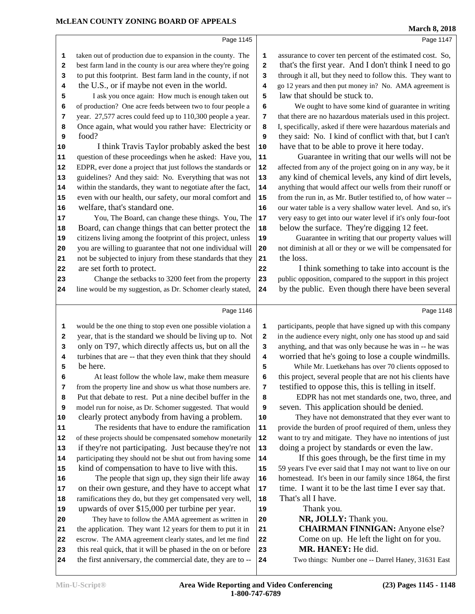Page 1145 taken out of production due to expansion in the county. The **1**  best farm land in the county is our area where they're going 2 to put this footprint. Best farm land in the county, if not the U.S., or if maybe not even in the world. I ask you once again: How much is enough taken out 5 of production? One acre feeds between two to four people a **6**  year. 27,577 acres could feed up to 110,300 people a year. **7**  Once again, what would you rather have: Electricity or **8**  food? 10 I think Travis Taylor probably asked the best 10 question of these proceedings when he asked: Have you, 11 EDPR, ever done a project that just follows the standards or | **12**  guidelines? And they said: No. Everything that was not 13 within the standards, they want to negotiate after the fact, | **14**  even with our health, our safety, our moral comfort and 15 welfare, that's standard one. You, The Board, can change these things. You, The 17 18 Board, can change things that can better protect the 18 citizens living among the footprint of this project, unless | **19**  you are willing to guarantee that not one individual will 20 not be subjected to injury from these standards that they **21**  are set forth to protect. 23 Change the setbacks to 3200 feet from the property 23 line would be my suggestion, as Dr. Schomer clearly stated, 24 Page 1146 would be the one thing to stop even one possible violation a **1**  year, that is the standard we should be living up to. Not 2 only on T97, which directly affects us, but on all the **3**  turbines that are -- that they even think that they should **4**  be here. At least follow the whole law, make them measure from the property line and show us what those numbers are. **7** 8 Put that debate to rest. Put a nine decibel buffer in the 8 model run for noise, as Dr. Schomer suggested. That would **9**  clearly protect anybody from having a problem. The residents that have to endure the ramification 11 of these projects should be compensated somehow monetarily | **12**  if they're not participating. Just because they're not | **13**  participating they should not be shut out from having some | **14**  kind of compensation to have to live with this. The people that sign up, they sign their life away 16 on their own gesture, and they have to accept what 17 ramifications they do, but they get compensated very well, 18 upwards of over \$15,000 per turbine per year. They have to follow the AMA agreement as written in 20 the application. They want 12 years for them to put it in 21 escrow. The AMA agreement clearly states, and let me find 22 23 this real quick, that it will be phased in the on or before 23 the first anniversary, the commercial date, they are to -- 24 Page 1147 assurance to cover ten percent of the estimated cost. So, that's the first year. And I don't think I need to go through it all, but they need to follow this. They want to go 12 years and then put money in? No. AMA agreement is law that should be stuck to. We ought to have some kind of guarantee in writing that there are no hazardous materials used in this project. I, specifically, asked if there were hazardous materials and they said: No. I kind of conflict with that, but I can't have that to be able to prove it here today. Guarantee in writing that our wells will not be affected from any of the project going on in any way, be it any kind of chemical levels, any kind of dirt levels, anything that would affect our wells from their runoff or from the run in, as Mr. Butler testified to, of how water -- our water table is a very shallow water level. And so, it's very easy to get into our water level if it's only four-foot below the surface. They're digging 12 feet. Guarantee in writing that our property values will not diminish at all or they or we will be compensated for the loss. I think something to take into account is the public opposition, compared to the support in this project by the public. Even though there have been several Page 1148 participants, people that have signed up with this company in the audience every night, only one has stood up and said anything, and that was only because he was in -- he was worried that he's going to lose a couple windmills. While Mr. Luetkehans has over 70 clients opposed to this project, several people that are not his clients have testified to oppose this, this is telling in itself. EDPR has not met standards one, two, three, and seven. This application should be denied. They have not demonstrated that they ever want to provide the burden of proof required of them, unless they want to try and mitigate. They have no intentions of just doing a project by standards or even the law. If this goes through, be the first time in my 59 years I've ever said that I may not want to live on our homestead. It's been in our family since 1864, the first time. I want it to be the last time I ever say that. That's all I have. Thank you.  **NR, JOLLY:** Thank you.  **CHAIRMAN FINNIGAN:** Anyone else? Come on up. He left the light on for you.  **MR. HANEY:** He did. Two things: Number one -- Darrel Haney, 31631 East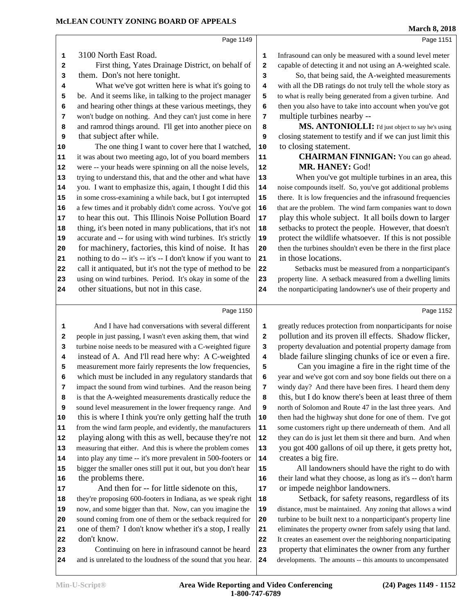Page 1151

Page 1152

Page 1149 3100 North East Road. First thing, Yates Drainage District, on behalf of | 2 them. Don's not here tonight. What we've got written here is what it's going to  $\begin{vmatrix} 4 \end{vmatrix}$  be. And it seems like, in talking to the project manager 5 and hearing other things at these various meetings, they **6**  won't budge on nothing. And they can't just come in here 7 and ramrod things around. I'll get into another piece on | **8**  that subject after while. The one thing I want to cover here that I watched, 10 it was about two meeting ago, lot of you board members | **11**  were -- your heads were spinning on all the noise levels, 12 trying to understand this, that and the other and what have 13 you. I want to emphasize this, again, I thought I did this 14 in some cross-examining a while back, but I got interrupted 15 a few times and it probably didn't come across. You've got 16 17 to hear this out. This Illinois Noise Pollution Board 17 thing, it's been noted in many publications, that it's not | **18**  accurate and -- for using with wind turbines. It's strictly | **19**  for machinery, factories, this kind of noise. It has nothing to do -- it's -- it's -- I don't know if you want to  $|21|$  call it antiquated, but it's not the type of method to be 22 using on wind turbines. Period. It's okay in some of the 23 other situations, but not in this case. closing statement to testify and if we can just limit this the nonparticipating landowner's use of their property and

Page 1150

 And I have had conversations with several different 1 people in just passing, I wasn't even asking them, that wind 2 turbine noise needs to be measured with a C-weighted figure 3 instead of A. And I'll read here why: A C-weighted measurement more fairly represents the low frequencies, **5**  which must be included in any regulatory standards that **6**  impact the sound from wind turbines. And the reason being 7 is that the A-weighted measurements drastically reduce the **8**  sound level measurement in the lower frequency range. And **9**  this is where I think you're only getting half the truth | **10**  from the wind farm people, and evidently, the manufacturers **11**  playing along with this as well, because they're not | **12**  measuring that either. And this is where the problem comes 13 into play any time -- it's more prevalent in 500-footers or | **14**  bigger the smaller ones still put it out, but you don't hear | **15**  the problems there. And then for -- for little sidenote on this, they're proposing 600-footers in Indiana, as we speak right 18 now, and some bigger than that. Now, can you imagine the 19 sound coming from one of them or the setback required for 20 one of them? I don't know whether it's a stop, I really 21 don't know. Continuing on here in infrasound cannot be heard 23 and is unrelated to the loudness of the sound that you hear. **24** 

greatly reduces protection from nonparticipants for noise pollution and its proven ill effects. Shadow flicker, property devaluation and potential property damage from blade failure slinging chunks of ice or even a fire.

 Infrasound can only be measured with a sound level meter capable of detecting it and not using an A-weighted scale. So, that being said, the A-weighted measurements with all the DB ratings do not truly tell the whole story as to what is really being generated from a given turbine. And then you also have to take into account when you've got

**MS. ANTONIOLLI:** I'd just object to say he's using

 **CHAIRMAN FINNIGAN:** You can go ahead.

 When you've got multiple turbines in an area, this noise compounds itself. So, you've got additional problems there. It is low frequencies and the infrasound frequencies that are the problem. The wind farm companies want to down play this whole subject. It all boils down to larger setbacks to protect the people. However, that doesn't protect the wildlife whatsoever. If this is not possible then the turbines shouldn't even be there in the first place

 Setbacks must be measured from a nonparticipant's property line. A setback measured from a dwelling limits

multiple turbines nearby --

 **MR. HANEY:** God!

to closing statement.

in those locations.

 Can you imagine a fire in the right time of the year and we've got corn and soy bone fields out there on a windy day? And there have been fires. I heard them deny this, but I do know there's been at least three of them north of Solomon and Route 47 in the last three years. And then had the highway shut done for one of them. I've got some customers right up there underneath of them. And all they can do is just let them sit there and burn. And when you got 400 gallons of oil up there, it gets pretty hot, creates a big fire.

 All landowners should have the right to do with their land what they choose, as long as it's -- don't harm or impede neighbor landowners.

Setback, for safety reasons, regardless of its distance, must be maintained. Any zoning that allows a wind turbine to be built next to a nonparticipant's property line eliminates the property owner from safely using that land. It creates an easement over the neighboring nonparticipating property that eliminates the owner from any further developments. The amounts -- this amounts to uncompensated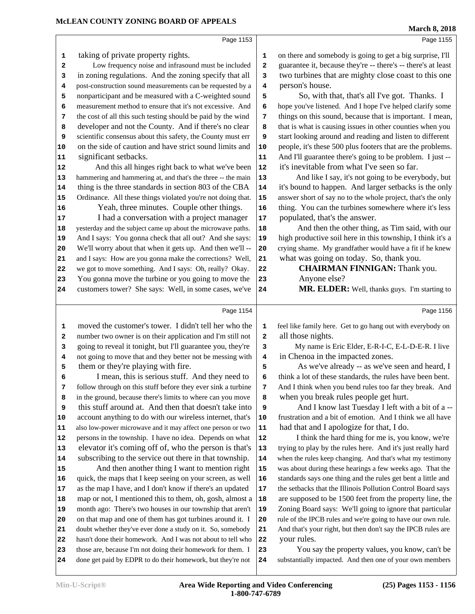|         | Page 1153                                                                                                                 |            | Page 1155                                                                                     |
|---------|---------------------------------------------------------------------------------------------------------------------------|------------|-----------------------------------------------------------------------------------------------|
| 1       | taking of private property rights.                                                                                        | 1          | on there and somebody is going to get a big surprise, I'll                                    |
| 2       | Low frequency noise and infrasound must be included                                                                       | 2          | guarantee it, because they're -- there's -- there's at least                                  |
| 3       | in zoning regulations. And the zoning specify that all                                                                    | 3          | two turbines that are mighty close coast to this one                                          |
| 4       | post-construction sound measurements can be requested by a                                                                | 4          | person's house.                                                                               |
| 5       | nonparticipant and be measured with a C-weighted sound                                                                    | 5          | So, with that, that's all I've got. Thanks. I                                                 |
| 6       | measurement method to ensure that it's not excessive. And                                                                 | 6          | hope you've listened. And I hope I've helped clarify some                                     |
| 7       | the cost of all this such testing should be paid by the wind                                                              | 7          | things on this sound, because that is important. I mean,                                      |
| 8       | developer and not the County. And if there's no clear                                                                     | 8          | that is what is causing issues in other counties when you                                     |
| 9       | scientific consensus about this safety, the County must err                                                               | 9          | start looking around and reading and listen to different                                      |
| 10      | on the side of caution and have strict sound limits and                                                                   | 10         | people, it's these 500 plus footers that are the problems.                                    |
| 11      | significant setbacks.                                                                                                     | ${\bf 11}$ | And I'll guarantee there's going to be problem. I just --                                     |
| 12      | And this all hinges right back to what we've been                                                                         | 12         | it's inevitable from what I've seen so far.                                                   |
| 13      | hammering and hammering at, and that's the three -- the main                                                              | 13         | And like I say, it's not going to be everybody, but                                           |
| 14      | thing is the three standards in section 803 of the CBA                                                                    | 14         | it's bound to happen. And larger setbacks is the only                                         |
| 15      | Ordinance. All these things violated you're not doing that.                                                               | 15         | answer short of say no to the whole project, that's the only                                  |
| 16      | Yeah, three minutes. Couple other things.                                                                                 | 16         | thing. You can the turbines somewhere where it's less                                         |
| 17      | I had a conversation with a project manager                                                                               | 17         | populated, that's the answer.                                                                 |
| 18      | yesterday and the subject came up about the microwave paths.                                                              | 18         | And then the other thing, as Tim said, with our                                               |
| 19      | And I says: You gonna check that all out? And she says:                                                                   | 19         | high productive soil here in this township, I think it's a                                    |
| 20      | We'll worry about that when it gets up. And then we'll --                                                                 | 20         | crying shame. My grandfather would have a fit if he knew                                      |
| 21      | and I says: How are you gonna make the corrections? Well,                                                                 | 21         | what was going on today. So, thank you.                                                       |
| 22      | we got to move something. And I says: Oh, really? Okay.                                                                   | 22         | <b>CHAIRMAN FINNIGAN: Thank you.</b>                                                          |
| 23      | You gonna move the turbine or you going to move the                                                                       | 23         | Anyone else?                                                                                  |
| 24      | customers tower? She says: Well, in some cases, we've                                                                     | 24         | MR. ELDER: Well, thanks guys. I'm starting to                                                 |
|         |                                                                                                                           |            |                                                                                               |
|         |                                                                                                                           |            |                                                                                               |
|         | Page 1154                                                                                                                 |            | Page 1156                                                                                     |
|         |                                                                                                                           |            |                                                                                               |
| 1       | moved the customer's tower. I didn't tell her who the                                                                     | 1          | feel like family here. Get to go hang out with everybody on                                   |
| 2       | number two owner is on their application and I'm still not                                                                | 2          | all those nights.                                                                             |
| 3       | going to reveal it tonight, but I'll guarantee you, they're                                                               | 3          | My name is Eric Elder, E-R-I-C, E-L-D-E-R. I live                                             |
| 4       | not going to move that and they better not be messing with                                                                | 4          | in Chenoa in the impacted zones.                                                              |
| 5       | them or they're playing with fire.                                                                                        | 5          | As we've already -- as we've seen and heard, I                                                |
| 6       | I mean, this is serious stuff. And they need to                                                                           | 6          | think a lot of these standards, the rules have been bent.                                     |
| 7       | follow through on this stuff before they ever sink a turbine                                                              | 7          | And I think when you bend rules too far they break. And                                       |
| 8       | in the ground, because there's limits to where can you move                                                               | 8          | when you break rules people get hurt.                                                         |
| 9<br>10 | this stuff around at. And then that doesn't take into                                                                     | 9<br>10    | And I know last Tuesday I left with a bit of a --                                             |
| 11      | account anything to do with our wireless internet, that's<br>also low-power microwave and it may affect one person or two | 11         | frustration and a bit of emotion. And I think we all have                                     |
| 12      | persons in the township. I have no idea. Depends on what                                                                  | 12         | had that and I apologize for that, I do.<br>I think the hard thing for me is, you know, we're |
| 13      | elevator it's coming off of, who the person is that's                                                                     | 13         | trying to play by the rules here. And it's just really hard                                   |
| 14      | subscribing to the service out there in that township.                                                                    | 14         | when the rules keep changing. And that's what my testimony                                    |
| 15      | And then another thing I want to mention right                                                                            | 15         | was about during these hearings a few weeks ago. That the                                     |
| 16      | quick, the maps that I keep seeing on your screen, as well                                                                | 16         | standards says one thing and the rules get bent a little and                                  |
| 17      | as the map I have, and I don't know if there's an updated                                                                 | 17         | the setbacks that the Illinois Pollution Control Board says                                   |
| 18      | map or not, I mentioned this to them, oh, gosh, almost a                                                                  | 18         | are supposed to be 1500 feet from the property line, the                                      |
| 19      | month ago: There's two houses in our township that aren't                                                                 | 19         | Zoning Board says: We'll going to ignore that particular                                      |
| 20      | on that map and one of them has got turbines around it. I                                                                 | 20         | rule of the IPCB rules and we're going to have our own rule.                                  |
| 21      | doubt whether they've ever done a study on it. So, somebody                                                               | 21         | And that's your right, but then don't say the IPCB rules are                                  |
| 22      | hasn't done their homework. And I was not about to tell who                                                               | 22         | your rules.                                                                                   |
| 23      | those are, because I'm not doing their homework for them. I                                                               | 23         | You say the property values, you know, can't be                                               |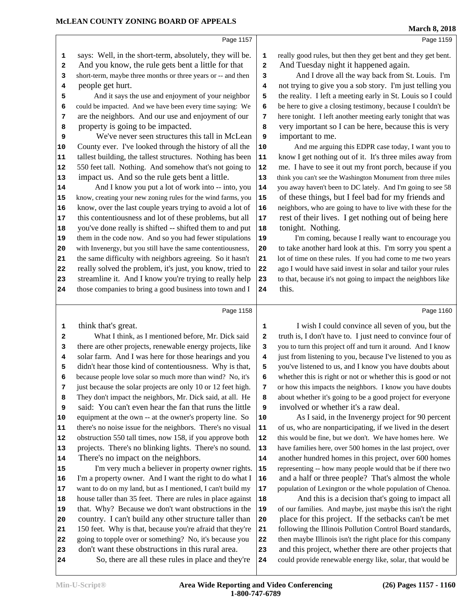Page 1159

|          | Page 1157                                                                                                    |          |                |
|----------|--------------------------------------------------------------------------------------------------------------|----------|----------------|
| 1        | says: Well, in the short-term, absolutely, they will be.                                                     | 1        | r <sub>(</sub> |
| 2        | And you know, the rule gets bent a little for that                                                           | 2        | $\overline{I}$ |
| 3        | short-term, maybe three months or three years or -- and then                                                 | 3        |                |
| 4        | people get hurt.                                                                                             | 4        | n              |
| 5        | And it says the use and enjoyment of your neighbor                                                           | 5        | tl             |
| 6        | could be impacted. And we have been every time saying: We                                                    | 6        | b              |
| 7        | are the neighbors. And our use and enjoyment of our                                                          | 7        | h              |
| 8        | property is going to be impacted.                                                                            | 8        | J              |
| 9        | We've never seen structures this tall in McLean                                                              | 9        | i              |
| 10       | County ever. I've looked through the history of all the                                                      | 10       |                |
| 11       | tallest building, the tallest structures. Nothing has been                                                   | 11       | k              |
| 12       | 550 feet tall. Nothing. And somehow that's not going to                                                      | 12       | n              |
| 13       | impact us. And so the rule gets bent a little.                                                               | 13       | th             |
| 14       | And I know you put a lot of work into -- into, you                                                           | 14       | y <sub>(</sub> |
| 15       | know, creating your new zoning rules for the wind farms, you                                                 | 15       | $\mathbf$      |
| 16       | know, over the last couple years trying to avoid a lot of                                                    | 16       | $\mathbf n$    |
| 17       | this contentiousness and lot of these problems, but all                                                      | 17       | ľ              |
| 18       | you've done really is shifted -- shifted them to and put                                                     | 18       | t              |
| 19       | them in the code now. And so you had fewer stipulations                                                      | 19       |                |
| 20       | with Invenergy, but you still have the same contentiousness,                                                 | 20       | t              |
| 21       | the same difficulty with neighbors agreeing. So it hasn't                                                    | 21       | lo             |
| 22       | really solved the problem, it's just, you know, tried to                                                     | 22       | a              |
| 23       | streamline it. And I know you're trying to really help                                                       | 23       | to             |
| 24       | those companies to bring a good business into town and I                                                     | 24       | t              |
|          | Page 1158                                                                                                    |          |                |
|          |                                                                                                              |          |                |
| 1        | think that's great.                                                                                          | 1        |                |
| 2        | What I think, as I mentioned before, Mr. Dick said                                                           | 2        | t              |
| 3        | there are other projects, renewable energy projects, like                                                    | 3        | y              |
| 4        | solar farm. And I was here for those hearings and you                                                        | 4        | j١             |
| 5        | didn't hear those kind of contentiousness. Why is that,                                                      | 5        | у              |
| 6        | because people love solar so much more than wind? No, it's                                                   | 6        | V              |
| 7        | just because the solar projects are only 10 or 12 feet high.                                                 | 7        | O              |
| 8        | They don't impact the neighbors, Mr. Dick said, at all. He                                                   | 8        | a              |
| 9        | said: You can't even hear the fan that runs the little                                                       | 9        | i              |
| 10       | equipment at the own -- at the owner's property line. So                                                     | 10       |                |
| 11       | there's no noise issue for the neighbors. There's no visual                                                  | 11       | O              |
| 12       | obstruction 550 tall times, now 158, if you approve both                                                     | 12       | tŀ             |
| 13       | projects. There's no blinking lights. There's no sound.                                                      | 13       | h              |
| 14       | There's no impact on the neighbors.                                                                          | 14       | a              |
| 15       | I'm very much a believer in property owner rights.                                                           | 15       | r              |
| 16       | I'm a property owner. And I want the right to do what I                                                      | 16       | г              |
| 17       |                                                                                                              |          |                |
|          | want to do on my land, but as I mentioned, I can't build my                                                  | 17       |                |
| 18       | house taller than 35 feet. There are rules in place against                                                  | 18       |                |
| 19       | that. Why? Because we don't want obstructions in the                                                         | 19       | p<br>0         |
| 20       | country. I can't build any other structure taller than                                                       | 20       | ľ              |
| 21       | 150 feet. Why is that, because you're afraid that they're                                                    | 21       | f              |
| 22<br>23 | going to topple over or something? No, it's because you<br>don't want these obstructions in this rural area. | 22<br>23 | tl<br>a        |

So, there are all these rules in place and they're 24

really good rules, but then they get bent and they get bent. And Tuesday night it happened again.

 And I drove all the way back from St. Louis. I'm not trying to give you a sob story. I'm just telling you the reality. I left a meeting early in St. Louis so I could be here to give a closing testimony, because I couldn't be here tonight. I left another meeting early tonight that was very important so I can be here, because this is very important to me.

And me arguing this EDPR case today, I want you to know I get nothing out of it. It's three miles away from me. I have to see it out my front porch, because if you think you can't see the Washington Monument from three miles you away haven't been to DC lately. And I'm going to see 58 of these things, but I feel bad for my friends and neighbors, who are going to have to live with these for the rest of their lives. I get nothing out of being here tonight. Nothing.

I'm coming, because I really want to encourage you to take another hard look at this. I'm sorry you spent a lot of time on these rules. If you had come to me two years ago I would have said invest in solar and tailor your rules to that, because it's not going to impact the neighbors like this.

Page 1160

I wish I could convince all seven of you, but the truth is, I don't have to. I just need to convince four of you to turn this project off and turn it around. And I know just from listening to you, because I've listened to you as you've listened to us, and I know you have doubts about whether this is right or not or whether this is good or not or how this impacts the neighbors. I know you have doubts about whether it's going to be a good project for everyone involved or whether it's a raw deal.

As I said, in the Invenergy project for 90 percent of us, who are nonparticipating, if we lived in the desert this would be fine, but we don't. We have homes here. We have families here, over 500 homes in the last project, over another hundred homes in this project, over 600 homes representing -- how many people would that be if there two and a half or three people? That's almost the whole population of Lexington or the whole population of Chenoa.

 And this is a decision that's going to impact all of our families. And maybe, just maybe this isn't the right place for this project. If the setbacks can't be met following the Illinois Pollution Control Board standards, then maybe Illinois isn't the right place for this company and this project, whether there are other projects that could provide renewable energy like, solar, that would be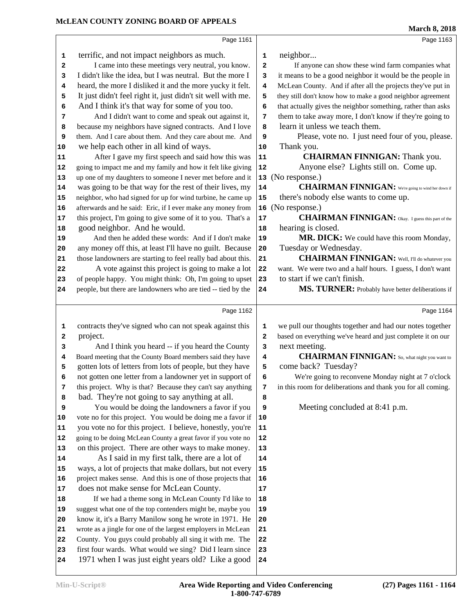|              |                                                              |              | <b>March 8, 2018</b>                                         |
|--------------|--------------------------------------------------------------|--------------|--------------------------------------------------------------|
|              | Page 1161                                                    |              | Page 1163                                                    |
| $\mathbf 1$  | terrific, and not impact neighbors as much.                  | ${\bf 1}$    | neighbor                                                     |
| $\mathbf{2}$ | I came into these meetings very neutral, you know.           | $\mathbf{2}$ | If anyone can show these wind farm companies what            |
| 3            | I didn't like the idea, but I was neutral. But the more I    | 3            | it means to be a good neighbor it would be the people in     |
| 4            | heard, the more I disliked it and the more yucky it felt.    | 4            | McLean County. And if after all the projects they've put in  |
| 5            | It just didn't feel right it, just didn't sit well with me.  | 5            | they still don't know how to make a good neighbor agreement  |
| 6            | And I think it's that way for some of you too.               | 6            | that actually gives the neighbor something, rather than asks |
| 7            | And I didn't want to come and speak out against it,          | 7            | them to take away more, I don't know if they're going to     |
| 8            | because my neighbors have signed contracts. And I love       | 8            | learn it unless we teach them.                               |
| 9            | them. And I care about them. And they care about me. And     | 9            | Please, vote no. I just need four of you, please.            |
| 10           | we help each other in all kind of ways.                      | 10           | Thank you.                                                   |
| 11           | After I gave my first speech and said how this was           | 11           | <b>CHAIRMAN FINNIGAN:</b> Thank you.                         |
| 12           | going to impact me and my family and how it felt like giving | 12           | Anyone else? Lights still on. Come up.                       |
| 13           | up one of my daughters to someone I never met before and it  | 13           | (No response.)                                               |
| 14           | was going to be that way for the rest of their lives, my     | 14           | <b>CHAIRMAN FINNIGAN:</b> We're going to wind her down if    |
| 15           | neighbor, who had signed for up for wind turbine, he came up | 15           | there's nobody else wants to come up.                        |
| 16           | afterwards and he said: Eric, if I ever make any money from  | 16           | (No response.)                                               |
| 17           | this project, I'm going to give some of it to you. That's a  | 17           | <b>CHAIRMAN FINNIGAN:</b> Okay. I guess this part of the     |
| 18           | good neighbor. And he would.                                 | 18           | hearing is closed.                                           |
| 19           | And then he added these words: And if I don't make           | 19           | MR. DICK: We could have this room Monday,                    |
| 20           | any money off this, at least I'll have no guilt. Because     | ${\bf 20}$   | Tuesday or Wednesday.                                        |
| 21           | those landowners are starting to feel really bad about this. | 21           | <b>CHAIRMAN FINNIGAN:</b> Well, I'll do whatever you         |
| 22           | A vote against this project is going to make a lot           | 22           | want. We were two and a half hours. I guess, I don't want    |
| 23           | of people happy. You might think: Oh, I'm going to upset     | 23           | to start if we can't finish.                                 |
| 24           | people, but there are landowners who are tied -- tied by the | 24           | MS. TURNER: Probably have better deliberations if            |
|              | Page 1162                                                    |              | Page 1164                                                    |
| 1            | contracts they've signed who can not speak against this      | 1            | we pull our thoughts together and had our notes together     |
| 2            | project.                                                     | $\mathbf{2}$ | based on everything we've heard and just complete it on our  |
| 3            | And I think you heard -- if you heard the County             | 3            | next meeting.                                                |
| 4            | Board meeting that the County Board members said they have   | 4            | <b>CHAIRMAN FINNIGAN:</b> So, what night you want to         |
| 5            | gotten lots of letters from lots of people, but they have    | 5            | come back? Tuesday?                                          |
| 6            | not gotten one letter from a landowner yet in support of     | 6            | We're going to reconvene Monday night at 7 o'clock           |
| 7            | this project. Why is that? Because they can't say anything   | 7            | in this room for deliberations and thank you for all coming. |
| 8            | bad. They're not going to say anything at all.               | 8            |                                                              |
| 9            | You would be doing the landowners a favor if you             | 9            | Meeting concluded at 8:41 p.m.                               |
| 10           | vote no for this project. You would be doing me a favor if   | 10           |                                                              |
| 11           | you vote no for this project. I believe, honestly, you're    | 11           |                                                              |
| 12           | going to be doing McLean County a great favor if you vote no | 12           |                                                              |
| 13           | on this project. There are other ways to make money.         | 13           |                                                              |
| 14           | As I said in my first talk, there are a lot of               | 14           |                                                              |
| 15           | ways, a lot of projects that make dollars, but not every     | 15           |                                                              |
| 16           | project makes sense. And this is one of those projects that  | 16           |                                                              |
| 17           | does not make sense for McLean County.                       | 17           |                                                              |
| 18           | If we had a theme song in McLean County I'd like to          | 18           |                                                              |
| 19           | suggest what one of the top contenders might be, maybe you   | 19           |                                                              |
| 20           | know it, it's a Barry Manilow song he wrote in 1971. He      | 20           |                                                              |
| 21           | wrote as a jingle for one of the largest employers in McLean | 21           |                                                              |
| 22           | County. You guys could probably all sing it with me. The     | 22           |                                                              |
|              |                                                              |              |                                                              |
| 23           | first four wards. What would we sing? Did I learn since      | 23           |                                                              |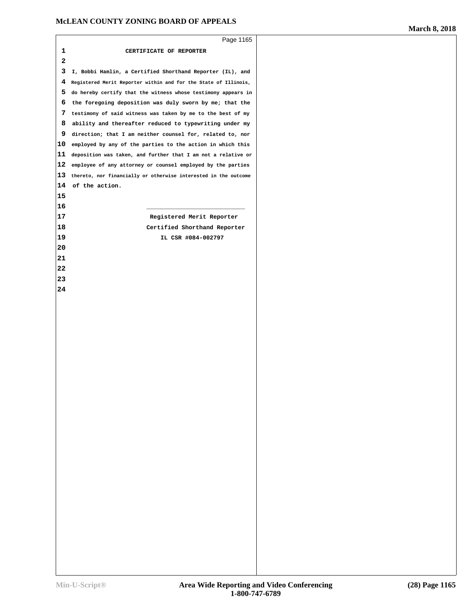|    | Page 1165                                                       |
|----|-----------------------------------------------------------------|
| 1  | CERTIFICATE OF REPORTER                                         |
| 2  |                                                                 |
| 3  | I, Bobbi Hamlin, a Certified Shorthand Reporter (IL), and       |
| 4  | Registered Merit Reporter within and for the State of Illinois, |
| 5  | do hereby certify that the witness whose testimony appears in   |
| 6  | the foregoing deposition was duly sworn by me; that the         |
| 7  | testimony of said witness was taken by me to the best of my     |
| 8  | ability and thereafter reduced to typewriting under my          |
| 9  | direction; that I am neither counsel for, related to, nor       |
| 10 | employed by any of the parties to the action in which this      |
| 11 | deposition was taken, and further that I am not a relative or   |
| 12 | employee of any attorney or counsel employed by the parties     |
| 13 | thereto, nor financially or otherwise interested in the outcome |
| 14 | of the action.                                                  |
| 15 |                                                                 |
| 16 |                                                                 |
| 17 | Registered Merit Reporter                                       |
| 18 | Certified Shorthand Reporter                                    |
| 19 | IL CSR #084-002797                                              |
| 20 |                                                                 |
| 21 |                                                                 |
| 22 |                                                                 |
| 23 |                                                                 |
| 24 |                                                                 |
|    |                                                                 |
|    |                                                                 |
|    |                                                                 |
|    |                                                                 |
|    |                                                                 |
|    |                                                                 |
|    |                                                                 |
|    |                                                                 |
|    |                                                                 |
|    |                                                                 |
|    |                                                                 |
|    |                                                                 |
|    |                                                                 |
|    |                                                                 |
|    |                                                                 |
|    |                                                                 |
|    |                                                                 |
|    |                                                                 |
|    |                                                                 |
|    |                                                                 |
|    |                                                                 |
|    |                                                                 |
|    |                                                                 |
|    |                                                                 |
|    |                                                                 |
|    |                                                                 |
|    |                                                                 |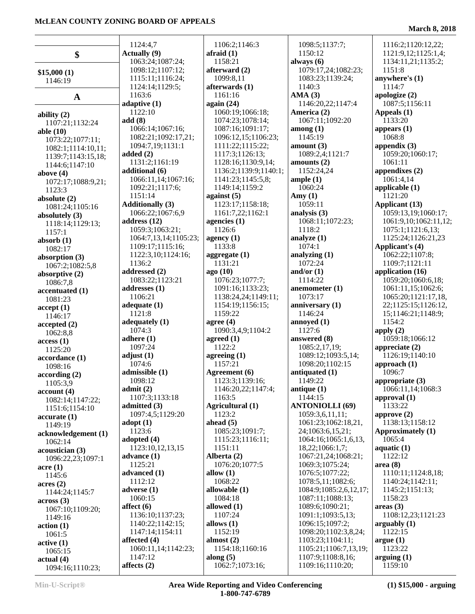|                         | 1124:4,7<br><b>Actually</b> (9)      | 1106:2;1146:3                        |     |
|-------------------------|--------------------------------------|--------------------------------------|-----|
| \$                      | 1063:24;1087:24;                     | afraid $(1)$<br>1158:21              | alv |
|                         |                                      |                                      |     |
| \$15,000(1)             | 1098:12;1107:12;<br>1115:11;1116:24; | afterward $(2)$<br>1099:8,11         |     |
| 1146:19                 | 1124:14;1129:5;                      | afterwards (1)                       |     |
|                         | 1163:6                               | 1161:16                              | AN  |
| A                       |                                      | again $(24)$                         |     |
|                         | adaptive $(1)$<br>1122:10            |                                      | An  |
| ability $(2)$           |                                      | 1060:19;1066:18;<br>1074:23;1078:14; |     |
| 1107:21;1132:24         | add(8)<br>1066:14;1067:16;           | 1087:16;1091:17;                     | am  |
| able $(10)$             | 1082:21;1092:17,21;                  | 1096:12,15;1106:23;                  |     |
| 1073:22;1077:11;        | 1094:7,19;1131:1                     | 1111:22;1115:22;                     | am  |
| 1082:1;1114:10,11;      | added $(2)$                          | 1117:3;1126:13;                      |     |
| 1139:7;1143:15,18;      | 1131:2;1161:19                       | 1128:16;1130:9,14;                   | am  |
| 1144:6;1147:10          | additional (6)                       | 1136:2;1139:9;1140:1;                |     |
| above $(4)$             | 1066:11,14;1067:16;                  | 1141:23;1145:5,8;                    | am  |
| 1072:17;1088:9,21;      | 1092:21;1117:6;                      | 1149:14;1159:2                       |     |
| 1123:3                  | 1151:14                              | against $(5)$                        | An  |
| absolute $(2)$          | <b>Additionally (3)</b>              | 1123:17;1158:18;                     |     |
| 1081:24;1105:16         | 1066:22;1067:6,9                     | 1161:7,22;1162:1                     | an  |
| absolutely $(3)$        | address (12)                         | agencies $(1)$                       |     |
| 1118:14;1129:13;        | 1059:3;1063:21;                      | 1126:6                               |     |
| 1157:1                  | 1064:7,13,14;1105:23;                | agency $(1)$                         | an  |
| absorb $(1)$            | 1109:17;1115:16;                     | 1133:8                               |     |
| 1082:17                 | 1122:3,10;1124:16;                   | aggregate (1)                        | an  |
| absorption (3)          | 1136:2                               | 1131:21                              |     |
| 1067:2;1082:5,8         | addressed (2)                        | ago (10)                             | an  |
| absorptive $(2)$        | 1083:22;1123:21                      | 1076:23;1077:7;                      |     |
| 1086:7,8                | addresses (1)                        | 1091:16;1133:23;                     | an  |
| accentuated (1)         | 1106:21                              | 1138:24,24;1149:11;                  |     |
| 1081:23                 | adequate $(1)$                       | 1154:19;1156:15;                     | an: |
| accept(1)<br>1146:17    | 1121:8                               | 1159:22                              |     |
|                         | adequately (1)                       | agree $(4)$                          | an  |
| accepted(2)<br>1062:8,8 | 1074:3                               | 1090:3,4,9;1104:2                    |     |
| access(1)               | adhere $(1)$                         | agreed $(1)$                         | an  |
| 1125:20                 | 1097:24                              | 1122:2                               |     |
| accordance (1)          | adjust $(1)$                         | agreeing $(1)$                       |     |
| 1098:16                 | 1074:6                               | 1157:21                              |     |
| according(2)            | admissible (1)                       | Agreement (6)                        | an  |
| 1105:3,9                | 1098:12                              | 1123:3;1139:16;                      |     |
| account(4)              | admit(2)                             | 1146:20,22;1147:4;                   | an  |
| 1082:14;1147:22;        | 1107:3;1133:18                       | 1163:5                               |     |
| 1151:6;1154:10          | admitted (3)                         | Agricultural (1)                     | AN  |
| accurate(1)             | 1097:4,5;1129:20                     | 1123:2                               |     |
| 1149:19                 | adopt(1)                             | ahead $(5)$                          |     |
| acknowledgement (1)     | 1123:6                               | 1085:23;1091:7;                      |     |
| 1062:14                 | adopted $(4)$                        | 1115:23;1116:11;                     |     |
| acoustician (3)         | 1123:10,12,13,15                     | 1151:11                              |     |
| 1096:22,23;1097:1       | advance (1)                          | Alberta (2)                          |     |
| $\arccan(1)$            | 1125:21                              | 1076:20;1077:5                       |     |
| 1145:6                  | advanced (1)                         | allow $(1)$                          |     |
| acres(2)                | 1112:12                              | 1068:22                              |     |
| 1144:24;1145:7          | adverse $(1)$                        | allowable (1)                        |     |
| across(3)               | 1060:15                              | 1084:18                              |     |
| 1067:10;1109:20;        | $\text{affect}\ (6)$                 | allowed $(1)$                        |     |
| 1149:16                 | 1136:10;1137:23;                     | 1107:24                              |     |
| action(1)               | 1140:22;1142:15;                     | allows $(1)$                         |     |
| 1061:5                  | 1147:14;1154:11                      | 1152:19                              |     |
| active(1)               | affected (4)                         | almost $(2)$                         |     |
| 1065:15                 | 1060:11,14;1142:23;                  | 1154:18;1160:16                      |     |
| actual(4)               | 1147:12                              | along $(5)$                          |     |
| 1094.16.1110.23         | affects $(2)$                        | 1062:7;1073:16;                      |     |

 1098:5;1137:7; 1150:12 **always (6)** 1079:17,24;1082:23; 1083:23;1139:24; 1140:3 **AMA (3)** 1146:20,22;1147:4 **America (2)** 1067:11;1092:20 **among (1)** 1145:19 **amount (3)** 1089:2,4;1121:7 **amounts (2)** 1152:24,24 **ample (1)** 1060:24 **Amy (1)** 1059:11 **analysis (3)** 1068:11;1072:23; 1118:2 **analyze (1)** 1074:1 **analyzing (1)** 1072:24 **and/or (1)** 1114:22 **anemometer (1)** 1073:17 **anniversary (1)** 1146:24 **annoyed (1)** 1127:6 **answered (8)** 1085:2,17,19; 1089:12;1093:5,14; 1098:20;1102:15 **antiquated (1)** 1149:22 **antique (1)** 1144:15 **ANTONIOLLI (69)** 1059:3,6,11,11; 1061:23;1062:18,21, 24;1063:6,15,21; 1064:16;1065:1,6,13, 18,22;1066:1,7; 1067:21,24;1068:21; 1069:3;1075:24; 1076:5;1077:22; 1078:5,11;1082:6; 1084:9;1085:2,6,12,17; 1087:11;1088:13; 1089:6;1090:21; 1091:1;1093:5,13; 1096:15;1097:2; 1098:20;1102:3,8,24; 1103:23;1104:11; 1105:21;1106:7,13,19; 1107:9;1108:8,16; 1109:16;1110:20;

#### **March 8, 2018**

 1116:2;1120:12,22; 1121:9,12;1125:1,4; 1134:11,21;1135:2; 1151:8 **anywhere's (1)** 1114:7 **apologize (2)** 1087:5;1156:11 **Appeals (1)** 1133:20 **appears (1)** 1068:8 **appendix (3)** 1059:20;1060:17; 1061:11 **appendixes (2)** 1061:4,14 **applicable (1)** 1121:20 **Applicant (13)** 1059:13,19;1060:17; 1061:9,10;1062:11,12; 1075:1;1121:6,13; 1125:24;1126:21,23 **Applicant's (4)** 1062:22;1107:8; 1109:7;1121:11 **application (16)** 1059:20;1060:6,18; 1061:11,15;1062:6; 1065:20;1121:17,18, 22;1125:15;1126:12, 15;1146:21;1148:9; 1154:2 **apply (2)** 1059:18;1066:12 **appreciate (2)** 1126:19;1140:10 **approach (1)** 1096:7 **appropriate (3)** 1066:11,14;1068:3 **approval (1)** 1133:22 **approve (2)** 1138:13;1158:12 **Approximately (1)** 1065:4 **aquatic (1)** 1122:12 **area (8)** 1110:11;1124:8,18; 1140:24;1142:11; 1145:2;1151:13; 1158:23 **areas (3)** 1108:12,23;1121:23 **arguably (1)** 1122:15 **argue (1)** 1123:22 **arguing (1)** 1159:10

1094:16;1110:23;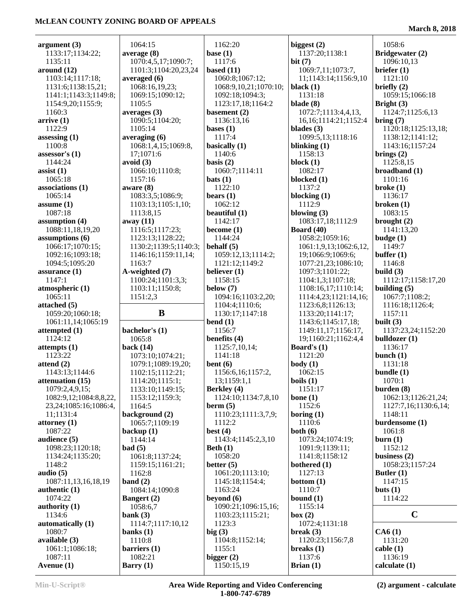÷,

| argument $(3)$             | 1064:15                | 1162:20                    | biggest $(2)$             | 1058:6                     |
|----------------------------|------------------------|----------------------------|---------------------------|----------------------------|
| 1133:17;1134:22;           | average(8)             | base $(1)$                 | 1137:20;1138:1            | Bridgewater (2)            |
| 1135:11                    | 1070:4,5,17;1090:7;    | 1117:6                     | bit(7)                    | 1096:10,13                 |
| around $(12)$              | 1101:3;1104:20,23,24   | based $(11)$               | 1069:7,11;1073:7,         | briefer $(1)$              |
| 1103:14;1117:18;           | averaged (6)           | 1060:8;1067:12;            | 11;1143:14;1156:9,10      | 1121:10                    |
| 1131:6;1138:15,21;         | 1068:16,19,23;         | 1068:9,10,21;1070:10;      | black $(1)$               | briefly $(2)$              |
| 1141:1;1143:3;1149:8;      | 1069:15;1090:12;       | 1092:18;1094:3;            | 1131:18                   | 1059:15;1066:18            |
| 1154:9,20;1155:9;          | 1105:5                 | 1123:17,18;1164:2          | blade $(8)$               | Bright $(3)$               |
| 1160:3                     | averages $(3)$         | basement $(2)$             | 1072:7;1113:4,4,13,       | 1124:7;1125:6,13           |
| arrive(1)                  | 1090:5;1104:20;        | 1136:13,16                 | 16, 16; 1114: 21; 1152: 4 | bring (7)                  |
| 1122:9                     | 1105:14                |                            | blades $(3)$              | 1120:18;1125:13,18;        |
| assessing $(1)$            |                        | bases $(1)$<br>1117:4      | 1099:5,13;1118:16         |                            |
|                            | averaging $(6)$        |                            |                           | 1138:12;1141:12;           |
| 1100:8                     | 1068:1,4,15;1069:8,    | basically $(1)$            | blinking $(1)$            | 1143:16;1157:24            |
| assessor's $(1)$           | 17;1071:6              | 1140:6                     | 1158:13                   | brings $(2)$               |
| 1144:24                    | avoid $(3)$            | basis $(2)$                | block $(1)$               | 1125:8,15                  |
| assist $(1)$               | 1066:10;1110:8;        | 1060:7;1114:11             | 1082:17                   | broadband (1)              |
| 1065:18                    | 1157:16                | bats(1)                    | blocked (1)               | 1101:16                    |
| associations (1)           | aware $(8)$            | 1122:10                    | 1137:2                    | $b$ roke $(1)$             |
| 1065:14                    | 1083:3,5;1086:9;       | bears $(1)$                | blocking $(1)$            | 1136:17                    |
| assume $(1)$               | 1103:13;1105:1,10;     | 1062:12                    | 1112:9                    | broken $(1)$               |
| 1087:18                    | 1113:8,15              | beautiful $(1)$            | blowing $(3)$             | 1083:15                    |
| assumption (4)             | away (11)              | 1142:17                    | 1083:17,18;1112:9         | brought $(2)$              |
| 1088:11,18,19,20           | 1116:5;1117:23;        | become $(1)$               | <b>Board</b> (40)         | 1141:13,20                 |
| assumptions (6)            | 1123:13;1128:22;       | 1144:24                    | 1058:2;1059:16;           | budge(1)                   |
| 1066:17;1070:15;           | 1130:2;1139:5;1140:3;  | behalf $(5)$               | 1061:1,9,13;1062:6,12,    | 1149:7                     |
| 1092:16;1093:18;           | 1146:16;1159:11,14;    | 1059:12,13;1114:2;         | 19;1066:9;1069:6;         | buffer $(1)$               |
| 1094:5;1095:20             | 1163:7                 | 1121:12;1149:2             | 1077:21,23;1086:10;       | 1146:8                     |
| assurance $(1)$            | A-weighted (7)         | believer (1)               | 1097:3;1101:22;           | build $(3)$                |
| 1147:1                     | 1100:24;1101:3,3;      | 1158:15                    | 1104:1,3;1107:18;         | 1112:17;1158:17,20         |
| atmospheric (1)            | 1103:11;1150:8;        | below $(7)$                | 1108:16,17;1110:14;       | building $(5)$             |
| 1065:11                    | 1151:2,3               | 1094:16;1103:2,20;         | 1114:4,23;1121:14,16;     | 1067:7;1108:2;             |
| attached $(5)$             |                        | 1104:4;1110:6;             | 1123:6,8;1126:13;         | 1116:18;1126:4;            |
|                            |                        |                            |                           |                            |
|                            | B                      |                            |                           |                            |
| 1059:20;1060:18;           |                        | 1130:17;1147:18            | 1133:20;1141:17;          | 1157:11                    |
| 1061:11,14;1065:19         |                        | bend $(1)$                 | 1143:6;1145:17,18;        | built $(3)$                |
| attempted $(1)$            | bachelor's (1)         | 1156:7                     | 1149:11,17;1156:17,       | 1137:23,24;1152:20         |
| 1124:12                    | 1065:8                 | benefits (4)               | 19;1160:21;1162:4,4       | bulldozer $(1)$            |
| attempts(1)                | back $(14)$            | 1125:7,10,14;              | Board's $(1)$             | 1136:17                    |
| 1123:22                    | 1073:10;1074:21;       | 1141:18                    | 1121:20                   | bunch $(1)$                |
| attend $(2)$               | 1079:1;1089:19,20;     | bent $(6)$                 | body(1)                   | 1131:18                    |
| 1143:13;1144:6             | 1102:15;1112:21;       | 1156:6,16;1157:2,          | 1062:15                   | bundle $(1)$               |
| attenuation (15)           | 1114:20;1115:1;        | 13;1159:1,1                | boils(1)                  | 1070:1                     |
| 1079:2,4,9,15;             | 1133:10;1149:15;       | <b>Berkley</b> (4)         | 1151:17                   | burden $(8)$               |
| 1082:9,12;1084:8,8,22,     | 1153:12;1159:3;        | 1124:10;1134:7,8,10        | bone $(1)$                | 1062:13;1126:21,24;        |
| 23, 24; 1085: 16; 1086: 4, | 1164:5                 | bern(5)                    | 1152:6                    | 1127:7,16;1130:6,14;       |
| 11;1131:4                  | background (2)         | 1110:23;1111:3,7,9;        | boring $(1)$              | 1148:11                    |
| attorney $(1)$             | 1065:7;1109:19         | 1112:2                     | 1110:6                    | burdensome (1)             |
| 1087:22                    | backup $(1)$           | best $(4)$                 | both $(6)$                | 1061:8                     |
| audience $(5)$             | 1144:14                | 1143:4;1145:2,3,10         | 1073:24;1074:19;          | burn(1)                    |
| 1098:23;1120:18;           | bad(5)                 | Beth $(1)$                 | 1091:9;1139:11;           | 1152:12                    |
| 1134:24;1135:20;           | 1061:8;1137:24;        | 1058:20                    | 1141:8;1158:12            | business $(2)$             |
| 1148:2                     | 1159:15;1161:21;       | better $(5)$               | bothered (1)              | 1058:23;1157:24            |
| audio $(5)$                | 1162:8                 | 1061:20;1113:10;           | 1127:13                   | Butler $(1)$               |
| 1087:11,13,16,18,19        | band $(2)$             | 1145:18;1154:4;            | bottom $(1)$              | 1147:15                    |
| authentic $(1)$            | 1084:14;1090:8         | 1163:24                    | 1110:7                    | buts $(1)$                 |
| 1074:22                    | <b>Bangert</b> (2)     | beyond $(6)$               | bound $(1)$               | 1114:22                    |
| authority $(1)$            | 1058:6,7               | 1090:21;1096:15,16;        | 1155:14                   |                            |
| 1134:6                     | bank $(3)$             | 1103:23;1115:21;           | box (2)                   | $\mathbf C$                |
| automatically (1)          | 1114:7;1117:10,12      | 1123:3                     | 1072:4;1131:18            |                            |
| 1080:7                     | banks $(1)$            | big(3)                     | break $(3)$               | CA6(1)                     |
| available (3)              | 1110:8                 | 1104:8;1152:14;            | 1120:23;1156:7,8          | 1131:20                    |
| 1061:1;1086:18;            | barriers(1)            | 1155:1                     | breaks $(1)$              | cable(1)                   |
| 1087:11<br>Avenue (1)      | 1082:21<br>Barry $(1)$ | bigger $(2)$<br>1150:15,19 | 1137:6<br>Brian $(1)$     | 1136:19<br>calculate $(1)$ |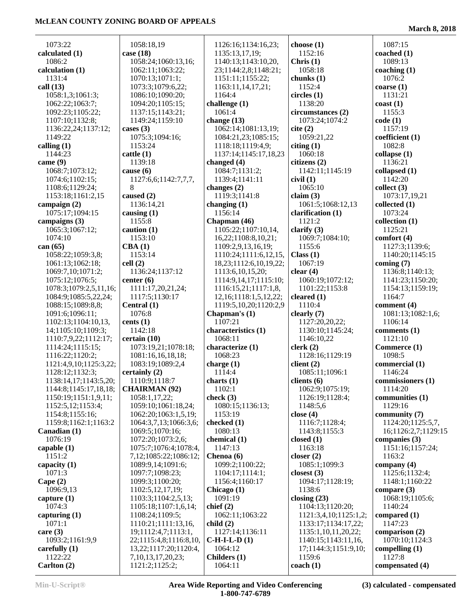**March 8, 2018**

| 1073:22                | 1058:18,19                          | 1126:16;1134:16,23;                      | choose $(1)$              | 1087:15             |
|------------------------|-------------------------------------|------------------------------------------|---------------------------|---------------------|
| calculated (1)         | case $(18)$                         | 1135:13,17,19;                           | 1152:16                   | coached $(1)$       |
| 1086:2                 | 1058:24;1060:13,16;                 | 1140:13;1143:10,20,                      | Christ (1)                | 1089:13             |
| calculation (1)        |                                     |                                          | 1058:18                   | coaching $(1)$      |
| 1131:4                 | 1062:11;1063:22;<br>1070:13;1071:1; | 23;1144:2,8;1148:21;<br>1151:11;1155:22; | chunks $(1)$              | 1076:2              |
| call $(13)$            | 1073:3;1079:6,22;                   |                                          | 1152:4                    | coarse(1)           |
| 1058:1,3;1061:3;       | 1086:10;1090:20;                    | 1163:11,14,17,21;<br>1164:4              | circles(1)                | 1131:21             |
|                        |                                     |                                          | 1138:20                   |                     |
| 1062:22;1063:7;        | 1094:20;1105:15;                    | challenge $(1)$<br>1061:4                |                           | $\cos(t)$<br>1155:3 |
| 1092:23;1105:22;       | 1137:15;1143:21;                    |                                          | circumstances (2)         |                     |
| 1107:10;1132:8;        | 1149:24;1159:10                     | change $(13)$<br>1062:14;1081:13,19;     | 1073:24;1074:2            | code(1)<br>1157:19  |
| 1136:22,24;1137:12;    | cases $(3)$                         |                                          | cite (2)                  |                     |
| 1149:22                | 1075:3;1094:16;                     | 1084:21,23;1085:15;                      | 1059:21,22                | coefficient (1)     |
| calling $(1)$          | 1153:24                             | 1118:18;1119:4,9;                        | citing $(1)$              | 1082:8              |
| 1144:23                | cattle(1)                           | 1137:14;1145:17,18,23                    | 1060:18                   | collapse(1)         |
| came $(9)$             | 1139:18                             | changed $(4)$                            | citizens (2)              | 1136:21             |
| 1068:7;1073:12;        | cause $(6)$                         | 1084:7;1131:2;                           | 1142:11;1145:19           | collapsed (1)       |
| 1074:6;1102:15;        | 1127:6,6;1142:7,7,7,                | 1139:4;1141:11                           | civil(1)                  | 1142:20             |
| 1108:6;1129:24;        | 8                                   | changes $(2)$                            | 1065:10                   | collect $(3)$       |
| 1153:18;1161:2,15      | caused (2)                          | 1119:3;1141:8                            | claim(3)                  | 1073:17,19,21       |
| campaign $(2)$         | 1136:14,21                          | changing $(1)$                           | 1061:5;1068:12,13         | collected $(1)$     |
| 1075:17;1094:15        | causing $(1)$                       | 1156:14                                  | clarification (1)         | 1073:24             |
| campaigns $(3)$        | 1155:8                              | Chapman (46)                             | 1121:2                    | collection (1)      |
| 1065:3;1067:12;        | caution $(1)$                       | 1105:22;1107:10,14,                      | clarify $(3)$             | 1125:21             |
| 1074:10                | 1153:10                             | 16,22;1108:8,10,21;                      | 1069:7;1084:10;           | comfort (4)         |
| can $(65)$             | CBA(1)                              | 1109:2,9,13,16,19;                       | 1155:6                    | 1127:3;1139:6;      |
| 1058:22;1059:3,8;      | 1153:14                             | 1110:24;1111:6,12,15,                    | Class(1)                  | 1140:20;1145:15     |
| 1061:13;1062:18;       | cell(2)                             | 18,23;1112:6,10,19,22;                   | 1067:19                   | coming $(7)$        |
| 1069:7,10;1071:2;      | 1136:24;1137:12                     | 1113:6, 10, 15, 20;                      | clear $(4)$               | 1136:8;1140:13;     |
| 1075:12;1076:5;        | center $(6)$                        | 1114:9,14,17;1115:10;                    | 1060:19;1072:12;          | 1141:23;1150:20;    |
| 1078:3;1079:2,5,11,16; | 1111:17,20,21,24;                   | 1116:15,21;1117:1,8,                     | 1101:22;1153:8            | 1154:13;1159:19;    |
| 1084:9;1085:5,22,24;   | 1117:5;1130:17                      | 12, 16; 1118: 1, 5, 12, 22;              | cleared $(1)$             | 1164:7              |
| 1088:15;1089:8,8;      | Central (1)                         | 1119:5, 10, 20; 1120:2, 9                | 1110:4                    | comment (4)         |
| 1091:6;1096:11;        | 1076:8                              | Chapman's $(1)$                          | clearly $(7)$             | 1081:13;1082:1,6;   |
| 1102:13;1104:10,13,    | cents $(1)$                         | 1107:21                                  | 1127:20,20,22;            | 1106:14             |
| 14;1105:10;1109:3;     | 1142:18                             | characteristics (1)                      | 1130:10;1145:24;          | comments (1)        |
| 1110:7,9,22;1112:17;   | certain(10)                         | 1068:11                                  | 1146:10,22                | 1121:10             |
| 1114:24;1115:15;       | 1073:19,21;1078:18;                 | characterize (1)                         | clerk(2)                  | Commerce (1)        |
| 1116:22;1120:2;        | 1081:16,16,18,18;                   | 1068:23                                  | 1128:16;1129:19           | 1098:5              |
| 1121:4,9,10;1125:3,22; | 1083:19;1089:2,4                    | charge $(1)$                             | client $(2)$              | commercial (1)      |
| 1128:12;1132:3;        | certainly (2)                       | 1114:4                                   | 1085:11;1096:1            | 1146:24             |
| 1138:14,17;1143:5,20;  | 1110:9;1118:7                       | charts $(1)$                             | clients $(6)$             | commissioners (1)   |
| 1144:8;1145:17,18,18;  | <b>CHAIRMAN (92)</b>                | 1102:1                                   | 1062:9;1075:19;           | 1114:20             |
| 1150:19;1151:1,9,11;   | 1058:1,17,22;                       | check $(3)$                              | 1126:19;1128:4;           | communities (1)     |
| 1152:5,12;1153:4;      | 1059:10;1061:18,24;                 | 1080:15;1136:13;                         | 1148:5,6                  | 1129:16             |
| 1154:8;1155:16;        | 1062:20;1063:1,5,19;                | 1153:19                                  | close $(4)$               | community (7)       |
| 1159:8;1162:1;1163:2   | 1064:3,7,13;1066:3,6;               | checked (1)                              | 1116:7;1128:4;            | 1124:20;1125:5,7,   |
| Canadian (1)           | 1069:5;1070:16;                     | 1080:13                                  | 1143:8;1155:3             | 16;1126:2,7;1129:15 |
| 1076:19                | 1072:20;1073:2,6;                   | chemical $(1)$                           | closed $(1)$              | companies $(3)$     |
| capable $(1)$          | 1075:7;1076:4;1078:4,               | 1147:13                                  | 1163:18                   | 1151:16;1157:24;    |
| 1151:2                 | 7,12;1085:22;1086:12;               | Chenoa (6)                               | closer $(2)$              | 1163:2              |
| capacity $(1)$         | 1089:9,14;1091:6;                   | 1099:2;1100:22;                          | 1085:1;1099:3             | company $(4)$       |
| 1071:3                 | 1097:7;1098:23;                     | 1104:17;1114:1;                          | closest $(3)$             | 1125:6;1132:4;      |
| Cape $(2)$             | 1099:3;1100:20;                     | 1156:4;1160:17                           | 1094:17;1128:19;          | 1148:1:1160:22      |
| 1096:9,13              | 1102:5, 12, 17, 19;                 | Chicago (1)                              | 1138:6                    | compare $(3)$       |
| capture $(1)$          | 1103:3;1104:2,5,13;                 | 1091:19                                  | closing $(23)$            | 1068:19;1105:6;     |
| 1074:3                 | 1105:18;1107:1,6,14;                | chief $(2)$                              | 1104:13;1120:20;          | 1140:24             |
| capturing $(1)$        | 1108:24;1109:5;                     | 1062:11;1063:22                          | 1121:3,4,10;1125:1,2;     | compared $(1)$      |
| 1071:1                 | 1110:21;1111:13,16,                 | child(2)                                 | 1133:17;1134:17,22;       | 1147:23             |
| care $(3)$             | 19;1112:4,7;1113:1,                 | 1127:14;1136:11                          | 1135:1,10,11,20,22;       | comparison $(2)$    |
| 1093:2;1161:9,9        | 22;1115:4,8;1116:8,10,              | $C-H-I-L-D(1)$                           | 1140:15;1143:11,16,       | 1070:10;1124:3      |
| carefully $(1)$        | 13, 22; 1117: 20; 1120: 4,          | 1064:12                                  | 17;1144:3;1151:9,10;      | compelling $(1)$    |
| 1122:22                | 7, 10, 13, 17, 20, 23;              | Childers (1)                             | 1159:6                    | 1127:8              |
| Carlton (2)            | 1121:2;1125:2;                      | 1064:11                                  | $\operatorname{coach}(1)$ | compensated (4)     |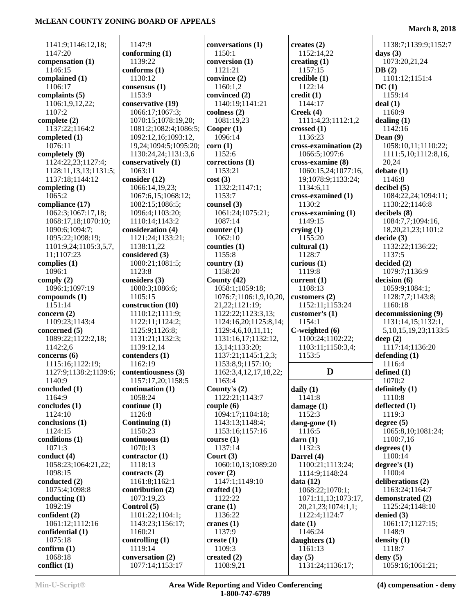**March 8, 2018**

| 1141:9;1146:12,18;        | 1147:9                              | conversations (1)          | creates $(2)$                 | 1138:7;1139:9;1152:7           |
|---------------------------|-------------------------------------|----------------------------|-------------------------------|--------------------------------|
| 1147:20                   | conforming $(1)$                    | 1150:1                     | 1152:14,22                    | days $(3)$                     |
| compensation (1)          | 1139:22                             | conversion (1)             | creating $(1)$                | 1073:20,21,24                  |
| 1146:15                   | conforms (1)                        | 1121:21                    | 1157:15                       | DB(2)                          |
| complained (1)            | 1130:12                             | convince (2)               | credible(1)                   | 1101:12;1151:4                 |
| 1106:17                   | consensus (1)                       | 1160:1,2                   | 1122:14                       | DC(1)                          |
| complaints (5)            | 1153:9                              | convinced (2)              | $\text{credit}(1)$            | 1159:14                        |
| 1106:1,9,12,22;           | conservative (19)                   | 1140:19;1141:21            | 1144:17                       | deal(1)                        |
| 1107:2                    | 1066:17;1067:3;                     | coolness (2)               | Creek(4)                      | 1160:9                         |
| complete $(2)$            | 1070:15;1078:19,20;                 | 1081:19,23                 | 1111:4,23;1112:1,2            | dealing $(1)$                  |
| 1137:22;1164:2            | 1081:2;1082:4;1086:5;               | Cooper $(1)$               | crossed $(1)$                 | 1142:16                        |
|                           | 1092:12,16;1093:12,                 | 1096:14                    | 1136:23                       | Dean $(9)$                     |
| completed (1)<br>1076:11  |                                     |                            |                               |                                |
|                           | 19,24;1094:5;1095:20;               | corr(1)                    | cross-examination (2)         | 1058:10,11;1110:22;            |
| completely (9)            | 1130:24,24;1131:3,6                 | 1152:6                     | 1066:5;1097:6                 | 1111:5,10;1112:8,16,           |
| 1124:22,23;1127:4;        | conservatively (1)                  | corrections (1)            | cross-examine (8)             | 20,24                          |
| 1128:11,13,13;1131:5;     | 1063:11                             | 1153:21                    | 1060:15,24;1077:16,           | debate(1)                      |
| 1137:18;1144:12           | consider (12)                       | cost(3)                    | 19;1078:9;1133:24;            | 1146:8                         |
| completing $(1)$          | 1066:14,19,23;                      | 1132:2;1147:1;             | 1134:6,11                     | decibel(5)                     |
| 1065:2                    | 1067:6,15;1068:12;                  | 1153:7                     | cross-examined (1)            | 1084:22,24;1094:11;            |
| compliance (17)           | 1082:15;1086:5;                     | counsel (3)                | 1130:2                        | 1130:22;1146:8                 |
| 1062:3;1067:17,18;        | 1096:4;1103:20;                     | 1061:24;1075:21;           | cross-examining (1)           | decibels(8)                    |
| 1068:17,18;1070:10;       | 1110:14;1143:2                      | 1087:14                    | 1149:15                       | 1084:7,7;1094:16,              |
| 1090:6;1094:7;            | consideration (4)                   | counter $(1)$              | crying $(1)$                  | 18, 20, 21, 23; 1101: 2        |
| 1095:22;1098:19;          | 1121:24;1133:21;                    | 1062:10                    | 1155:20                       | decide (3)                     |
| 1101:9,24;1105:3,5,7,     | 1138:11,22                          | counties $(1)$             | cultural $(1)$                | 1132:22;1136:22;               |
| 11;1107:23                | considered (3)                      | 1155:8                     | 1128:7                        | 1137:5                         |
| complies (1)              | 1080:21;1081:5;                     | country $(1)$              | curious $(1)$                 | decided (2)                    |
| 1096:1                    | 1123:8                              | 1158:20                    | 1119:8                        | 1079:7;1136:9                  |
| comply $(2)$              | considers (3)                       | County $(42)$              | current $(1)$                 | decision (6)                   |
| 1096:1;1097:19            | 1080:3;1086:6;                      | 1058:1;1059:18;            | 1108:13                       | 1059:9;1084:1;                 |
| compounds (1)             | 1105:15                             | 1076:7;1106:1,9,10,20,     | customers $(2)$               | 1128:7,7;1143:8;               |
| 1151:14                   | construction (10)                   | 21,22;1121:19;             | 1152:11;1153:24               | 1160:18                        |
| concern $(2)$             | 1110:12;1111:9;                     | 1122:22;1123:3,13;         | customer's (1)                | decommissioning (9)            |
| 1109:23;1143:4            |                                     |                            | 1154:1                        |                                |
|                           | 1122:11;1124:2;                     | 1124:16,20;1125:8,14;      |                               | 1131:14,15;1132:1,             |
| concerned (5)             | 1125:9;1126:8;                      | 1129:4,6,10,11,11;         | C-weighted (6)                | 5, 10, 15, 19, 23; 1133: 5     |
| 1089:22;1122:2,18;        | 1131:21;1132:3;                     | 1131:16,17;1132:12,        | 1100:24;1102:22;              | deep $(2)$                     |
| 1142:2,6                  | 1139:12,14                          | 13, 14; 1133: 20;          | 1103:11;1150:3,4;             | 1117:14;1136:20                |
| concerns $(6)$            | contenders (1)                      | 1137:21;1145:1,2,3;        | 1153:5                        | defending $(1)$                |
| 1115:16;1122:19;          | 1162:19                             | 1153:8,9;1157:10;          |                               | 1116:4                         |
| 1127:9;1138:2;1139:6;     | contentiousness (3)                 | 1162:3,4,12,17,18,22;      | D                             | defined $(1)$                  |
| 1140:9                    | 1157:17,20;1158:5                   | 1163:4                     |                               | 1070:2                         |
| concluded (1)             | continuation (1)                    | County's $(2)$             | daily $(1)$                   | definitely $(1)$               |
| 1164:9                    | 1058:24                             | 1122:21;1143:7             | 1141:8                        | 1110:8                         |
| concludes $(1)$           | continue(1)                         | $\text{couple}(6)$         | damage $(1)$                  | deflected (1)                  |
| 1124:10                   | 1126:8                              | 1094:17;1104:18;           | 1152:3                        | 1119:3                         |
| conclusions (1)           | Continuing (1)                      | 1143:13;1148:4;            | dang-gone $(1)$               | degree $(5)$                   |
| 1124:15                   | 1150:23                             | 1153:16;1157:16            | 1116:5                        | 1065:8,10;1081:24;             |
| conditions (1)            | continuous(1)                       | course(1)                  | darn(1)                       | 1100:7,16                      |
| 1071:3                    | 1070:13                             | 1137:14                    | 1132:3                        | degrees $(1)$                  |
| conduct $(4)$             | contractor $(1)$                    | Court $(3)$                | Darrel (4)                    | 1100:14                        |
| 1058:23;1064:21,22;       |                                     |                            |                               |                                |
|                           |                                     |                            |                               | degree's $(1)$                 |
|                           | 1118:13                             | 1060:10,13;1089:20         | 1100:21;1113:24;              |                                |
| 1098:15                   | contracts (2)                       | cover (2)                  | 1114:9;1148:24                | 1100:4                         |
| conducted (2)             | 1161:8;1162:1                       | 1147:1;1149:10             | data(12)                      | deliberations (2)              |
| 1075:4;1098:8             | contribution $(2)$                  | crafted $(1)$              | 1068:22;1070:1;               | 1163:24;1164:7                 |
| conducting $(1)$          | 1073:19,23                          | 1122:22                    | 1071:11,13;1073:17,           | demonstrated (2)               |
| 1092:19                   | Control (5)                         | crane $(1)$                | 20,21,23;1074:1,1;            | 1125:24;1148:10                |
| confident (2)             | 1101:22;1104:1;                     | 1136:22                    | 1122:4;1124:7                 | denied $(3)$                   |
| 1061:12;1112:16           | 1143:23;1156:17;                    | cranes $(1)$               | date(1)                       | 1061:17;1127:15;               |
| confidential (1)          | 1160:21                             | 1137:9                     | 1146:24                       | 1148:9                         |
| 1075:18                   | controlling $(1)$                   | create $(1)$               | daughters (1)                 | density $(1)$                  |
| confirm $(1)$             | 1119:14                             | 1109:3                     | 1161:13                       | 1118:7                         |
| 1068:18<br>conflict $(1)$ | conversation (2)<br>1077:14;1153:17 | created $(2)$<br>1108:9,21 | day $(5)$<br>1131:24;1136:17; | deny $(5)$<br>1059:16;1061:21; |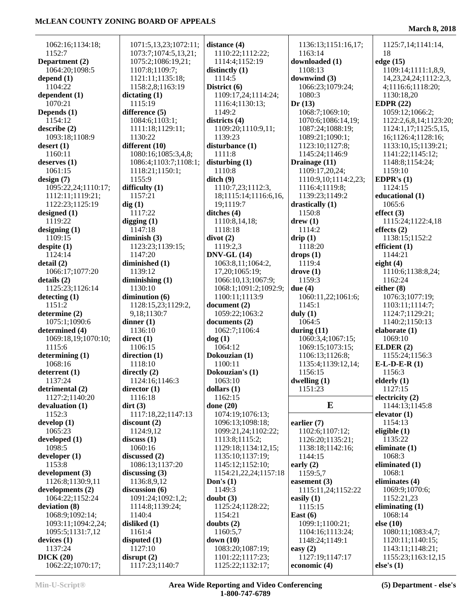1062:16;1134:18; 1152:7 **Department (2)** 1064:20;1098:5 **depend (1)** 1104:22 **dependent (1)** 1070:21 **Depends (1)** 1154:12 **describe (2)** 1093:18;1108:9 **desert (1)** 1160:11 **deserves (1)** 1061:15 **design (7)** 1095:22,24;1110:17; 1112:11;1119:21; 1122:23;1125:19 **designed (1)** 1119:22 **designing (1)** 1109:15 **despite (1)** 1124:14 **detail (2)** 1066:17;1077:20 **details (2)** 1125:23;1126:14 **detecting (1)** 1151:2 **determine (2)** 1075:1;1090:6 **determined (4)** 1069:18,19;1070:10; 1115:6 **determining (1)** 1068:16 **deterrent (1)** 1137:24 **detrimental (2)** 1127:2;1140:20 **devaluation (1)** 1152:3 **develop (1)** 1065:23 **developed (1)** 1098:5 **developer (1)** 1153:8 **development (3)** 1126:8;1130:9,11 **developments (2)** 1064:22;1152:24 **deviation (8)** 1068:9;1092:14; 1093:11;1094:2,24; 1095:5;1131:7,12 **devices (1)** 1137:24 **DICK (20)** 1062:22;1070:17;

| 1071:5,13,23;1072:11; | dista          |
|-----------------------|----------------|
|                       |                |
| 1073:7;1074:5,13,21;  | 11             |
| 1075:2;1086:19,21;    | 11             |
| 1107:8;1109:7;        | disti          |
| 1121:11;1135:18;      | 11             |
|                       |                |
| 1158:2,8;1163:19      | <b>Dist</b>    |
| dictating (1)         | 11             |
| 1115:19               | 11             |
| difference (5)        | 11             |
|                       |                |
| 1084:6;1103:1;        | distı          |
| 1111:18;1129:11;      | 11             |
| 1130:22               | 11             |
| different (10)        | disti          |
|                       |                |
| 1080:16;1085:3,4,8;   | 11             |
| 1086:4;1103:7;1108:1; | distı          |
| 1118:21;1150:1;       | 11             |
| 1155:9                | ditcl          |
|                       |                |
| difficulty $(1)$      | 11             |
| 1157:21               | 18             |
| dig(1)                | 19             |
|                       |                |
| 1117:22               | ditcl          |
| digging $(1)$         | 11             |
| 1147:18               | 11             |
| diminish $(3)$        | divo           |
|                       |                |
| 1123:23;1139:15;      | 11             |
| 1147:20               | <b>DNV</b>     |
| diminished (1)        | 1 <sup>1</sup> |
| 1139:12               | 17             |
|                       |                |
| diminishing $(1)$     | 10             |
| 1130:10               | 10             |
| diminution $(6)$      | 11             |
| 1128:15,23;1129:2,    | doct           |
| 9,18;1130:7           | 10             |
|                       |                |
| dinner $(1)$          | doct           |
| 1136:10               | 10             |
| direct $(1)$          | dog            |
| 1106:15               | 10             |
|                       |                |
| direction (1)         | Dok            |
| 1118:10               | 11             |
| directly (2)          | Dok            |
| 1124:16;1146:3        | 1 <sup>1</sup> |
|                       |                |
| director (1)          | dolla          |
| 1116:18               | 11             |
| $\text{dirt} (3)$     | don            |
| 1117:18,22;1147:13    | 10             |
| discount(2)           | 10             |
|                       |                |
| 1124:9,12             | 1 <sup>1</sup> |
| discuss (1)           | 11             |
| 1060:16               | 11             |
| discussed (2)         | 11             |
|                       |                |
| 1086:13;1137:20       | 11             |
| discussing $(3)$      | 11             |
| 1136:8,9,12           | Don            |
| discussion (6)        | 11             |
|                       |                |
| 1091:24;1092:1,2;     | doul           |
| 1114:8;1139:24;       | 11             |
| 1140:4                | 11             |
| disliked (1)          | doul           |
|                       |                |
| 1161:4                | 11             |
| disputed (1)          | dow            |
| 1127:10               | 10             |
| disrupt(2)            | 11             |
| 1117:23;1140:7        | 11             |
|                       |                |

| distance (4)                         | 1136:13;1151:16,                |
|--------------------------------------|---------------------------------|
| 1110:22;1112:22;                     | 1163:14                         |
| 1114:4;1152:19                       | downloaded (1)                  |
| distinctly (1)                       | 1108:13                         |
|                                      |                                 |
| 1114:5                               | downwind (3)                    |
| District (6)                         | 1066:23;1079:24;                |
| 1109:17,24;1114:24;                  | 1080:3                          |
| 1116:4;1130:13;                      | Dr(13)                          |
| 1149:2                               | 1068:7;1069:10;                 |
| districts (4)                        | 1070:6;1086:14,1                |
| 1109:20;1110:9,11;                   | 1087:24;1088:19;                |
| 1139:23                              | 1089:21;1090:1;                 |
|                                      |                                 |
| disturbance (1)                      | 1123:10;1127:8;                 |
| 1111:8                               | 1145:24;1146:9                  |
| disturbing (1)                       | Drainage (11)                   |
| 1110:8                               | 1109:17,20,24;                  |
| $\text{ditch}(9)$                    | 1110:9,10;1114:2                |
| 1110:7,23;1112:3,                    | 1116:4;1119:8;                  |
| 18;1115:14;1116:6,16,                | 1139:23;1149:2                  |
| 19;1119:7                            | drastically (1)                 |
| ditches (4)                          | 1150:8                          |
| 1110:8,14,18;                        | drew(1)                         |
| 1118:18                              | 1114:2                          |
|                                      |                                 |
| divot(2)                             | drip(1)                         |
| 1119:2,3                             | 1118:20                         |
| <b>DNV-GL (14)</b>                   | drops(1)                        |
| 1063:8,11;1064:2,                    | 1119:4                          |
| 17,20;1065:19;                       | drope(1)                        |
| 1066:10,13;1067:9;                   | 1159:3                          |
| 1068:1;1091:2;1092:9;                | due $(4)$                       |
| 1100:11;1113:9                       | 1060:11,22;1061:                |
| document (2)                         |                                 |
|                                      |                                 |
|                                      | 1145:1                          |
| 1059:22;1063:2                       | duly $(1)$                      |
| documents (2)                        | 1064:5                          |
| 1062:7;1106:4                        | during $(11)$                   |
| dog(1)                               | 1060:3,4;1067:15                |
| 1064:12                              | 1069:15;1073:15;                |
| Dokouzian (1)                        | 1106:13;1126:8;                 |
| 1100:11                              | 1135:4;1139:12,14               |
| Dokouzian's (1)                      | 1156:15                         |
| 1063:10                              | dwelling (1)                    |
| dollars (1)                          | 1151:23                         |
| 1162:15                              |                                 |
|                                      | E                               |
| done (20)                            |                                 |
| 1074:19;1076:13;                     |                                 |
| 1096:13;1098:18;                     | earlier $(7)$                   |
| 1099:21,24;1102:22;                  | 1102:6;1107:12;                 |
| 1113:8;1115:2;                       | 1126:20;1135:21;                |
| 1129:18;1134:12,15;                  | 1138:18;1142:16;                |
| 1135:10;1137:19;                     | 1144:15                         |
| 1145:12;1152:10;                     | early $(2)$                     |
| 1154:21,22,24;1157:18                | 1159:5,7                        |
| Don's $(1)$                          | easement $(3)$                  |
| 1149:3                               | 1115:11,24;1152:                |
| doubt $(3)$                          | easily (1)                      |
| 1125:24;1128:22;                     | 1115:15                         |
| 1154:21                              | East $(6)$                      |
|                                      |                                 |
| doubts $(2)$                         | 1099:1;1100:21;                 |
| 1160:5,7                             | 1104:16;1113:24;                |
| down (10)                            | 1148:24;1149:1                  |
| 1083:20;1087:19;                     | easy $(2)$                      |
| 1101:22;1117:23;<br>1125:22;1132:17; | 1127:19;1147:17<br>economic (4) |

 1136:13;1151:16,17; 1163:14 **downloaded (1)** 1108:13 **downwind (3)** 1066:23;1079:24; 1080:3 **Dr (13)** 1068:7;1069:10; 1070:6;1086:14,19; 1087:24;1088:19; 1089:21;1090:1; 1123:10;1127:8; 1145:24;1146:9 **Drainage (11)** 1109:17,20,24; 1110:9,10;1114:2,23; 1116:4;1119:8; 1139:23;1149:2 rastically (1) 1150:8 **rew (1)**  1114:2 **drip (1)** 1118:20 **drops (1)** 1119:4 **rove** (1) 1159:3 **due (4)** 1060:11,22;1061:6; 1145:1 **duly (1)** 1064:5 **during (11)** 1060:3,4;1067:15; 1069:15;1073:15; 1106:13;1126:8; 1135:4;1139:12,14; 1156:15 **dwelling (1)** 1151:23 **E earlier (7)** 1102:6;1107:12; 1126:20;1135:21; 1138:18;1142:16; 1144:15 **early (2) easement (3)** 1115:11,24;1152:22 **easily (1)** 1115:15 **East (6)** 1099:1;1100:21; 1104:16;1113:24; 1148:24;1149:1 **easy (2)** 1127:19;1147:17 **economic (4)**

#### **March 8, 2018**

 1125:7,14;1141:14, 18 **edge (15)** 1109:14;1111:1,8,9, 14,23,24,24;1112:2,3, 4;1116:6;1118:20; 1130:18,20 **EDPR (22)** 1059:12;1066:2; 1122:2,6,8,14;1123:20; 1124:1,17;1125:5,15, 16;1126:4;1128:16; 1133:10,15;1139:21; 1141:22;1145:12; 1148:8;1154:24; 1159:10 **EDPR's (1)** 1124:15 **educational (1)** 1065:6 **effect (3)** 1115:24;1122:4,18 **effects (2)** 1138:15;1152:2 **efficient (1)** 1144:21 **eight (4)** 1110:6;1138:8,24; 1162:24 **either (8)** 1076:3;1077:19; 1103:11;1114:7; 1124:7;1129:21; 1140:2;1150:13 **elaborate (1)** 1069:10 **ELDER (2)** 1155:24;1156:3 **E-L-D-E-R (1)** 1156:3 **elderly (1)** 1127:15 **electricity (2)** 1144:13;1145:8 **elevator (1)** 1154:13 **eligible (1)** 1135:22 **eliminate (1)** 1068:3 **eliminated (1)** 1068:1 **eliminates (4)** 1069:9;1070:6; 1152:21,23 **eliminating (1)** 1068:14 **else (10)** 1080:11;1083:4,7; 1120:11;1140:15; 1143:11;1148:21; 1155:23;1163:12,15 **else's (1)**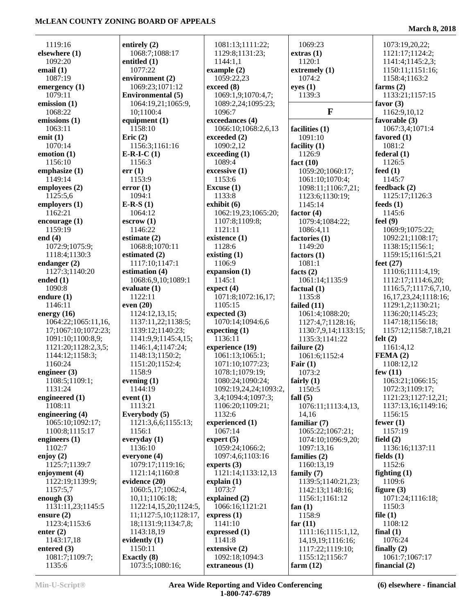**March 8, 2018**

| 1119:16                   |                                  |                                        | 1069:23                          |                                            |
|---------------------------|----------------------------------|----------------------------------------|----------------------------------|--------------------------------------------|
| elsewhere (1)             | entirely $(2)$<br>1068:7;1088:17 | 1081:13;1111:22;<br>1129:8;1131:23;    | extras(1)                        | 1073:19,20,22;<br>1121:17;1124:2;          |
| 1092:20                   |                                  |                                        | 1120:1                           |                                            |
| email $(1)$               | entitled $(1)$<br>1077:22        | 1144:1,1                               |                                  | 1141:4;1145:2,3;                           |
| 1087:19                   | environment (2)                  | example $(2)$<br>1059:22,23            | extremely (1)<br>1074:2          | 1150:11;1151:16;<br>1158:4;1163:2          |
| emergency (1)             | 1069:23;1071:12                  | exceed (8)                             | eyes(1)                          | farms $(2)$                                |
| 1079:11                   | <b>Environmental</b> (5)         | 1069:1,9;1070:4,7;                     | 1139:3                           | 1133:21;1157:15                            |
| emission (1)              | 1064:19,21;1065:9,               | 1089:2,24;1095:23;                     |                                  | favor $(3)$                                |
| 1068:22                   | 10;1100:4                        | 1096:7                                 | $\mathbf{F}$                     | 1162:9,10,12                               |
| emissions (1)             | equipment $(1)$                  | exceedances (4)                        |                                  | favorable (3)                              |
| 1063:11                   | 1158:10                          | 1066:10;1068:2,6,13                    | facilities (1)                   | 1067:3,4;1071:4                            |
| emit $(1)$                | Eric $(2)$                       | exceeded (2)                           | 1091:10                          | favored $(1)$                              |
| 1070:14                   | 1156:3;1161:16                   | 1090:2,12                              | facility $(1)$                   | 1081:2                                     |
| emotion (1)               | $E-R-I-C(1)$                     | exceeding(1)                           | 1126:9                           | federal(1)                                 |
| 1156:10                   | 1156:3                           | 1089:4                                 | fact $(10)$                      | 1126:5                                     |
| emphasize (1)             | err(1)                           | excessive (1)                          | 1059:20;1060:17;                 | feed $(1)$                                 |
| 1149:14                   | 1153:9                           | 1153:6                                 | 1061:10;1070:4;                  | 1145:7                                     |
| employees (2)             | error(1)                         | Excuse $(1)$                           | 1098:11;1106:7,21;               | feedback (2)                               |
| 1125:5,6                  | 1094:1                           | 1133:8                                 | 1123:6;1130:19;                  | 1125:17;1126:3                             |
| employers (1)             | $E-R-S(1)$                       | exhibit (6)                            | 1145:14                          | feeds $(1)$                                |
| 1162:21                   | 1064:12                          | 1062:19,23;1065:20;                    | factor $(4)$                     | 1145:6                                     |
| encourage $(1)$           | $\text{escrow}(1)$               | 1107:8;1109:8;                         | 1079:4;1084:22;                  | feel $(9)$                                 |
| 1159:19                   | 1146:22                          | 1121:11                                | 1086:4,11                        | 1069:9;1075:22;                            |
| end $(4)$                 | estimate $(2)$                   | existence (1)                          | factories (1)                    | 1092:21;1108:17;                           |
| 1072:9;1075:9;            | 1068:8;1070:11                   | 1128:6                                 | 1149:20                          | 1138:15;1156:1;                            |
| 1118:4;1130:3             | estimated $(2)$                  | existing $(1)$                         | factors $(1)$                    | 1159:15;1161:5,21                          |
| endanger $(2)$            | 1117:10;1147:1                   | 1106:9                                 | 1081:1                           | feet $(27)$                                |
| 1127:3;1140:20            | estimation (4)                   | expansion (1)                          | facts $(2)$                      | 1110:6;1111:4,19;                          |
| ended $(1)$               | 1068:6,9,10;1089:1               | 1145:1                                 | 1061:14;1135:9                   | 1112:17;1114:6,20;                         |
| 1090:8                    | evaluate $(1)$                   | expect (4)                             | factual $(1)$                    | 1116:5,7;1117:6,7,10,                      |
| endure $(1)$              | 1122:11                          | 1071:8;1072:16,17;                     | 1135:8                           | 16, 17, 23, 24; 1118: 16;                  |
| 1146:11                   | even $(20)$                      | 1105:15                                | failed $(11)$                    | 1129:1,2;1130:21;                          |
| energy $(16)$             | 1124:12,13,15;                   | expected $(3)$                         | 1061:4;1088:20;                  | 1136:20;1145:23;                           |
| 1064:22;1065:11,16,       | 1137:11,22;1138:5;               | 1070:14;1094:6,6                       | 1127:4,7;1128:16;                | 1147:18;1156:18;                           |
| 17;1067:10;1072:23;       | 1139:12;1140:23;                 | expecting $(1)$                        | 1130:7,9,14;1133:15;             | 1157:12;1158:7,18,21                       |
| 1091:10;1100:8,9;         | 1141:9,9;1145:4,15;              | 1136:11                                | 1135:3;1141:22                   | felt $(2)$                                 |
| 1121:20;1128:2,3,5;       | 1146:1,4;1147:24;                | experience (19)                        | failure $(2)$                    | 1161:4,12                                  |
| 1144:12;1158:3;           | 1148:13;1150:2;                  | 1061:13;1065:1;                        | 1061:6;1152:4                    | FEMA(2)                                    |
| 1160:24                   | 1151:20;1152:4;<br>1158:9        | 1071:10;1077:23;                       | Fair $(1)$                       | 1108:12,12                                 |
| engineer $(3)$            |                                  | 1078:1;1079:19;                        | 1073:2                           | few $(11)$                                 |
| 1108:5;1109:1;            | evening (1)                      | 1080:24;1090:24;                       | fairly $(1)$                     | 1063:21;1066:15;                           |
| 1131:24                   | 1144:19                          | 1092:19,24,24;1093:2,                  | 1150:5                           | 1072:3;1109:17;                            |
| engineered (1)<br>1108:11 | event $(1)$<br>1113:21           | 3,4;1094:4;1097:3;<br>1106:20;1109:21; | fall $(5)$<br>1076:11;1113:4,13, | 1121:23;1127:12,21;<br>1137:13,16;1149:16; |
| engineering (4)           | Everybody (5)                    | 1132:6                                 | 14,16                            | 1156:15                                    |
| 1065:10;1092:17;          | 1121:3,6,6;1155:13;              | experienced (1)                        | familiar $(7)$                   | fewer $(1)$                                |
| 1100:8;1115:17            | 1156:1                           | 1067:14                                | 1065:22;1067:21;                 | 1157:19                                    |
| engineers $(1)$           | everyday $(1)$                   | expert $(5)$                           | 1074:10;1096:9,20;               | field $(2)$                                |
| 1102:7                    | 1136:10                          | 1059:24;1066:2;                        | 1097:13,16                       | 1136:16;1137:11                            |
| enjoy $(2)$               | everyone $(4)$                   | 1097:4,6;1103:16                       | families (2)                     | fields $(1)$                               |
| 1125:7;1139:7             | 1079:17;1119:16;                 | experts $(3)$                          | 1160:13.19                       | 1152:6                                     |
| enjoyment (4)             | 1121:14;1160:8                   | 1121:14;1133:12,13                     | family $(7)$                     | fighting $(1)$                             |
| 1122:19;1139:9;           | evidence (20)                    | explain(1)                             | 1139:5;1140:21,23;               | 1109:6                                     |
| 1157:5,7                  | 1060:5,17;1062:4,                | 1073:7                                 | 1142:13;1148:16;                 | figure $(3)$                               |
| enough $(3)$              | 10,11;1106:18;                   | explained (2)                          | 1156:1;1161:12                   | 1071:24;1116:18;                           |
| 1131:11,23;1145:5         | 1122:14,15,20;1124:5,            | 1066:16;1121:21                        | fan $(1)$                        | 1150:3                                     |
| ensure $(2)$              | 11;1127:5,10;1128:17,            | express(1)                             | 1158:9                           | file $(1)$                                 |
| 1123:4;1153:6             | 18;1131:9;1134:7,8;              | 1141:10                                | far $(11)$                       | 1108:12                                    |
| enter $(2)$               | 1143:18,19                       | expressed $(1)$                        | 1111:16;1115:1,12,               | final $(1)$                                |
| 1143:17,18                | evidently $(1)$                  | 1141:8                                 | 14, 19, 19; 1116: 16;            | 1076:24                                    |
| entered $(3)$             | 1150:11                          | extensive (2)                          | 1117:22;1119:10;                 | finally $(2)$                              |
| 1081:7;1109:7;            | <b>Exactly</b> (8)               | 1092:18;1094:3                         | 1155:12;1156:7                   | 1061:7;1067:17                             |
| 1135:6                    | 1073:5;1080:16;                  | extraneous (1)                         | farm $(12)$                      | financial $(2)$                            |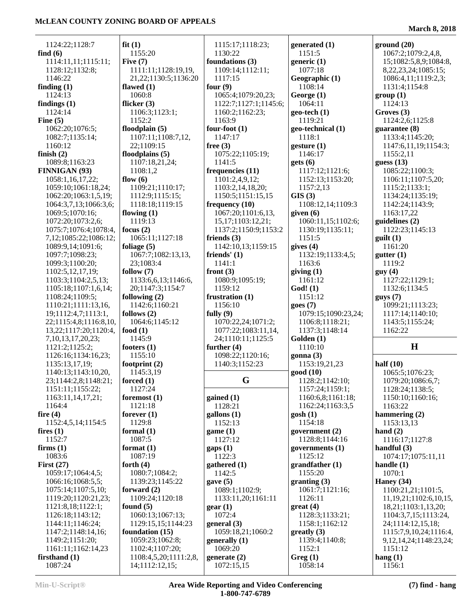1124:22;1128:7 **find (6)** 1114:11,11;1115:11; 1128:12;1132:8; 1146:22 **finding (1)** 1124:13 **findings (1)** 1124:14 **Fine (5)** 1062:20;1076:5; 1082:7;1135:14; 1160:12 **finish (2)** 1089:8;1163:23 **FINNIGAN (93)** 1058:1,16,17,22; 1059:10;1061:18,24; 1062:20;1063:1,5,19; 1064:3,7,13;1066:3,6; 1069:5;1070:16; 1072:20;1073:2,6; 1075:7;1076:4;1078:4, 7,12;1085:22;1086:12; 1089:9,14;1091:6; 1097:7;1098:23; 1099:3;1100:20; 1102:5,12,17,19; 1103:3;1104:2,5,13; 1105:18;1107:1,6,14; 1108:24;1109:5; 1110:21;1111:13,16, 19;1112:4,7;1113:1, 22;1115:4,8;1116:8,10, 13,22;1117:20;1120:4, 7,10,13,17,20,23; 1121:2;1125:2; 1126:16;1134:16,23; 1135:13,17,19; 1140:13;1143:10,20, 23;1144:2,8;1148:21; 1151:11;1155:22; 1163:11,14,17,21; 1164:4 **fire (4)** 1152:4,5,14;1154:5 **fires (1)** 1152:7 **firms (1)** 1083:6 **First (27)** 1059:17;1064:4,5; 1066:16;1068:5,5; 1075:14;1107:5,10; 1119:20;1120:21,23; 1121:8,18;1122:1; 1126:18;1143:12; 1144:11;1146:24; 1147:2;1148:14,16; 1149:2;1151:20; 1161:11;1162:14,23 **firsthand (1) fit (1)** 1155:20 **Five (7) flawed (1)** 1060:8 **flicker (3)** 1106:3;1123:1; 1152:2 **floodplain (5)** 1107:11;1108:7,12, 22;1109:15 **floodplains (5)** 1107:18,21,24; 1108:1,2 **flow (6)** 1109:21;1110:17; 1112:9;1115:15; 1118:18;1119:15 **flowing (1)** 1119:13 **focus (2)** 1065:11;1127:18 **foliage (5)** 1067:7;1082:13,13, 23;1083:4 **follow (7)** 20;1147:3;1154:7 **following (2)** 1142:6;1160:21 **follows (2)** 1064:6;1145:12 **food (1)** 1145:9 **footers (1)** 1155:10 **footprint (2)** 1145:3,19 **forced (1)** 1127:24 **foremost (1)** 1121:18 **forever (1)** 1129:8 **formal (1)** 1087:5 **format (1)** 1087:19 **forth (4)** 1080:7;1084:2; 1139:23;1145:22 **forward (2)** 1109:24;1120:18 **found (5)** 1060:13;1067:13; **foundation (15)** 1059:23;1062:8; 1102:4;1107:20;

 1111:11;1128:19,19, 21,22;1130:5;1136:20 1133:6,6,13;1146:6, 1129:15,15;1144:23 1108:4,5,20;1111:2,8, 1115:17;1118:23; 1130:22 **foundations (3)** 1109:14;1112:11; 1117:15 **four (9)** 1065:4;1079:20,23; 1122:7;1127:1;1145:6; 1160:2;1162:23; 1163:9 **four-foot (1)** 1147:17 **free (3)** 1075:22;1105:19; 1141:5 **frequencies (11)** 1101:2,4,9,12; 1103:2,14,18,20; 1150:5;1151:15,15 **frequency (10)** 1067:20;1101:6,13, 15,17;1103:12,21; 1137:2;1150:9;1153:2 **friends (3)** 1142:10,13;1159:15 **friends' (1)** 1141:1 **front (3)** 1080:9;1095:19; 1159:12 **frustration (1)** 1156:10 **fully (9)** 1070:22,24;1071:2; 1077:22;1083:11,14, 24;1110:11;1125:5 **further (4)** 1098:22;1120:16; 1140:3;1152:23  $\begin{bmatrix} G & 1 \end{bmatrix}$ **gained (1)** 1128:21 **gallons (1)** 1152:13 **game (1)** 1127:12 **gaps (1)** 1122:3 **gathered (1)** 1142:5 **gave (5)** 1089:1;1102:9; 1133:11,20;1161:11 **gear (1)** 1072:4 **general (3)** 1059:18,21;1060:2 **generally (1)** 1069:20 **generate (2)** 1072:15,15

**generated (1)** 1151:5 **generic (1)** 1077:18 **Geographic (1)** 1108:14 **George (1)** 1064:11 **geo-tech (1)** 1119:21 **geo-technical (1)** 1118:1 **gesture (1)** 1146:17 **gets (6)** 1117:12;1121:6; 1152:13;1153:20; 1157:2,13 **GIS (3)** 1108:12,14;1109:3 **given (6)** 1060:11,15;1102:6; 1130:19;1135:11; 1151:5 **gives (4)** 1132:19;1133:4,5; 1163:6 **giving (1)** 1161:12 **God! (1)** 1151:12 **goes (7)** 1079:15;1090:23,24; 1106:8;1118:21; 1137:3;1148:14 **Golden (1)** 1110:10 **gonna (3)** 1153:19,21,23 **good (10)** 1128:2;1142:10; 1157:24;1159:1; 1160:6,8;1161:18; 1162:24;1163:3,5 **gosh (1)** 1154:18 **government (2)** 1128:8;1144:16 **governments (1)** 1125:12 **grandfather (1)** 1155:20 **granting (3)** 1061:7;1121:16; 1126:11 **great (4)** 1128:3;1133:21; 1158:1;1162:12 **greatly (3)** 1139:4;1140:8; 1152:1 **Greg (1)** 1058:14

**March 8, 2018**

**ground (20)** 1067:2;1079:2,4,8, 15;1082:5,8,9;1084:8, 8,22,23,24;1085:15; 1086:4,11;1119:2,3; 1131:4;1154:8 **group (1)** 1124:13 **Groves (3)** 1124:2,6;1125:8 **guarantee (8)** 1133:4;1145:20; 1147:6,11,19;1154:3; 1155:2,11 **guess (13)** 1085:22;1100:3; 1106:11;1107:5,20; 1115:2;1133:1; 1134:24;1135:19; 1142:24;1143:9; 1163:17,22 **guidelines (2)** 1122:23;1145:13 **guilt (1)** 1161:20 **gutter (1)** 1119:2 **guy (4)** 1127:22;1129:1; 1132:6;1134:5 **guys (7)** 1099:21;1113:23; 1117:14;1140:10; 1143:5;1155:24;

# **H**

1162:22

**half (10)** 1065:5;1076:23; 1079:20;1086:6,7; 1128:24;1138:5; 1150:10;1160:16; 1163:22 **hammering (2)** 1153:13,13 **hand (2)** 1116:17;1127:8 **handful (3)** 1074:17;1075:11,11 **handle (1)** 1070:1 **Haney (34)** 1100:21,21;1101:5, 11,19,21;1102:6,10,15, 18,21;1103:1,13,20; 1104:3,7,15;1113:24, 24;1114:12,15,18; 1115:7,9,10,24;1116:4, 9,12,14,24;1148:23,24; 1151:12 **hang (1)** 1156:1

1087:24

14;1112:12,15;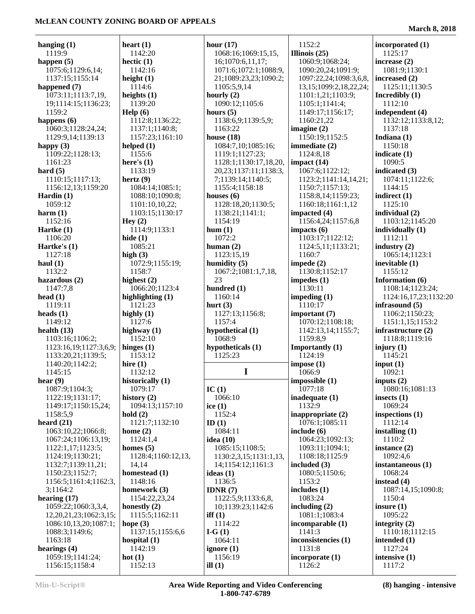| hanging $(1)$<br>1119:9             | heart $(1)$<br>1142:20            |
|-------------------------------------|-----------------------------------|
| happen $(5)$                        | hectic $(1)$                      |
| 1075:6;1129:6,14;                   | 1142:16                           |
| 1137:15;1155:14                     | height $(1)$                      |
| happened (7)                        | 1114:6                            |
| 1073:11;1113:7,19,                  | heights $(1)$                     |
| 19;1114:15;1136:23;                 | 1139:20                           |
| 1159:2                              | $\text{Help} (6)$                 |
| happens $(6)$<br>1060:3;1128:24,24; | 1112:8;1136:22;<br>1137:1;1140:8; |
| 1129:9,14;1139:13                   | 1157:23;1161:10                   |
| happy $(3)$                         | helped $(1)$                      |
| 1109:22;1128:13;                    | 1155:6                            |
| 1161:23                             | here's $(1)$                      |
| hard $(5)$                          | 1133:19                           |
| 1110:15;1117:13;                    | hertz $(9)$                       |
| 1156:12,13;1159:20                  | 1084:14;1085:1;                   |
| Hardin $(1)$                        | 1088:10;1090:8;                   |
| 1059:12                             | 1101:10,10,22;                    |
| harm $(1)$<br>1152:16               | 1103:15;1130:17<br>Hey $(2)$      |
| Hartke $(1)$                        | 1114:9;1133:1                     |
| 1106:20                             | hide $(1)$                        |
| Hartke's (1)                        | 1085:21                           |
| 1127:18                             | high $(3)$                        |
| haul $(1)$                          | 1072:9;1155:19;                   |
| 1132:2                              | 1158:7                            |
| hazardous $(2)$                     | highest $(2)$                     |
| 1147:7,8                            | 1066:20;1123:4                    |
| head $(1)$                          | highlighting $(1)$                |
| 1119:11<br>heads $(1)$              | 1121:23                           |
| 1149:12                             | highly $(1)$<br>1127:6            |
| health $(13)$                       | highway (1)                       |
| 1103:16;1106:2;                     | 1152:10                           |
| 1123:16,19;1127:3,6,9;              | hinges $(1)$                      |
| 1133:20,21;1139:5;                  | 1153:12                           |
| 1140:20;1142:2;                     | hire $(1)$                        |
| 1145:15                             | 1132:12                           |
| hear $(9)$                          | historically (1)                  |
| 1087:9;1104:3;<br>1122:19;1131:17;  | 1079:17<br>history $(2)$          |
| 1149:17;1150:15,24;                 | 1094:13;1157:10                   |
| 1158:5,9                            | hold(2)                           |
| heard $(21)$                        | 1121:7;1132:10                    |
| 1063:10,22;1066:8;                  | home $(2)$                        |
| 1067:24;1106:13,19;                 | 1124:1,4                          |
| 1122:1,17;1123:5;                   | homes $(5)$                       |
| 1124:19;1130:21;                    | 1128:4;1160:12,13,                |
| 1132:7;1139:11,21;                  | 14,14                             |
| 1150:23;1152:7;                     | homestead (1)<br>1148:16          |
| 1156:5;1161:4;1162:3,<br>3;1164:2   | homework (3)                      |
| hearing $(17)$                      | 1154:22,23,24                     |
| 1059:22;1060:3,3,4,                 | honestly $(2)$                    |
| 12,20,21,23;1062:3,15;              | 1115:5;1162:11                    |
| 1086:10,13,20;1087:1;               | hope (3)                          |
| 1088:3;1149:6;                      | 1137:15;1155:6,6                  |
| 1163:18                             | hospital (1)                      |
| hearings (4)                        | 1142:19                           |
| 1059:19;1141:24;                    | hot(1)                            |
| 1156:15;1158:4                      | 1152:13                           |

|                                    | 1           |
|------------------------------------|-------------|
| hour $(17)$<br>1068:16;1069:15,15, | Illi        |
|                                    |             |
| 16;1070:6,11,17;                   | 1           |
| 1071:6;1072:1;1088:9,              | 1           |
| 21;1089:23,23;1090:2;              | 1           |
| 1105:5,9,14                        | 1           |
| hourly $(2)$                       | 1           |
| 1090:12;1105:6                     | 1           |
| hours $(5)$                        | 1           |
| 1138:6,9;1139:5,9;                 | 1           |
| 1163:22                            | ima         |
| house $(18)$                       | 1           |
| 1084:7,10;1085:16;                 | imı         |
| 1119:1;1127:23;                    | 1           |
| 1128:1;1130:17,18,20,              | im          |
| 20,23;1137:11;1138:3,              | 1           |
| 7;1139:14;1140:5;                  | 1           |
| 1155:4;1158:18                     | 1           |
| houses $(6)$                       | 1           |
| 1128:18,20;1130:5;                 | 1           |
| 1138:21;1141:1;                    |             |
| 1154:19                            | imp         |
| hum(1)                             | 1           |
|                                    | imp         |
| 1072:2                             | 1           |
| human $(2)$                        | 1           |
| 1123:15,19                         | 1           |
| humidity $(5)$                     | imp         |
| 1067:2;1081:1,7,18,                | 1           |
| 23                                 | imp         |
| hundred (1)                        | 1           |
| 1160:14                            | imp         |
| hurt $(3)$                         | 1           |
| 1127:13;1156:8;                    | im          |
| 1157:4                             | 1           |
| hypothetical (1)                   | 1           |
| 1068:9                             | 1           |
| hypotheticals (1)                  |             |
|                                    | $\text{Im}$ |
| 1125:23                            | 1           |
|                                    | imp         |
| I                                  | 1           |
|                                    | imp         |
| IC (1)                             | 1           |
| 1066:10                            | ina         |
| ice $(1)$                          | 1           |
| 1152:4                             | ina         |
| ID(1)                              | 1           |
| 1084:11                            | inc.        |
| idea (10)                          | 1           |
| 1085:15;1108:5;                    | 1           |
| 1130:2,3,15;1131:1,13,             | 1           |
| 14;1154:12;1161:3                  | inc.        |
| ideas (1)                          | 1           |
| 1136:5                             | 1           |
| IDNR $(7)$                         | incl        |
| 1122:5,9;1133:6,8,                 | 1           |
| 10;1139:23;1142:6                  | incl        |
| iff $(1)$                          | 1           |
| 1114:22                            | inc         |
| I-G $(1)$                          | 1           |
| 1064:11                            | inc         |
| ignore $(1)$                       | 1           |
| 1156:19<br>ill $(1)$               | inc<br>1    |

 1152:2 **Illinois (25)** 1060:9;1068:24; 1090:20,24;1091:9; 1097:22,24;1098:3,6,8, 13,15;1099:2,18,22,24; 1101:1,21;1103:9; 1105:1;1141:4; 1149:17;1156:17; 1160:21,22 **imagine (2)** 1150:19;1152:5 **immediate (2)** 1124:8,18 **impact (14)** 1067:6;1122:12; 1123:2;1141:14,14,21; 1150:7;1157:13; 1158:8,14;1159:23; 1160:18;1161:1,12 **impacted (4)** 1156:4,24;1157:6,8 **impacts (6)** 1103:17;1122:12; 1124:5,11;1133:21; 1160:7 **impede (2)** 1130:8;1152:17 **impedes (1)** 1130:11 **impeding (1)** 1110:17 **important (7)** 1070:12;1108:18; 1142:13,14;1155:7; 1159:8,9 **Importantly (1)** 1124:19 **impose (1)** 1066:9 **impossible (1)** 1077:18 **inadequate (1)** 1132:9 **inappropriate (2)** 1076:1;1085:11 **include (6)** 1064:23;1092:13; 1093:11;1094:1; 1108:18;1125:9 **included (3)** 1080:5;1150:6; 1153:2 **includes (1)** 1083:24 **including (2)** 1081:1;1083:4 **incomparable (1)** 1141:3 **inconsistencies (1)** 1131:8 **incorporate (1)** 1126:2

**incorporated (1)** 1125:17 **increase (2)** 1081:9;1130:1 **increased (2)** 1125:11;1130:5 **Incredibly (1)** 1112:10 **independent (4)** 1132:12;1133:8,12; 1137:18 **Indiana (1)** 1150:18 **indicate (1)** 1090:5 **indicated (3)** 1074:11;1122:6; 1144:15 **indirect (1)** 1125:10 **individual (2)** 1103:12;1145:20 **individually (1)** 1112:11 **industry (2)** 1065:14;1123:1 **inevitable (1)** 1155:12 **Information (6)** 1108:14;1123:24; 1124:16,17,23;1132:20 **infrasound (5)** 1106:2;1150:23; 1151:1,15;1153:2 **infrastructure (2)** 1118:8;1119:16 **injury (1)** 1145:21 **input (1)** 1092:1 **inputs (2)** 1080:16;1081:13 **insects (1)** 1069:24 **inspections (1)** 1112:14 **installing (1)** 1110:2 **instance (2)** 1092:4,6 **instantaneous (1)** 1068:24 **instead (4)** 1087:14,15;1090:8; 1150:4 **insure (1)** 1095:22 **integrity (2)** 1110:18;1112:15 **intended (1)** 1127:24 **intensive (1)** 1117:2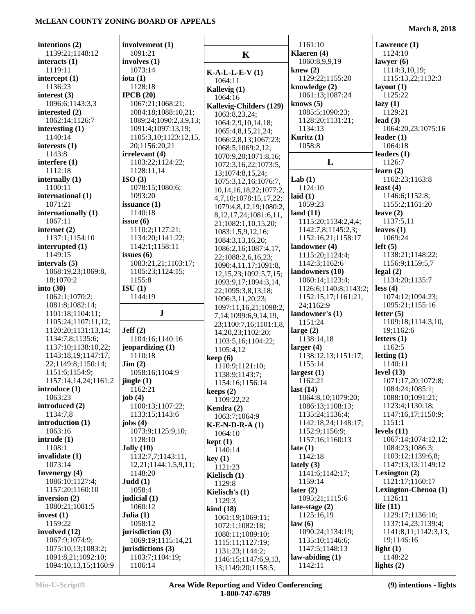| intentions (2)                          | involvement (1)                    |                                                | 1161:10                          | Lawrence (1)                       |
|-----------------------------------------|------------------------------------|------------------------------------------------|----------------------------------|------------------------------------|
| 1139:21;1148:12                         | 1091:21                            | $\mathbf K$                                    | Klaeren (4)                      | 1124:10                            |
| interacts $(1)$                         | involves $(1)$                     |                                                | 1060:8,9,9,19                    | lawyer $(6)$                       |
| 1119:11                                 | 1073:14                            | $K-A-L-L-E-V(1)$                               | knew $(2)$                       | 1114:3,10,19;                      |
| intercept $(1)$                         | iota $(1)$                         | 1064:11                                        | 1129:22;1155:20                  | 1115:13,22;1132:3                  |
| 1136:23                                 | 1128:18                            | Kallevig (1)                                   | knowledge (2)                    | layout $(1)$                       |
| interest $(3)$                          | IPCB $(20)$                        | 1064:16                                        | 1061:13;1087:24                  | 1125:22                            |
| 1096:6;1143:3,3                         | 1067:21;1068:21;                   | Kallevig-Childers (129)                        | knows $(5)$                      | lazy(1)                            |
| interested (2)                          | 1084:18;1088:10,21;                | 1063:8,23,24;                                  | 1085:5;1090:23;                  | 1129:21                            |
| 1062:14;1126:7                          | 1089:24;1090:2,3,9,13;             | 1064:2,9,10,14,18;                             | 1128:20;1131:21;                 | lead $(3)$                         |
| interesting $(1)$                       | 1091:4;1097:13,19;                 | 1065:4,8,15,21,24;                             | 1134:13                          | 1064:20,23;1075:16                 |
| 1140:14                                 | 1105:3,10;1123:12,15,              | 1066:2,8,13;1067:23;                           | Kuritz $(1)$                     | leader $(1)$                       |
| interests $(1)$                         | 20;1156:20,21                      | 1068:5;1069:2,12;                              | 1058:8                           | 1064:18                            |
| 1143:8                                  | irrelevant (4)                     | 1070:9,20;1071:8,16;                           |                                  | leaders $(1)$                      |
| interfere (1)                           | 1103:22;1124:22;                   | 1072:3,16,22;1073:5,                           | L                                | 1126:7                             |
| 1112:18                                 | 1128:11,14                         | 13;1074:8,15,24;                               |                                  | learn(2)                           |
| internally $(1)$                        | ISO(3)                             | 1075:3,12,16;1076:7,                           | Lab $(1)$                        | 1162:23;1163:8                     |
| 1100:11                                 | 1078:15;1080:6;                    | 10, 14, 16, 18, 22; 1077: 2,                   | 1124:10                          | least $(4)$                        |
| international (1)                       | 1093:20                            | 4,7,10;1078:15,17,22;                          | laid $(1)$                       | 1146:6;1152:8;                     |
| 1071:21                                 | issuance $(1)$                     | 1079:4,8,12,19;1080:2,                         | 1059:23                          | 1155:2;1161:20                     |
| internationally (1)                     | 1140:18                            | 8, 12, 17, 24; 1081: 6, 11,                    | land $(11)$                      | leave $(2)$                        |
| 1067:11                                 | issue $(6)$                        | 21;1082:1,10,15,20;                            | 1115:20;1134:2,4,4;              | 1137:5,11                          |
| internet $(2)$                          | 1110:2;1127:21;                    | 1083:1,5,9,12,16;                              | 1142:7,8;1145:2,3;               | leaves $(1)$                       |
| 1137:1;1154:10<br>interrupted (1)       | 1134:20;1141:22;<br>1142:1;1158:11 | 1084:3,13,16,20;                               | 1152:16,21;1158:17               | 1069:24<br>left(5)                 |
| 1149:15                                 | issues $(6)$                       | 1086:2,16;1087:4,17,                           | landowner (4)<br>1115:20;1124:4; | 1138:21;1148:22;                   |
| intervals (5)                           | 1083:21,21;1103:17;                | 22;1088:2,6,16,23;                             | 1142:3;1162:6                    | 1156:9;1159:5,7                    |
| 1068:19,23;1069:8,                      | 1105:23;1124:15;                   | 1090:4,11,17;1091:8,                           | landowners (10)                  | $\text{legal} (2)$                 |
| 18;1070:2                               | 1155:8                             | 12, 15, 23; 1092: 5, 7, 15;                    | 1060:14;1123:4;                  | 1134:20;1135:7                     |
| into $(30)$                             | ISU(1)                             | 1093:9,17;1094:3,14,                           | 1126:6;1140:8;1143:2;            | less (4)                           |
| 1062:1;1070:2;                          | 1144:19                            | 22;1095:3,8,13,18;                             | 1152:15,17;1161:21,              | 1074:12;1094:23;                   |
| 1081:8;1082:14;                         |                                    | 1096:3,11,20,23;                               | 24;1162:9                        | 1095:21;1155:16                    |
| 1101:18;1104:11;                        | ${\bf J}$                          | 1097:11,16,21;1098:2,                          | landowner's (1)                  | letter $(5)$                       |
| 1105:24;1107:11,12;                     |                                    | 7,14;1099:6,9,14,19,<br>23;1100:7,16;1101:1,8, | 1151:24                          | 1109:18;1114:3,10,                 |
| 1120:20;1131:13,14;                     | Jeff(2)                            | 14, 20, 23; 1102: 20;                          | large $(2)$                      | 19;1162:6                          |
| 1134:7,8;1135:6;                        | 1104:16;1140:16                    | 1103:5,16;1104:22;                             | 1138:14,18                       | letters $(1)$                      |
| 1137:10;1138:10,22;                     | jeopardizing (1)                   | 1105:4,12                                      | larger $(4)$                     | 1162:5                             |
| 1143:18,19;1147:17,                     | 1110:18                            | keep(6)                                        | 1138:12,13;1151:17;              | letting $(1)$                      |
| 22;1149:8;1150:14;                      | $\text{Jim} (2)$                   | 1110:9;1121:10;                                | 1155:14                          | 1140:11                            |
| 1151:6;1154:9;                          | 1058:16;1104:9                     | 1138:9;1143:7;                                 | largest $(1)$                    | level $(13)$                       |
| 1157:14,14,24;1161:2                    | jingle $(1)$                       | 1154:16;1156:14                                | 1162:21                          | 1071:17,20;1072:8;                 |
| introduce (1)                           | 1162:21                            | keeps $(2)$                                    | last $(14)$                      | 1084:24;1085:1;                    |
| 1063:23                                 | job $(4)$                          | 1109:22,22                                     | 1064:8,10;1079:20;               | 1088:10;1091:21;                   |
| introduced (2)                          | 1100:13;1107:22;                   | Kendra (2)                                     | 1086:13;1108:13;                 | 1123:4;1130:18;                    |
| 1134:7,8                                | 1133:15;1143:6                     | 1063:7;1064:9                                  | 1135:24;1136:4;                  | 1147:16,17;1150:9;                 |
| introduction (1)                        | jobs $(4)$                         | $K-E-N-D-R-A(1)$                               | 1142:18,24;1148:17;              | 1151:1                             |
| 1063:16                                 | 1073:9;1125:9,10;                  | 1064:10                                        | 1152:9;1156:9;                   | levels $(11)$                      |
| intrude(1)                              | 1128:10                            | kept(1)                                        | 1157:16;1160:13                  | 1067:14;1074:12,12;                |
| 1108:1                                  | Jolly(10)                          | 1140:14                                        | late $(1)$                       | 1084:23;1086:3;                    |
| invalidate (1)                          | 1132:7,7;1143:11,                  | key(1)                                         | 1142:18                          | 1103:12;1139:6,8;                  |
| 1073:14                                 | 12,21;1144:1,5,9,11;               | 1121:23                                        | lately $(3)$                     | 1147:13,13;1149:12                 |
| <b>Invenergy</b> (4)<br>1086:10;1127:4; | 1148:20<br>Judd(1)                 | Kielisch $(1)$                                 | 1141:6;1142:17;<br>1159:14       | Lexington $(2)$<br>1121:17;1160:17 |
|                                         |                                    | 1129:8                                         |                                  |                                    |
| 1157:20;1160:10<br>inversion $(2)$      | 1058:4<br>judicial $(1)$           | Kielisch's $(1)$                               | later $(2)$<br>1095:21;1115:6    | Lexington-Chenoa (1)<br>1126:11    |
| 1080:21;1081:5                          | 1060:12                            | 1129:3                                         | late-stage $(2)$                 | life $(11)$                        |
| invest $(1)$                            | Julia $(1)$                        | $\operatorname{kind}(18)$                      | 1125:16,19                       | 1129:17;1136:10;                   |
| 1159:22                                 | 1058:12                            | 1061:19;1069:11;                               | law(6)                           | 1137:14,23;1139:4;                 |
| involved (12)                           | jurisdiction (3)                   | 1072:1;1082:18;                                | 1090:24;1134:19;                 | 1141:8,11;1142:3,13,               |
| 1067:9;1074:9;                          | 1069:19;1115:14,21                 | 1088:11;1089:10;                               | 1135:10;1146:6;                  | 19;1146:16                         |
| 1075:10,13;1083:2;                      | jurisdictions (3)                  | 1115:11;1127:19;                               | 1147:5;1148:13                   | light $(1)$                        |
| 1091:8,21;1092:10;                      | 1103:7;1104:19;                    | 1131:23;1144:2;<br>1146:15;1147:6,9,13,        | law-abiding $(1)$                | 1148:22                            |
| 1094:10,13,15;1160:9                    | 1106:14                            | 13;1149:20;1158:5;                             | 1142:11                          | lights $(2)$                       |
|                                         |                                    |                                                |                                  |                                    |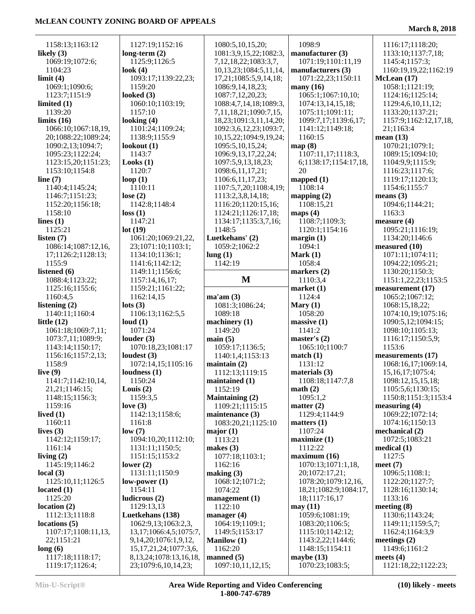| 1158:13;1163:12                      | 1127:19;1152:16                                     | 1080:5,10,15,20;                                 | 1098:9                          | 1116:17;1118:20;                   |
|--------------------------------------|-----------------------------------------------------|--------------------------------------------------|---------------------------------|------------------------------------|
| likely $(3)$                         | long-term $(2)$                                     | 1081:3,9,15,22;1082:3,                           | manufacturer (3)                | 1133:10;1137:7,18;                 |
| 1069:19;1072:6;                      | 1125:9;1126:5                                       | 7, 12, 18, 22; 1083: 3, 7,                       | 1071:19;1101:11,19              | 1145:4;1157:3;                     |
| 1104:23                              | look $(4)$                                          | 10,13,23;1084:5,11,14,                           | manufacturers (3)               | 1160:19,19,22;1162:19              |
| limit(4)                             | 1093:17;1139:22,23;                                 | 17,21;1085:5,9,14,18;                            | 1071:22,23;1150:11              | McLean (17)                        |
| 1069:1;1090:6;                       | 1159:20                                             | 1086:9,14,18,23;                                 | many $(16)$                     | 1058:1;1121:19;                    |
| 1123:7;1151:9                        | looked $(3)$                                        | 1087:7,12,20,23;                                 | 1065:1;1067:10,10;              | 1124:16;1125:14;                   |
| limited $(1)$                        | 1060:10;1103:19;                                    | 1088:4,7,14,18;1089:3,                           | 1074:13,14,15,18;               | 1129:4,6,10,11,12;                 |
| 1139:20                              | 1157:10<br>looking $(4)$                            | 7, 11, 18, 21; 1090: 7, 15,                      | 1075:11;1091:11;                | 1133:20;1137:21;                   |
| limits $(16)$<br>1066:10;1067:18,19, | 1101:24;1109:24;                                    | 18,23;1091:3,11,14,20;                           | 1099:7,17;1139:6,17;            | 1157:9;1162:12,17,18,<br>21;1163:4 |
| 20;1088:22;1089:24;                  | 1138:9;1155:9                                       | 1092:3,6,12,23;1093:7,<br>10,15,22;1094:9,19,24; | 1141:12;1149:18;<br>1160:15     | mean $(13)$                        |
| 1090:2,13;1094:7;                    | lookout $(1)$                                       | 1095:5, 10, 15, 24;                              | map(8)                          | 1070:21;1079:1;                    |
| 1095:23;1122:24;                     | 1143:7                                              | 1096:9,13,17,22,24;                              | 1107:11,17;1118:3,              | 1089:15;1094:10;                   |
| 1123:15,20;1151:23;                  | Looks(1)                                            | 1097:5,9,13,18,23;                               | 6;1138:17;1154:17,18,           | 1104:9,9;1115:9;                   |
| 1153:10;1154:8                       | 1120:7                                              | 1098:6,11,17,21;                                 | 20                              | 1116:23;1117:6;                    |
| line $(7)$                           | loop $(1)$                                          | 1106:6, 11, 17, 23;                              | mapped $(1)$                    | 1119:17;1120:13;                   |
| 1140:4;1145:24;                      | 1110:11                                             | 1107:5,7,20;1108:4,19;                           | 1108:14                         | 1154:6;1155:7                      |
| 1146:7;1151:23;                      | lose $(2)$                                          | 1113:2,3,8,14,18;                                | mapping $(2)$                   | means $(3)$                        |
| 1152:20;1156:18;                     | 1142:8;1148:4                                       | 1116:20;1120:15,16;                              | 1108:15,21                      | 1094:6;1144:21;                    |
| 1158:10                              | loss(1)                                             | 1124:21;1126:17,18;                              | maps $(4)$                      | 1163:3                             |
| lines $(1)$                          | 1147:21                                             | 1134:17;1135:3,7,16;                             | 1108:7;1109:3;                  | measure $(4)$                      |
| 1125:21                              | lot(19)                                             | 1148:5                                           | 1120:1;1154:16                  | 1095:21;1116:19;                   |
| listen $(7)$                         | 1061:20;1069:21,22,                                 | Luetkehans' (2)                                  | margin(1)                       | 1134:20;1146:6                     |
| 1086:14;1087:12,16,                  | 23;1071:10;1103:1;                                  | 1059:2;1062:2                                    | 1094:1                          | measured (10)                      |
| 17;1126:2;1128:13;                   | 1134:10;1136:1;                                     | lung(1)                                          | Mark $(1)$                      | 1071:11;1074:11;                   |
| 1155:9                               | 1141:6;1142:12;                                     | 1142:19                                          | 1058:4                          | 1094:22;1095:21;                   |
| listened (6)                         | 1149:11;1156:6;                                     |                                                  | markers $(2)$                   | 1130:20;1150:3;                    |
| 1088:4;1123:22;                      | 1157:14,16,17;                                      | $\mathbf{M}$                                     | 1110:3,4                        | 1151:1,22,23;1153:5                |
| 1125:16;1155:6;                      | 1159:21;1161:22;                                    |                                                  | market(1)                       | measurement (17)                   |
| 1160:4,5                             | 1162:14,15                                          | ma'am(3)                                         | 1124:4                          | 1065:2;1067:12;                    |
| listening (2)                        | $\text{lots}$ (3)                                   | 1081:3;1086:24;                                  | Mary $(1)$                      | 1068:15,18,22;                     |
| 1140:11;1160:4                       | 1106:13;1162:5,5                                    | 1089:18                                          | 1058:20                         | 1074:10,19;1075:16;                |
| little $(12)$                        | loud(1)                                             | machinery $(1)$                                  | massive(1)                      | 1090:5,12;1094:15;                 |
| 1061:18;1069:7,11;                   | 1071:24                                             | 1149:20                                          | 1141:2                          | 1098:10;1105:13;                   |
| 1073:7,11;1089:9;                    | louder $(3)$                                        | main(5)                                          | master's $(2)$                  | 1116:17;1150:5,9;                  |
| 1143:14;1150:17;                     | 1070:18,23;1081:17                                  | 1059:17;1136:5;                                  | 1065:10;1100:7                  | 1153:6                             |
| 1156:16;1157:2,13;                   | loudest $(3)$                                       | 1140:1,4;1153:13                                 | match(1)                        | measurements (17)                  |
| 1158:9                               | 1072:14,15;1105:16                                  | maintain $(2)$                                   | 1131:12                         | 1068:16,17;1069:14,                |
| live $(9)$                           | Ioudness(1)                                         | 1112:13;1119:15                                  | materials $(3)$                 | 15, 16, 17; 1075: 4;               |
| 1141:7:1142:10.14.                   | 1150:24                                             | maintained (1)                                   | 1108:18:1147:7.8                | 1098:12,15,15,18;                  |
| 21, 21; 1146: 15;                    | Louis $(2)$                                         | 1152:19                                          | math(2)                         | 1105:5,6;1130:15;                  |
| 1148:15;1156:3;                      | 1159:3,5                                            |                                                  |                                 |                                    |
| 1159:16                              |                                                     | <b>Maintaining (2)</b>                           | 1095:1,2                        | 1150:8;1151:3;1153:4               |
|                                      | love $(3)$                                          | 1109:21;1115:15                                  | matter $(2)$                    | measuring (4)                      |
| lived $(1)$                          | 1142:13;1158:6;                                     | maintenance (3)                                  | 1129:4;1144:9                   | 1069:22;1072:14;                   |
| 1160:11                              | 1161:8                                              | 1083:20,21;1125:10                               | matters $(1)$                   | 1074:16;1150:13                    |
| lives $(3)$                          | low(7)                                              | major $(1)$                                      | 1107:24                         | mechanical (2)                     |
| 1142:12;1159:17;                     | 1094:10,20;1112:10;                                 | 1113:21                                          | maximize(1)                     | 1072:5;1083:21                     |
| 1161:14                              | 1131:11;1150:5;                                     | makes $(3)$                                      | 1112:22                         | medical $(1)$                      |
| living $(2)$                         | 1151:15;1153:2                                      | 1077:18;1103:1;                                  | maximum (16)                    | 1127:5                             |
| 1145:19;1146:2                       | lower $(2)$                                         | 1162:16                                          | 1070:13;1071:1,18,              | meet $(7)$                         |
| local $(3)$                          | 1131:11;1150:9                                      | making (3)                                       | 20;1072:17,21;                  | 1096:5;1108:1;                     |
| 1125:10,11;1126:5                    | $low-power(1)$                                      | 1068:12;1071:2;                                  | 1078:20;1079:12,16,             | 1122:20;1127:7;                    |
| located $(1)$                        | 1154:11                                             | 1074:22                                          | 18,21;1082:9;1084:17,           | 1128:16;1130:14;                   |
| 1125:20                              | ludicrous (2)                                       | management $(1)$                                 | 18;1117:16,17                   | 1133:16                            |
| location(2)                          | 1129:13,13<br>Luetkehans (138)                      | 1122:10                                          | may(11)<br>1059:6;1081:19;      | meeting $(8)$<br>1130:6;1143:24;   |
| 1112:13;1118:8<br>locations (5)      | 1062:9,13;1063:2,3,                                 | manager $(4)$<br>1064:19;1109:1;                 | 1083:20;1106:5;                 | 1149:11;1159:5,7;                  |
| 1107:17;1108:11,13,                  | 13, 17; 1066: 4, 5; 1075: 7,                        | 1149:5;1153:17                                   | 1115:10;1142:12;                | 1162:4;1164:3,9                    |
| 22;1151:21                           | 9, 14, 20; 1076: 1, 9, 12,                          | <b>Manilow</b> (1)                               | 1143:2,22;1144:6;               | meetings $(2)$                     |
| long(6)                              | 15, 17, 21, 24; 1077: 3, 6,                         | 1162:20                                          | 1148:15;1154:11                 | 1149:6;1161:2                      |
| 1117:18;1118:17;<br>1119:17;1126:4;  | 8, 13, 24; 1078: 13, 16, 18,<br>23;1079:6,10,14,23; | manned $(5)$<br>1097:10,11,12,15;                | maybe $(13)$<br>1070:23;1083:5; | meets $(4)$<br>1121:18,22;1122:23; |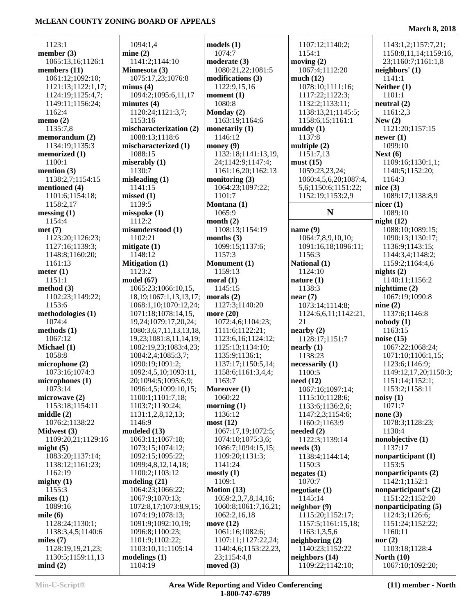1123:1 **member (3)**

**members (11)**

 1162:4 **memo (2)** 1135:7,8 **memorandum (2)** 1134:19;1135:3 **memorized (1)** 1100:1 **mention (3)**

1065:13,16;1126:1

 1061:12;1092:10; 1121:13;1122:1,17; 1124:19;1125:4,7; 1149:11;1156:24;

 1138:2,7;1154:15 **mentioned (4)** 1101:6;1154:18; 1158:2,17 **messing (1)** 1154:4 **met (7)**

 1123:20;1126:23; 1127:16;1139:3; 1148:8;1160:20; 1161:13 **meter (1)** 1151:1 **method (3)**

1102:23;1149:22;

 1153:6 **methodologies (1)** 1074:4 **methods (1)** 1067:12 **Michael (1)** 1058:8 **microphone (2)** 1073:16;1074:3 **microphones (1)** 1073:14 **microwave (2)** 1153:18;1154:11

**middle (2)**

**Midwest (3)**

 1162:19 **mighty (1)** 1155:3 **mikes (1)** 1089:16 **mile (6)**

**might (5)**

1076:2;1138:22

1109:20,21;1129:16

**modeled (13)**

 1063:11;1067:18; 1073:15;1074:12; 1092:15;1095:22; 1099:4,8,12,14,18; 1100:2;1103:12 **modeling (21)**

> 1064:23;1066:22; 1067:9;1070:13; 1072:8,17;1073:8,9,15; 1074:19;1078:13; 1091:9;1092:10,19; 1096:8;1100:23; 1101:9;1102:22; 1103:10,11;1105:14

**modelings (1)** 1104:19

 1083:20;1137:14; 1138:12;1161:23;

 1128:24;1130:1; 1138:3,4,5;1140:6

 1128:19,19,21,23; 1130:5;1159:11,13

| 1094:1,4                     | $\boldsymbol{\mathrm{models}}$ (1) | 11          |
|------------------------------|------------------------------------|-------------|
| mine $(2)$                   | 1074:7                             | 11          |
| 1141:2;1144:10               | moderate (3)                       | mov         |
| Minnesota (3)                | 1080:21,22;1081:5                  | 10          |
| 1075:17,23;1076:8            | modifications (3)                  | muc         |
| minus(4)                     | 1122:9,15,16                       | 10          |
| 1094:2;1095:6,11,17          | moment $(1)$                       | 11          |
| minutes (4)                  | 1080:8                             | 11          |
| 1120:24;1121:3,7;            | Monday (2)                         | 11          |
| 1153:16                      | 1163:19;1164:6                     | 11          |
| mischaracterization (2)      | monetarily (1)                     | mud         |
| 1088:13;1118:6               | 1146:12                            | 11          |
| mischaracterized (1)         | money $(9)$                        | mult        |
| 1088:15                      | 1132:18;1141:13,19,                | 11          |
| miserably (1)                | 24;1142:9;1147:4;                  | mus         |
| 1130:7                       | 1161:16,20;1162:13                 | 10          |
| misleading $(1)$             | monitoring (3)                     | 10          |
| 1141:15                      | 1064:23;1097:22;                   | 5,          |
| missed(1)                    | 1101:7                             | 11          |
| 1139:5                       | Montana (1)                        |             |
| misspoke (1)                 | 1065:9                             |             |
| 1112:2                       | month $(2)$                        |             |
| misunderstood (1)            | 1108:13;1154:19                    | nam         |
| 1102:21                      | months $(3)$                       | 10          |
| mitigate (1)                 | 1099:15:1137:6:                    | 10          |
| 1148:12                      | 1157:3                             | 11          |
| <b>Mitigation (1)</b>        | Monument (1)                       | <b>Nati</b> |
| 1123:2                       | 1159:13                            | 11          |
| model (67)                   | moral(1)                           | natu        |
| 1065:23;1066:10,15,          | 1145:15                            | 11          |
| 18, 19; 1067: 1, 13, 13, 17; | morals $(2)$                       | near        |
| 1068:1,10;1070:12,24;        | 1127:3;1140:20                     | 10          |
| 1071:18;1078:14,15,          | more (20)                          | 11          |
| 19,24;1079:17,20,24;         | 1072:4,6;1104:23;                  | 21          |
| 1080:3,6,7,11,13,13,18,      | 1111:6;1122:21;                    | near        |
| 19,23;1081:8,11,14,19;       | 1123:6,16;1124:12;                 | 11          |
| 1082:19,23;1083:4,23;        | 1125:13;1134:10;                   | near        |
| 1084:2,4;1085:3,7;           | 1135:9;1136:1;                     | 11          |
| 1090:19;1091:2;              | 1137:17;1150:5,14;                 | nece        |
| 1092:4,5,10;1093:11,         | 1158:6;1161:3,4,4;                 | 11          |
| 20;1094:5;1095:6,9;          | 1163:7                             | need        |
| 1096:4,5;1099:10,15;         | Moreover (1)                       | 10          |
| 1100:1;1101:7,18;            | 1060:22                            | 11          |
| 1103:7;1130:24;              | morning $(1)$                      | 11          |
| 1131:1,2,8,12,13;            | 1136:12                            | 11          |
| 1146:9                       | most (12)                          | 11          |
|                              |                                    |             |

 1107:12;1140:2; 1154:1 **moving (2)** 1067:4;1112:20 **much (12)** 1078:10;1111:16; 1117:22;1122:3; 1132:2;1133:11; 1138:13,21;1145:5; 1158:6,15;1161:1 **muddy (1)** 1137:8 **multiple (2)** 1151:7,13 **must (15)** 1059:23,23,24; 1060:4,5,6,20;1087:4, 5,6;1150:6;1151:22; 1152:19;1153:2,9 **N name (9)** 1064:7,8,9,10,10; 1091:16,18;1096:11; 1156:3 **National (1)** 1124:10 **nature (1)** 1138:3 **near (7)** 1073:14;1114:8; 1124:6,6,11;1142:21, 21 **nearby (2)** 1128:17;1151:7 **nearly (1)** 1138:23 **necessarily (1)** 1100:5 **need (12)** 1067:16;1097:14; 1115:10;1128:6; 1133:6;1136:2,6; 1147:2,3;1154:6; 1160:2;1163:9 **needed (2)** 1122:3;1139:14 **needs (3)** 1138:4;1144:14; 1150:3 **negates (1)** 1070:7 **negotiate (1)** 1145:14 **neighbor (9)** 1115:20;1152:17; 1157:5;1161:15,18; 1163:1,3,5,6 **neighboring (2)** 1140:23;1152:22 **neighbors (14)** 1109:22;1142:10; 1143:1,2;1157:7,21; 1158:8,11,14;1159:16, 23;1160:7;1161:1,8 **neighbors' (1)** 1141:1 **Neither (1)** 1101:1 **neutral (2)** 1161:2,3 **New (2)** 1121:20;1157:15 **newer (1)** 1099:10 **Next (6)** 1109:16;1130:1,1; 1140:5;1152:20; 1164:3 **nice (3)** 1089:17;1138:8,9 **nicer (1)** 1089:10 **night (12)** 1088:10;1089:15; 1090:13;1130:17; 1136:9;1143:15; 1144:3,4;1148:2; 1159:2;1164:4,6 **nights (2)** 1140:11;1156:2 **nighttime (2)** 1067:19;1090:8 **nine (2)** 1137:6;1146:8 **nobody (1)** 1163:15 **noise (15)** 1067:22;1068:24; 1071:10;1106:1,15; 1123:6;1146:9; 1149:12,17,20;1150:3; 1151:14;1152:1; 1153:2;1158:11 **noisy (1)** 1071:7 **none (3)** 1078:3;1128:23; 1130:4 **nonobjective (1)** 1137:17 **nonparticipant (1)** 1153:5 **nonparticipants (2)** 1142:1;1152:1 **nonparticipant's (2)** 1151:22;1152:20 **nonparticipating (5)** 1124:3;1126:6; 1151:24;1152:22; 1160:11 **nor (2)** 1103:18;1128:4 **North (10)** 1067:10;1092:20;

**miles (7)**

**mind (2)**

 1067:17,19;1072:5; 1074:10;1075:3,6; 1086:7;1094:15,15; 1109:20;1131:3; 1141:24 **mostly (1)** 1109:1 **Motion (13)**

 1059:2,3,7,8,14,16; 1060:8;1061:7,16,21; 1062:2,16,18 **move (12)**

> 1061:16;1082:6; 1107:11;1127:22,24; 1140:4,6;1153:22,23,

 23;1154:4,8 **moved (3)**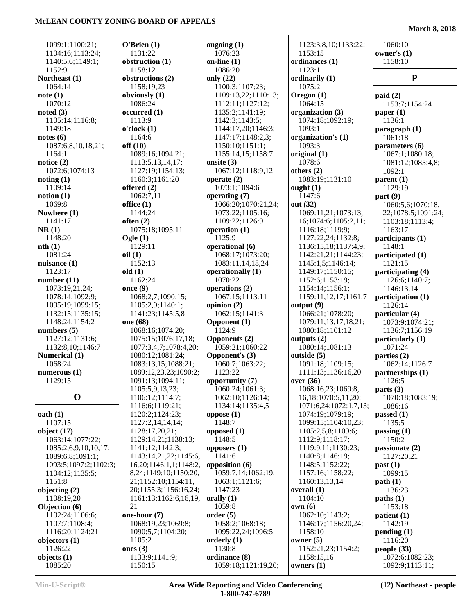| 1099:1;1100:21;                   | O'Brien(1)                                | ongoing $(1)$                     | 1123:3,8,10;1133:22;           | 1060:10                |
|-----------------------------------|-------------------------------------------|-----------------------------------|--------------------------------|------------------------|
| 1104:16;1113:24;                  | 1131:22                                   | 1076:23                           | 1153:15                        | owner's $(1)$          |
| 1140:5,6;1149:1;                  | obstruction (1)                           | on-line $(1)$                     | ordinances (1)                 | 1158:10                |
| 1152:9                            | 1158:12                                   | 1086:20                           | 1123:1                         |                        |
| Northeast (1)                     | obstructions (2)                          | only $(22)$                       | ordinarily (1)                 | ${\bf P}$              |
| 1064:14                           | 1158:19,23                                | 1100:3;1107:23;                   | 1075:2                         |                        |
| note(1)                           | obviously $(1)$                           | 1109:13,22;1110:13;               | Oregon (1)                     | paid(2)                |
| 1070:12                           | 1086:24                                   | 1112:11;1127:12;                  | 1064:15                        | 1153:7;1154:24         |
| noted $(3)$                       | occurred(1)                               | 1135:2;1141:19;                   | organization (3)               | paper $(1)$            |
| 1105:14;1116:8;                   | 1113:9                                    | 1142:3;1143:5;                    | 1074:18;1092:19;               | 1136:1                 |
| 1149:18                           | o'clock(1)                                | 1144:17,20;1146:3;                | 1093:1                         | paragraph (1)          |
| notes(6)                          | 1164:6                                    | 1147:17;1148:2,3;                 | organization's (1)             | 1061:18                |
| 1087:6,8,10,18,21;                | off(10)                                   | 1150:10;1151:1;                   | 1093:3                         | parameters (6)         |
| 1164:1                            | 1089:16;1094:21;                          | 1155:14,15;1158:7                 | original $(1)$                 | 1067:1;1080:18;        |
| notice $(2)$                      | 1113:5,13,14,17;                          | onsite $(3)$                      | 1078:6                         | 1081:12;1085:4,8;      |
| 1072:6;1074:13                    | 1127:19;1154:13;                          | 1067:12;1118:9,12                 | others $(2)$                   | 1092:1                 |
| noting(1)                         | 1160:3;1161:20                            | operate $(2)$                     | 1083:19;1131:10                | parent $(1)$           |
| 1109:14                           | offered (2)                               | 1073:1;1094:6                     | ought $(1)$                    | 1129:19                |
| notion(1)                         | 1062:7,11                                 | operating (7)                     | 1147:6                         | part(9)                |
| 1069:8                            | office $(1)$                              | 1066:20;1070:21,24;               | out (32)                       | 1060:5,6;1070:18,      |
| Nowhere (1)                       | 1144:24                                   | 1073:22;1105:16;                  | 1069:11,21;1073:13,            | 22;1078:5;1091:24;     |
| 1141:17                           | often $(2)$                               | 1109:22;1126:9                    | 16;1074:6;1105:2,11;           | 1103:18;1113:4;        |
| NR(1)                             | 1075:18;1095:11                           | operation (1)                     | 1116:18;1119:9;                | 1163:17                |
| 1148:20                           | Ogle $(1)$                                | 1125:9                            | 1127:22,24;1132:8;             | participants (1)       |
| nth(1)                            | 1129:11                                   | operational (6)                   | 1136:15,18;1137:4,9;           | 1148:1                 |
| 1081:24                           | oil(1)                                    | 1068:17;1073:20;                  | 1142:21,21;1144:23;            | participated (1)       |
| nuisance $(1)$                    | 1152:13                                   | 1083:11,14,18,24                  | 1145:1,5;1146:14;              | 1121:15                |
| 1123:17                           | old(1)                                    | operationally (1)                 | 1149:17;1150:15;               | participating (4)      |
| number $(11)$                     | 1162:24                                   | 1070:22                           | 1152:6;1153:19;                | 1126:6;1140:7;         |
| 1073:19,21,24;                    | once $(9)$                                | operations (2)                    | 1154:14;1156:1;                | 1146:13,14             |
| 1078:14;1092:9;                   | 1068:2,7;1090:15;                         | 1067:15;1113:11                   | 1159:11,12,17;1161:7           | participation (1)      |
| 1095:19;1099:15;                  | 1105:2,9;1140:1;                          | opinion $(2)$                     | output $(9)$                   | 1126:14                |
| 1132:15;1135:15;                  | 1141:23;1145:5,8                          | 1062:15;1141:3                    | 1066:21;1078:20;               | particular (4)         |
| 1148:24;1154:2                    | one (68)                                  | Opponent (1)                      | 1079:11,13,17,18,21;           | 1073:9;1074:21;        |
| numbers $(5)$                     | 1068:16;1074:20;                          | 1124:9                            | 1080:18;1101:12                | 1136:7;1156:19         |
| 1127:12;1131:6;                   | 1075:15;1076:17,18;                       | <b>Opponents (2)</b>              | outputs $(2)$                  | particularly (1)       |
| 1132:8,10;1146:7<br>Numerical (1) | 1077:3,4,7;1078:4,20;<br>1080:12;1081:24; | 1059:21;1060:22<br>Opponent's (3) | 1080:14;1081:13<br>outside (5) | 1071:24<br>parties (2) |
| 1068:24                           | 1083:13,15;1088:21;                       | 1060:7;1063:22;                   | 1091:18;1109:15;               | 1062:14;1126:7         |
| numerous $(1)$                    | 1089:12,23,23;1090:2;                     | 1123:22                           | 1111:13;1136:16,20             | partnerships (1)       |
| 1129:15                           | 1091:13;1094:11;                          | opportunity (7)                   | over(36)                       | 1126:5                 |
|                                   | 1105:5,9,13,23;                           | 1060:24;1061:3;                   | 1068:16,23;1069:8,             | parts $(3)$            |
| $\mathbf 0$                       | 1106:12;1114:7;                           | 1062:10;1126:14;                  | 16, 18; 1070: 5, 11, 20;       | 1070:18;1083:19;       |
|                                   | 1116:6;1119:21;                           | 1134:14;1135:4,5                  | 1071:6,24;1072:1,7,13;         | 1086:16                |
| $\mathbf{0}$ oath $(1)$           | 1120:2;1124:23;                           | oppose $(1)$                      | 1074:19;1079:19;               | passed $(1)$           |
| 1107:15                           | 1127:2,14,14,14;                          | 1148:7                            | 1099:15;1104:10,23;            | 1135:5                 |
| object $(17)$                     | 1128:17,20,21;                            | opposed $(1)$                     | 1105:2,5,8;1109:6;             | passing $(1)$          |
| 1063:14;1077:22;                  | 1129:14,21;1138:13;                       | 1148:5                            | 1112:9;1118:17;                | 1150:2                 |
| 1085:2,6,9,10,10,17;              | 1141:12;1142:3;                           | opposers $(1)$                    | 1119:9,11;1130:23;             | passionate (2)         |
| 1089:6,8;1091:1;                  | 1143:14,21,22;1145:6,                     | 1141:6                            | 1140:8;1146:19;                | 1127:20,21             |
| 1093:5;1097:2;1102:3;             | 16, 20; 1146: 1, 1; 1148: 2,              | opposition (6)                    | 1148:5;1152:22;                | past(1)                |
| 1104:12;1135:5;                   | 8, 24; 1149: 10; 1150: 20,                | 1059:7,14;1062:19;                | 1157:16;1158:22;               | 1099:15                |
| 1151:8                            | 21;1152:10;1154:11,                       | 1063:1;1121:6;                    | 1160:13,13,14                  | path(1)                |
| objecting (2)                     | 20;1155:3;1156:16,24;                     | 1147:23                           | overall (1)                    | 1136:23                |
| 1108:19,20                        | 1161:13;1162:6,16,19,                     | orally $(1)$                      | 1104:10                        | paths(1)               |
| Objection (6)                     | 21                                        | 1059:8                            | own(6)                         | 1153:18                |
| 1102:24;1106:6;                   | one-hour (7)                              | order(5)                          | 1062:10;1143:2;                | patient (1)            |
| 1107:7;1108:4;                    | 1068:19,23;1069:8;                        | 1058:2;1068:18;                   | 1146:17;1156:20,24;            | 1142:19                |
| 1116:20;1124:21                   | 1090:5,7;1104:20;                         | 1095:22,24;1096:5                 | 1158:10                        | pending(1)             |
| objectors $(1)$                   | 1105:2                                    | orderly $(1)$                     | owner $(5)$                    | 1116:20                |
| 1126:22                           | ones $(3)$                                | 1130:8                            | 1152:21,23;1154:2;             | people $(33)$          |
| objects $(1)$                     | 1133:9;1141:9;                            | ordinance (8)                     | 1158:15,16                     | 1072:6;1082:23;        |
| 1085:20                           | 1150:15                                   | 1059:18;1121:19,20;               | owners $(1)$                   | 1092:9;1113:11;        |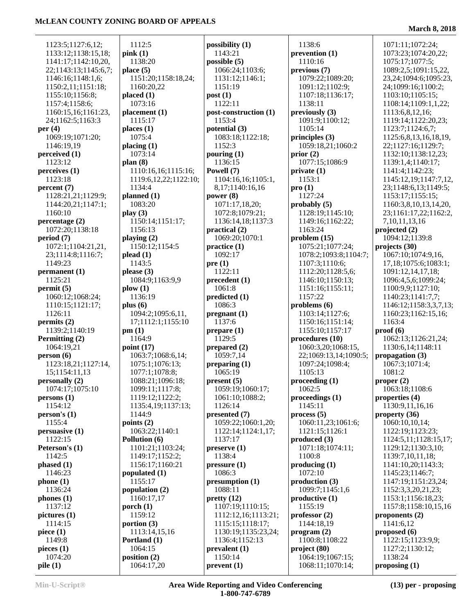**March 8, 2018**

| 1123:5;1127:6,12;    | 1112:5                   |
|----------------------|--------------------------|
| 1133:12;1138:15,18;  |                          |
|                      | pink(1)                  |
| 1141:17;1142:10,20,  | 1138:20                  |
| 22;1143:13;1145:6,7; | place(5)                 |
| 1146:16;1148:1,6;    | 1151:20;1158:18,24       |
|                      |                          |
| 1150:2,11;1151:18;   | 1160:20,22               |
| 1155:10;1156:8;      | placed(1)                |
| 1157:4;1158:6;       | 1073:16                  |
|                      |                          |
| 1160:15,16;1161:23,  | placement <sub>(1)</sub> |
| 24;1162:5;1163:3     | 1115:17                  |
| per $(4)$            | places $(1)$             |
| 1069:19;1071:20;     | 1075:4                   |
|                      |                          |
| 1146:19,19           | placing (1)              |
| perceived (1)        | 1073:14                  |
| 1123:12              | plan(8)                  |
| perceives (1)        | 1110:16,16;1115:16       |
|                      |                          |
| 1123:18              | 1119:6,12,22;1122:1      |
| percent (7)          | 1134:4                   |
| 1128:21,21;1129:9;   | planned (1)              |
|                      |                          |
| 1144:20,21;1147:1;   | 1083:20                  |
| 1160:10              | play(3)                  |
| percentage(2)        | 1150:14;1151:17;         |
| 1072:20;1138:18      | 1156:13                  |
|                      |                          |
| period (7)           | playing (2)              |
| 1072:1;1104:21,21,   | 1150:12;1154:5           |
| 23;1114:8;1116:7;    | plead(1)                 |
| 1149:23              | 1143:5                   |
|                      |                          |
| permanent (1)        | please $(3)$             |
| 1125:21              | 1084:9;1163:9,9          |
| permit(5)            | $\mathbf{p}$ low $(1)$   |
| 1060:12;1068:24;     | 1136:19                  |
|                      |                          |
| 1110:15;1121:17;     | plus $(6)$               |
| 1126:11              | 1094:2;1095:6,11,        |
| permits(2)           | 17;1112:1;1155:10        |
|                      |                          |
| 1139:2;1140:19       | pm(1)                    |
|                      | 1164:9                   |
| Permitting (2)       |                          |
|                      |                          |
| 1064:19,21           | point $(17)$             |
| person(6)            | 1063:7;1068:6,14;        |
| 1123:18,21;1127:14,  | 1075:1;1076:13;          |
| 15;1154:11,13        | 1077:1;1078:8;           |
|                      |                          |
| personally (2)       | 1088:21;1096:18;         |
| 1074:17;1075:10      | 1099:11;1117:8;          |
| persons (1)          | 1119:12;1122:2;          |
| 1154:12              | 1135:4,19;1137:13;       |
|                      |                          |
| person's(1)          | 1144:9                   |
| 1155:4               | points $(2)$             |
| persuasive (1)       | 1063:22;1140:1           |
| 1122:15              | Pollution (6)            |
|                      |                          |
| Peterson's (1)       | 1101:21;1103:24;         |
| 1142:5               | 1149:17;1152:2;          |
| phased(1)            | 1156:17;1160:21          |
| 1146:23              |                          |
|                      | populated (1)            |
| phone(1)             | 1155:17                  |
| 1136:24              | population (2)           |
| phones $(1)$         | 1160:17,17               |
|                      |                          |
| 1137:12              | porch $(1)$              |
| picture (1)          | 1159:12                  |
| 1114:15              | portion $(3)$            |
| piece $(1)$          | 1113:14,15,16            |
|                      |                          |
| 1149:8               | Portland (1)             |
| pieces $(1)$         | 1064:15                  |
| 1074:20              | position $(2)$           |
| pile(1)              | 1064:17,20               |

|                                            | possibili |
|--------------------------------------------|-----------|
| pink(1)                                    | 1143:2    |
| 1138:20                                    |           |
|                                            | possible  |
| place (5)                                  | 1066:2    |
| 1151:20;1158:18,24;                        | 1131:1    |
|                                            |           |
| 1160:20,22                                 | 1151:1    |
| placed (1)                                 | post(1)   |
| 1073:16                                    | 1122:1    |
|                                            |           |
| placement (1)                              | post-con  |
| 1115:17                                    | 1153:4    |
| places (1)                                 | potential |
|                                            |           |
| 1075:4                                     | 1083:1    |
| placing (1)                                | 1152:3    |
| 1073:14                                    | pouring   |
|                                            |           |
| plan (8)                                   | 1136:1    |
| 1110:16,16;1115:16;                        | Powell (7 |
| 1119:6,12,22;1122:10;                      | 1104:1    |
|                                            |           |
| 1134:4                                     | 8,17;1    |
| planned (1)                                | power (8  |
| 1083:20                                    | 1071:1    |
|                                            |           |
| play (3)                                   | 1072:8    |
| 1150:14;1151:17;                           | 1136:1    |
| 1156:13                                    |           |
|                                            | practical |
| playing (2)                                | 1069:2    |
| 1150:12;1154:5                             | practice  |
|                                            |           |
| plead (1)                                  | 1092:1    |
| 1143:5                                     | pre(1)    |
| please (3)                                 | 1122:1    |
|                                            |           |
| 1084:9;1163:9,9                            | preceder  |
| $\mathbf{p}$ low $(1)$                     | 1061:8    |
| 1136:19                                    | predicted |
|                                            |           |
| plus (6)                                   | 1086:3    |
| 1094:2;1095:6,11,                          | pregnant  |
| 17;1112:1;1155:10                          | 1137:6    |
|                                            |           |
| pm (1)                                     | prepare   |
| 1164:9                                     | 1129:5    |
| point $(17)$                               | prepared  |
|                                            |           |
|                                            | 1059:7    |
| 1063:7;1068:6,14;                          |           |
|                                            |           |
| 1075:1;1076:13;                            | preparin  |
| 1077:1;1078:8;                             | 1065:1    |
| 1088:21;1096:18;                           | present ( |
|                                            |           |
| 1099:11;1117:8;                            | 1059:1    |
| 1119:12;1122:2;                            | 1061:1    |
| 1135:4,19;1137:13;                         | 1126:1    |
| 1144:9                                     |           |
|                                            | presente  |
| points $(2)$                               | 1059:2    |
| 1063:22;1140:1                             | 1122:1    |
|                                            |           |
| Pollution (6)                              | 1137:1    |
| 1101:21;1103:24;                           | preserve  |
| 1149:17;1152:2;                            | 1138:4    |
|                                            |           |
| 1156:17;1160:21                            | pressure  |
| populated (1)                              | 1086:3    |
| 1155:17                                    | presump   |
|                                            |           |
|                                            | 1088:1    |
| 1160:17,17                                 | pretty (1 |
|                                            | 1107:1    |
|                                            |           |
| 1159:12                                    | 1112:1    |
|                                            | 1115:1    |
| population (2)<br>porch (1)<br>portion (3) | 1130:1    |
| 1113:14,15,16                              |           |
| Portland (1)                               | 1136:4    |
| 1064:15                                    | prevalen  |
| position (2)                               | 1150:1    |

**ty** (1) 1143:21 **possible (5)** 24:1103:6: 2:1146:1; 1151:19 **post (1)** 1122:11 **struction** (1) 1153:4 **potential (3)** 8:1122:18; 1152:3 **(1)**<br> $\frac{15}{6}$  1136:15 **Powell (7)** 6,16;1105:1, 140:16,16 **power (8)** 1071:17,18,20;  $:1079:21;$ 4.18:1137:3 **practical (2)** 20;1070:1 **practice (1)** 1092:17 **pre (1)** 1122:11  $p(t(1))$  1061:8 **d** (1) 1086:3 *it*  $(1)$  1137:6 **prepare (1)** 1129:5  $d(2)$ ,14 **p** (1) 1065:19 **present (5)** 9:1060:17; 0;1088:2; 1126:14 **d** (7)  $22;1060:1,20;$  1122:14;1124:1,17; 1137:17 **preserve (1)** 1138:4 **pressure (1)** 1086:3  $p$  **propertion**  $(1)$  1088:11 **pretty (12)** 9;1110:15; 1112:12,16;1113:21; 1115:15;1118:17; 9;1135:23,24; 1136:4;1152:13  $p_1(1)$  1150:14 **prevent (1)**

 1138:6 **prevention (1)** 1110:16 **previous (7)** 1079:22;1089:20; 1091:12;1102:9; 1107:18;1136:17; 1138:11 **previously (3)** 1091:9;1100:12; 1105:14 **principles (3)** 1059:18,21;1060:2 **prior (2)** 1077:15;1086:9 **private (1)** 1153:1 **pro (1)** 1127:24 **probably (5)** 1128:19;1145:10; 1149:16;1162:22; 1163:24 **problem (15)** 1075:21;1077:24; 1078:2;1093:8;1104:7; 1107:3;1110:6; 1112:20;1128:5,6; 1146:10;1150:13; 1151:16;1155:11; 1157:22 **problems (6)** 1103:14;1127:6; 1150:16;1151:14; 1155:10;1157:17 **procedures (10)** 1060:3,20;1068:15, 22;1069:13,14;1090:5; 1097:24;1098:4; 1105:13 **proceeding (1)** 1062:5 **proceedings (1)** 1145:11 **process (5)** 1060:11,23;1061:6; 1121:15;1126:1 **produced (3)** 1071:18;1074:11; 1100:8 **producing (1)** 1072:10 **production (3)** 1099:7;1145:1,6 **productive (1)** 1155:19 **professor (2)** 1144:18,19 **program (2)** 1100:8;1108:22 **project (80)** 1064:19;1067:15; 1068:11;1070:14;

 1071:11;1072:24; 1073:23;1074:20,22; 1075:17;1077:5; 1089:2,5;1091:15,22, 23,24;1094:6;1095:23, 24;1099:16;1100:2; 1103:10;1105:15; 1108:14;1109:1,1,22; 1113:6,8,12,16; 1119:14;1122:20,23; 1123:7;1124:6,7; 1125:6,8,13,16,18,19, 22;1127:16;1129:7; 1132:10;1138:12,23; 1139:1,4;1140:17; 1141:4;1142:23; 1145:12,19;1147:7,12, 23;1148:6,13;1149:5; 1153:17;1155:15; 1160:3,8,10,13,14,20, 23;1161:17,22;1162:2, 7,10,11,13,16 **projected (2)** 1094:12;1139:8 **projects (30)** 1067:10;1074:9,16, 17,18;1075:6;1083:1; 1091:12,14,17,18; 1096:4,5,6;1099:24; 1100:9,9;1127:10; 1140:23;1141:7,7; 1146:12;1158:3,3,7,13; 1160:23;1162:15,16; 1163:4 **proof (6)** 1062:13;1126:21,24; 1130:6,14;1148:11 **propagation (3)** 1067:3;1071:4; 1081:2 **proper (2)** 1063:18;1108:6 **properties (4)** 1130:9,11,16,16 **property (36)** 1060:10,10,14; 1122:19;1123:23; 1124:5,11;1128:15,17; 1129:12;1130:3,10; 1139:7,10,11,18; 1141:10,20;1143:3; 1145:23;1146:7; 1147:19;1151:23,24; 1152:3,3,20,21,23; 1153:1;1156:18,23; 1157:8;1158:10,15,16 **proponents (2)** 1141:6,12 **proposed (6)** 1122:15;1123:9,9; 1127:2;1130:12; 1138:24 **proposing (1)**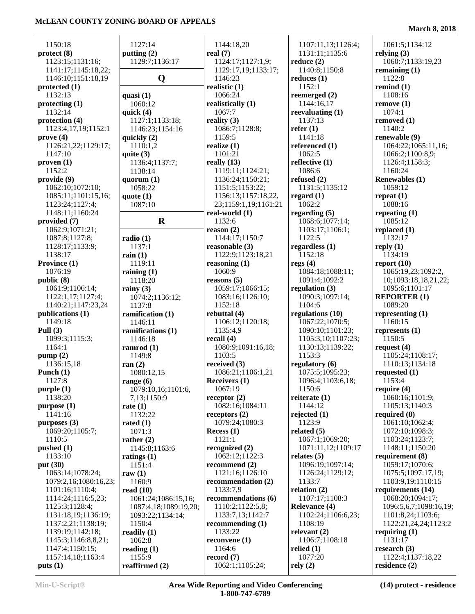| 1150:18                  | 1127:14               | 1144:18,20           | 1107:11,13;1126:4;   | 1061:5;1134:12         |
|--------------------------|-----------------------|----------------------|----------------------|------------------------|
| protect (8)              | putting (2)           | real $(7)$           | 1131:11;1135:6       | relying $(3)$          |
| 1123:15;1131:16;         | 1129:7;1136:17        | 1124:17;1127:1,9;    | reduce $(2)$         | 1060:7;1133:19,23      |
| 1141:17;1145:18,22;      |                       | 1129:17,19;1133:17;  | 1140:8;1150:8        | remaining $(1)$        |
| 1146:10;1151:18,19       | Q                     | 1146:23              | reduces $(1)$        | 1122:8                 |
| protected $(1)$          |                       | realistic $(1)$      | 1152:1               | remind $(1)$           |
| 1132:13                  | quasi $(1)$           | 1066:24              | reemerged $(2)$      | 1108:16                |
| $\mathbf{protect\,} (1)$ | 1060:12               | realistically (1)    | 1144:16,17           | remove(1)              |
| 1132:14                  | quick $(4)$           | 1067:7               | reevaluating $(1)$   | 1074:1                 |
| protection $(4)$         | 1127:1;1133:18;       | reality $(3)$        | 1137:13              | removed (1)            |
| 1123:4,17,19;1152:1      | 1146:23;1154:16       | 1086:7;1128:8;       | refer $(1)$          | 1140:2                 |
| prove(4)                 | quickly (2)           | 1159:5               | 1141:18              | renewable (9)          |
| 1126:21,22;1129:17;      | 1110:1,2              | realize $(1)$        | referenced (1)       | 1064:22;1065:11,16;    |
| 1147:10                  | quite $(3)$           | 1101:21              | 1062:5               | 1066:2;1100:8,9;       |
| proven(1)                | 1136:4;1137:7;        | really $(13)$        | reflective $(1)$     | 1126:4;1158:3;         |
| 1152:2                   | 1138:14               | 1119:11;1124:21;     | 1086:6               | 1160:24                |
| provide (9)              | quorum $(1)$          | 1136:24;1150:21;     | refused $(2)$        | <b>Renewables (1)</b>  |
| 1062:10;1072:10;         | 1058:22               | 1151:5;1153:22;      | 1131:5;1135:12       | 1059:12                |
| 1085:11;1101:15,16;      | quote $(1)$           | 1156:13;1157:18,22,  | regard $(1)$         | repeat $(1)$           |
|                          |                       |                      | 1062:2               | 1088:16                |
| 1123:24;1127:4;          | 1087:10               | 23;1159:1,19;1161:21 |                      |                        |
| 1148:11;1160:24          |                       | real-world (1)       | regarding $(5)$      | repeating $(1)$        |
| provided (7)             | $\mathbf R$           | 1132:6               | 1068:6;1077:14;      | 1085:12                |
| 1062:9;1071:21;          |                       | reason $(2)$         | 1103:17;1106:1;      | replaced $(1)$         |
| 1087:8;1127:8;           | radio(1)              | 1144:17;1150:7       | 1122:5               | 1132:17                |
| 1128:17;1133:9;          | 1137:1                | reasonable (3)       | regardless $(1)$     | reply $(1)$            |
| 1138:17                  | rain $(1)$            | 1122:9;1123:18,21    | 1152:18              | 1134:19                |
| Province (1)             | 1119:11               | reasoning $(1)$      | regs $(4)$           | report $(10)$          |
| 1076:19                  | raining $(1)$         | 1060:9               | 1084:18;1088:11;     | 1065:19,23;1092:2,     |
| public (8)               | 1118:20               | reasons $(5)$        | 1091:4;1092:2        | 10;1093:18,18,21,22;   |
| 1061:9;1106:14;          | rainy $(3)$           | 1059:17;1066:15;     | regulation $(3)$     | 1095:6;1101:17         |
| 1122:1,17;1127:4;        | 1074:2;1136:12;       | 1083:16;1126:10;     | 1090:3;1097:14;      | <b>REPORTER (1)</b>    |
| 1140:21;1147:23,24       | 1137:8                | 1152:18              | 1104:6               | 1089:20                |
| publications (1)         | ramification (1)      | rebuttal $(4)$       | regulations (10)     | representing $(1)$     |
| 1149:18                  | 1146:11               | 1106:12;1120:18;     | 1067:22;1070:5;      | 1160:15                |
| Pull $(3)$               | ramifications (1)     | 1135:4,9             | 1090:10;1101:23;     | represents $(1)$       |
| 1099:3;1115:3;           | 1146:18               | recall $(4)$         | 1105:3,10;1107:23;   | 1150:5                 |
| 1164:1                   | ramrod $(1)$          | 1080:9;1091:16,18;   | 1130:13;1139:22;     | request $(4)$          |
| pump(2)                  | 1149:8                | 1103:5               | 1153:3               | 1105:24;1108:17;       |
| 1136:15,18               | ran $(2)$             | received $(3)$       | regulatory (6)       | 1110:13;1134:18        |
| Punch $(1)$              | 1080:12,15            | 1086:21;1106:1,21    | 1075:5;1095:23;      | requested $(1)$        |
| 1127:8                   | range $(6)$           | <b>Receivers (1)</b> | 1096:4;1103:6,18;    | 1153:4                 |
| purple(1)                | 1079:10,16;1101:6,    | 1067:19              | 1150:6               | require $(4)$          |
| 1138:20                  | 7,13;1150:9           | receptor $(2)$       | reiterate $(1)$      | 1060:16;1101:9;        |
| purpose (1)              | rate $(1)$            | 1082:16;1084:11      | 1144:12              | 1105:13;1140:3         |
| 1141:16                  | 1132:22               | receptors $(2)$      | rejected $(1)$       | required $(8)$         |
| purposes $(3)$           | rated $(1)$           | 1079:24;1080:3       | 1123:9               | 1061:10;1062:4;        |
| 1069:20;1105:7;          | 1071:3                | Recess $(1)$         | related $(5)$        | 1072:10;1098:3;        |
| 1110:5                   | rather $(2)$          | 1121:1               | 1067:1;1069:20;      | 1103:24;1123:7;        |
| pushed(1)                | 1145:8;1163:6         | recognized $(2)$     | 1071:11,12;1109:17   | 1148:11;1150:20        |
| 1133:10                  | ratings $(1)$         | 1062:12;1122:3       | relates $(5)$        | requirement (8)        |
| put $(30)$               | 1151:4                | recommend $(2)$      | 1096:19;1097:14;     | 1059:17;1070:6;        |
| 1063:14;1078:24;         | raw $(1)$             | 1121:16;1126:10      | 1126:24;1129:12;     | 1075:5;1097:17,19;     |
| 1079:2,16;1080:16,23;    | 1160:9                | recommendation (2)   | 1133:7               | 1103:9,19;1110:15      |
| 1101:16;1110:4;          | read $(10)$           | 1133:7,9             | relation $(2)$       | requirements (14)      |
| 1114:24;1116:5,23;       | 1061:24;1086:15,16;   | recommendations (6)  | 1107:17;1108:3       | 1068:20;1094:17;       |
| 1125:3;1128:4;           |                       | 1110:2;1122:5,8;     | <b>Relevance (4)</b> | 1096:5,6,7;1098:16,19; |
|                          | 1087:4,18;1089:19,20; |                      | 1102:24;1106:6,23;   |                        |
| 1131:18,19;1136:19;      | 1093:22;1134:14;      | 1133:7,13;1142:7     |                      | 1101:8,24;1103:6;      |
| 1137:2,21;1138:19;       | 1150:4                | recommending $(1)$   | 1108:19              | 1122:21,24,24;1123:2   |
| 1139:19;1142:18;         | readily $(1)$         | 1133:22              | relevant $(2)$       | requiring $(1)$        |
| 1145:3;1146:8,8,21;      | 1062:8                | reconvene $(1)$      | 1106:7;1108:18       | 1131:17                |
| 1147:4;1150:15;          | reading $(1)$         | 1164:6               | relied $(1)$         | research $(3)$         |
| 1157:14,18;1163:4        | 1155:9                | record $(7)$         | 1077:20              | 1122:4;1137:18,22      |
| puts(1)                  | reaffirmed (2)        | 1062:1;1105:24;      | rely(2)              | residence $(2)$        |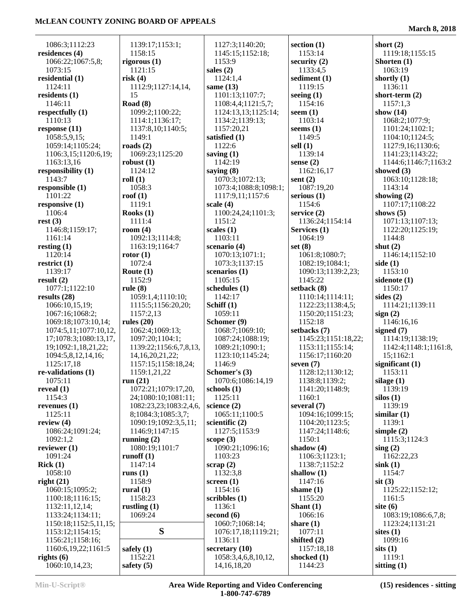**March 8, 2018**

| 1086:3;1112:23          | 1139:17;1153:1;        | 1127:3;1140:20;                        | section $(1)$       | short $(2)$           |
|-------------------------|------------------------|----------------------------------------|---------------------|-----------------------|
| residences (4)          | 1158:15                | 1145:15;1152:18;                       | 1153:14             | 1119:18;1155:15       |
| 1066:22;1067:5,8;       | rigorous $(1)$         | 1153:9                                 | security $(2)$      | Shorten (1)           |
| 1073:15                 | 1121:15                | sales $(2)$                            | 1133:4,5            | 1063:19               |
| residential (1)         | risk(4)                | 1124:1,4                               | sediment (1)        | shortly $(1)$         |
| 1124:11                 | 1112:9;1127:14,14,     | same $(13)$                            | 1119:15             | 1136:11               |
| residents $(1)$         | 15                     | 1101:13;1107:7;                        | seeing $(1)$        | short-term $(2)$      |
| 1146:11                 | Road (8)               | 1108:4,4;1121:5,7;                     | 1154:16             | 1157:1,3              |
| respectfully $(1)$      | 1099:2;1100:22;        |                                        | seem $(1)$          | show $(14)$           |
| 1110:13                 | 1114:1;1136:17;        | 1124:13,13;1125:14;<br>1134:2;1139:13; | 1103:14             | 1068:2;1077:9;        |
|                         |                        |                                        |                     |                       |
| response $(11)$         | 1137:8,10;1140:5;      | 1157:20,21                             | seems $(1)$         | 1101:24;1102:1;       |
| 1058:5,9,15;            | 1149:1                 | satisfied (1)                          | 1149:5              | 1104:10;1124:5;       |
| 1059:14;1105:24;        | roads $(2)$            | 1122:6                                 | sell $(1)$          | 1127:9,16;1130:6;     |
| 1106:3,15;1120:6,19;    | 1069:23;1125:20        | saving $(1)$                           | 1139:14             | 1141:23;1143:22;      |
| 1163:13,16              | robust $(1)$           | 1142:19                                | sense $(2)$         | 1144:6;1146:7;1163:2  |
| responsibility (1)      | 1124:12                | saying $(8)$                           | 1162:16,17          | showed $(3)$          |
| 1143:7                  | roll(1)                | 1070:3;1072:13;                        | sent $(2)$          | 1063:10;1128:18;      |
| responsible $(1)$       | 1058:3                 | 1073:4;1088:8;1098:1;                  | 1087:19,20          | 1143:14               |
| 1101:22                 | roof $(1)$             | 1117:9,11;1157:6                       | serious $(1)$       | showing $(2)$         |
| responsive $(1)$        | 1119:1                 | scale $(4)$                            | 1154:6              | 1107:17;1108:22       |
| 1106:4                  | Rooks $(1)$            | 1100:24,24;1101:3;                     | service $(2)$       | shows $(5)$           |
| rest(3)                 | 1111:4                 | 1151:2                                 | 1136:24;1154:14     | 1071:13;1107:13;      |
| 1146:8;1159:17;         | room $(4)$             | scales $(1)$                           | Services (1)        | 1122:20;1125:19;      |
| 1161:14                 | 1092:13;1114:8;        | 1103:11                                | 1064:19             | 1144:8                |
| resting $(1)$           | 1163:19;1164:7         | scenario $(4)$                         | set $(8)$           | shut $(2)$            |
| 1120:14                 | rotor $(1)$            | 1070:13;1071:1;                        | 1061:8;1080:7;      | 1146:14;1152:10       |
| restrict $(1)$          | 1072:4                 | 1073:3;1137:15                         | 1082:19;1084:1;     | side $(1)$            |
| 1139:17                 | Route $(1)$            | scenarios $(1)$                        | 1090:13;1139:2,23;  | 1153:10               |
| result $(2)$            | 1152:9                 | 1105:15                                | 1145:22             | sidenote (1)          |
| 1077:1;1122:10          | rule $(8)$             | schedules (1)                          | setback $(8)$       | 1150:17               |
| results $(28)$          | 1059:1,4;1110:10;      | 1142:17                                | 1110:14;1114:11;    | sides $(2)$           |
| 1066:10,15,19;          | 1115:5;1156:20,20;     | Schiff $(1)$                           | 1122:23;1138:4,5;   | 1114:21;1139:11       |
| 1067:16;1068:2;         | 1157:2,13              | 1059:11                                | 1150:20;1151:23;    | sign(2)               |
| 1069:18;1073:10,14;     | rules $(20)$           | Schomer (9)                            | 1152:18             | 1146:16,16            |
| 1074:5,11;1077:10,12,   | 1062:4;1069:13;        | 1068:7;1069:10;                        | setbacks $(7)$      | signed $(7)$          |
| 17;1078:3;1080:13,17,   | 1097:20;1104:1;        | 1087:24;1088:19;                       | 1145:23;1151:18,22; | 1114:19;1138:19;      |
| 19;1092:1,18,21,22;     | 1139:22;1156:6,7,8,13, | 1089:21;1090:1;                        | 1153:11;1155:14;    | 1142:4;1148:1;1161:8, |
|                         |                        |                                        |                     | 15;1162:1             |
| 1094:5,8,12,14,16;      | 14, 16, 20, 21, 22;    | 1123:10;1145:24;<br>1146:9             | 1156:17;1160:20     |                       |
| 1125:17,18              | 1157:15;1158:18,24;    |                                        | seven $(7)$         | significant $(1)$     |
| $re$ -validations $(1)$ | 1159:1,21,22           | Schomer's (3)                          | 1128:12;1130:12;    | 1153:11               |
| 1075:11                 | run(21)                | 1070:6;1086:14,19                      | 1138:8;1139:2;      | silage $(1)$          |
| reveal $(1)$            | 1072:21;1079:17,20,    | schools $(1)$                          | 1141:20;1148:9;     | 1139:19               |
| 1154:3                  | 24;1080:10;1081:11;    | 1125:11                                | 1160:1              | silos(1)              |
| revenues $(1)$          | 1082:23,23;1083:2,4,6, | science $(2)$                          | several (7)         | 1139:19               |
| 1125:11                 | 8;1084:3;1085:3,7;     | 1065:11;1100:5                         | 1094:16;1099:15;    | similar $(1)$         |
| review $(4)$            | 1090:19;1092:3,5,11;   | scientific $(2)$                       | 1104:20;1123:5;     | 1139:1                |
| 1086:24;1091:24;        | 1146:9;1147:15         | 1127:5;1153:9                          | 1147:24;1148:6;     | simple $(2)$          |
| 1092:1,2                | running $(2)$          | scope $(3)$                            | 1150:1              | 1115:3;1124:3         |
| reviewer $(1)$          | 1080:19;1101:7         | 1090:21;1096:16;                       | shadow $(4)$        | sing(2)               |
| 1091:24                 | runoff $(1)$           | 1103:23                                | 1106:3;1123:1;      | 1162:22,23            |
| Rick(1)                 | 1147:14                | scrap(2)                               | 1138:7;1152:2       | $\sin k(1)$           |
| 1058:10                 | runs $(1)$             | 1132:3,8                               | shallow $(1)$       | 1154:7                |
| right $(21)$            | 1158:9                 | screen $(1)$                           | 1147:16             | $s$ it $(3)$          |
| 1060:15;1095:2;         | rural $(1)$            | 1154:16                                | shame $(1)$         | 1125:22;1152:12;      |
| 1100:18;1116:15;        | 1158:23                | scribbles $(1)$                        | 1155:20             | 1161:5                |
| 1132:11,12,14;          | rustling $(1)$         | 1136:1                                 | Shant $(1)$         | site $(6)$            |
| 1133:24;1134:11;        | 1069:24                | second $(6)$                           | 1066:16             | 1083:19;1086:6,7,8;   |
| 1150:18;1152:5,11,15;   |                        | 1060:7;1068:14;                        | share $(1)$         | 1123:24;1131:21       |
| 1153:12;1154:15;        | S                      | 1076:17,18;1119:21;                    | 1077:11             | sites $(1)$           |
| 1156:21;1158:16;        |                        | 1136:11                                | shifted $(2)$       | 1099:16               |
| 1160:6, 19, 22; 1161:5  | safely $(1)$           | secretary $(10)$                       | 1157:18,18          | sits(1)               |
| rights $(6)$            | 1152:21                | 1058:3,4,6,8,10,12,                    | shocked $(1)$       | 1119:1                |
| 1060:10,14,23;          | safety $(5)$           | 14, 16, 18, 20                         | 1144:23             | sitting $(1)$         |
|                         |                        |                                        |                     |                       |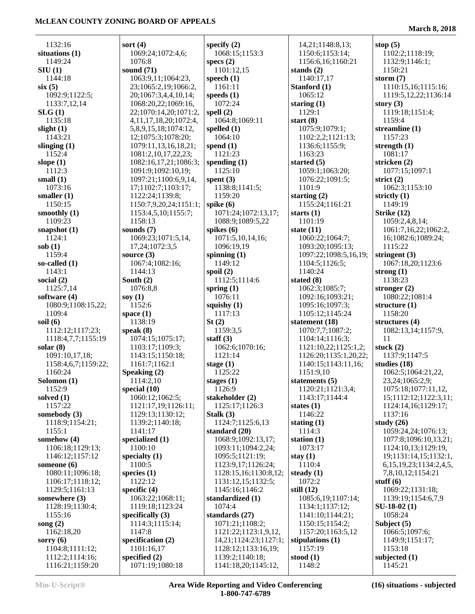| 1132:16                            | sort $(4)$                           | specify $(2)$                           | 14,21;1148:8,13;          | stop $(5)$                    |
|------------------------------------|--------------------------------------|-----------------------------------------|---------------------------|-------------------------------|
| situations $(1)$                   | 1069:24;1072:4,6;                    | 1068:15;1153:3                          | 1150:6;1153:14;           | 1102:2;1118:19;               |
| 1149:24                            | 1076:8                               | specs $(2)$                             | 1156:6,16;1160:21         | 1132:9;1146:1;                |
| SIU(1)                             | sound $(71)$                         | 1101:12,15                              | stands $(2)$              | 1150:21                       |
| 1144:18                            | 1063:9,11;1064:23,                   | speech $(1)$                            | 1140:17,17                | storm $(7)$                   |
| six(5)                             | 23;1065:2,19;1066:2,                 | 1161:11                                 | Stanford (1)              | 1110:15,16;1115:16;           |
| 1092:9;1122:5;                     | 20;1067:3,4,4,10,14;                 | speeds $(1)$                            | 1065:12                   | 1119:5, 12, 22; 1136: 14      |
| 1133:7,12,14                       | 1068:20,22;1069:16,                  | 1072:24                                 | staring $(1)$             | story $(3)$                   |
| SLG(1)                             | 22;1070:14,20;1071:2,                | spell $(2)$                             | 1129:1                    | 1119:18;1151:4;               |
| 1135:18                            | 4, 11, 17, 18, 20; 1072: 4,          | 1064:8;1069:11                          | start $(8)$               | 1159:4                        |
| slight $(1)$                       | 5,8,9,15,18;1074:12,                 | spelled $(1)$                           | 1075:9;1079:1;            | streamline $(1)$              |
| 1143:21                            | 12;1075:3;1078:20;                   | 1064:10                                 | 1102:2,2;1121:13;         | 1157:23                       |
| slinging $(1)$                     | 1079:11,13,16,18,21;                 | spend $(1)$                             | 1136:6;1155:9;            | strength $(1)$                |
| 1152:4                             | 1081:2,10,17,22,23;                  | 1121:23                                 | 1163:23                   | 1081:17                       |
| slope $(1)$                        | 1082:16,17,21;1086:3;                | spending $(1)$                          | started $(5)$             | stricken (2)                  |
| 1112:3                             | 1091:9;1092:10,19;                   | 1125:10                                 | 1059:1;1063:20;           | 1077:15;1097:1                |
| small $(1)$                        | 1097:21;1100:6,9,14,                 | spent $(3)$                             | 1076:22;1091:5;           | strict $(2)$                  |
| 1073:16                            | 17;1102:7;1103:17;                   | 1138:8;1141:5;                          | 1101:9                    | 1062:3;1153:10                |
| smaller $(1)$                      | 1122:24;1139:8;                      | 1159:20                                 | starting $(2)$            | strictly $(1)$                |
| 1150:15                            | 1150:7,9,20,24;1151:1;               | spike $(6)$                             | 1155:24;1161:21           | 1149:19                       |
| smoothly $(1)$<br>1109:23          | 1153:4,5,10;1155:7;<br>1158:13       | 1071:24;1072:13,17;<br>1088:9;1089:5,22 | starts $(1)$<br>1101:19   | Strike $(12)$                 |
|                                    |                                      |                                         |                           | 1059:2,4,8,14;                |
| snapshot $(1)$                     | sounds (7)                           | spikes $(6)$                            | state $(11)$              | 1061:7,16,22;1062:2,          |
| 1124:1                             | 1069:23;1071:5,14,<br>17,24;1072:3,5 | 1071:5,10,14,16;<br>1096:19,19          | 1060:22;1064:7;           | 16;1082:6;1089:24;<br>1115:22 |
| sob(1)<br>1159:4                   |                                      |                                         | 1093:20;1095:13;          |                               |
|                                    | source $(3)$                         | spinning $(1)$                          | 1097:22;1098:5,16,19;     | stringent $(3)$               |
| so-called $(1)$                    | 1067:4;1082:16;                      | 1149:12                                 | 1104:5;1126:5;<br>1140:24 | 1067:18,20;1123:6             |
| 1143:1                             | 1144:13                              | spoil $(2)$                             |                           | strong $(1)$                  |
| social $(2)$                       | South $(2)$                          | 1112:5;1114:6                           | stated $(8)$              | 1138:23                       |
| 1125:7,14                          | 1076:8,8                             | spring $(1)$                            | 1062:3;1085:7;            | stronger $(2)$                |
| software $(4)$                     | soy $(1)$                            | 1076:11                                 | 1092:16;1093:21;          | 1080:22;1081:4                |
| 1080:9;1108:15,22;                 | 1152:6                               | squishy $(1)$                           | 1095:16;1097:3;           | structure $(1)$               |
|                                    |                                      |                                         |                           |                               |
| 1109:4                             | space $(1)$                          | 1117:13                                 | 1105:12;1145:24           | 1158:20                       |
| soil $(6)$                         | 1138:19                              | St(2)                                   | statement (18)            | structures $(4)$              |
| 1112:12;1117:23;                   | speak $(8)$                          | 1159:3,5                                | 1070:7,7;1087:2;          | 1082:13,14;1157:9,            |
| 1118:4,7,7;1155:19                 | 1074:15;1075:17;                     | staff $(3)$                             | 1104:14;1116:3;           | 11                            |
| solar $(8)$                        | 1103:17;1109:3;                      | 1062:6;1070:16;                         | 1121:10,22;1125:1,2;      | stuck $(2)$                   |
| 1091:10,17,18;                     | 1143:15;1150:18;                     | 1121:14                                 | 1126:20;1135:1,20,22;     | 1137:9;1147:5                 |
| 1158:4,6,7;1159:22;                | 1161:7;1162:1                        | stage $(1)$                             | 1140:15;1143:11,16;       | studies $(18)$                |
| 1160:24                            | Speaking (2)                         | 1125:22                                 | 1151:9,10                 | 1062:5;1064:21,22,            |
| Solomon (1)                        | 1114:2,10                            | stages (1)                              | statements $(5)$          | 23,24;1065:2,9;               |
| 1152:9                             | special $(10)$                       | 1126:9                                  | 1120:21;1121:3,4;         | 1075:18;1077:11,12,           |
| solved $(1)$                       | 1060:12;1062:5;                      | stakeholder (2)                         | 1143:17;1144:4            | 15;1112:12;1122:3,11;         |
| 1157:22                            | 1121:17,19;1126:11;                  | 1125:17;1126:3                          | states $(1)$              | 1124:14,16;1129:17;           |
| somebody $(3)$                     | 1129:13;1130:12;                     | Stalk $(3)$                             | 1146:22                   | 1137:16                       |
| 1118:9;1154:21;                    | 1139:2;1140:18;                      | 1124:7;1125:6,13                        | stating $(1)$             | study $(26)$                  |
| 1155:1                             | 1141:17                              | standard (20)                           | 1114:3                    | 1059:24,24;1076:13;           |
| somehow $(4)$                      | specialized (1)                      | 1068:9;1092:13,17;                      | station $(1)$             | 1077:8;1096:10,13,21;         |
| 1106:18;1129:13;                   | 1100:10                              | 1093:11;1094:2,24;                      | 1073:17                   | 1124:10,13;1129:19,           |
| 1146:12;1157:12                    | specialty $(1)$                      | 1095:5;1121:19;                         | stay $(1)$                | 19;1131:14,15;1132:1,         |
| someone $(6)$                      | 1100:5                               | 1123:9,17;1126:24;                      | 1110:4                    | 6, 15, 19, 23; 1134: 2, 4, 5, |
| 1080:11;1096:18;                   | species $(1)$                        | 1128:15,16;1130:8,12;                   | steady $(1)$              | 7,8,10,12;1154:21             |
| 1106:17;1118:12;                   | 1122:12                              | 1131:12,15;1132:5;                      | 1072:2                    | stuff $(6)$                   |
| 1129:5;1161:13                     | specific $(4)$                       | 1145:16;1146:2                          | still $(12)$              | 1069:22;1131:18;              |
| somewhere (3)                      | 1063:22;1068:11;                     | standardized (1)                        | 1085:6,19;1107:14;        | 1139:19;1154:6,7,9            |
| 1128:19;1130:4;                    | 1119:18;1123:24                      | 1074:4                                  | 1134:1;1137:12;           | $SU-18-02(1)$                 |
| 1155:16                            | specifically $(3)$                   | standards (27)                          | 1141:10;1144:21;          | 1058:24                       |
| song $(2)$                         | 1114:3;1115:14;                      | 1071:21;1108:2;                         | 1150:15;1154:2;           | Subject (5)                   |
| 1162:18,20                         | 1147:8                               | 1121:22;1123:1,9,12,                    | 1157:20;1163:5,12         | 1066:5;1097:6;                |
| sorry $(6)$                        | specification (2)                    | 14, 21; 1124: 23; 1127: 1;              | stipulations (1)          | 1149:9;1151:17;               |
| 1104:8;1111:12;                    | 1101:16,17                           | 1128:12;1133:16,19;                     | 1157:19                   | 1153:18                       |
| 1112:2;1114:16;<br>1116:21;1159:20 | specified $(2)$<br>1071:19;1080:18   | 1139:2;1140:18;<br>1141:18,20;1145:12,  | stood $(1)$<br>1148:2     | subjected $(1)$<br>1145:21    |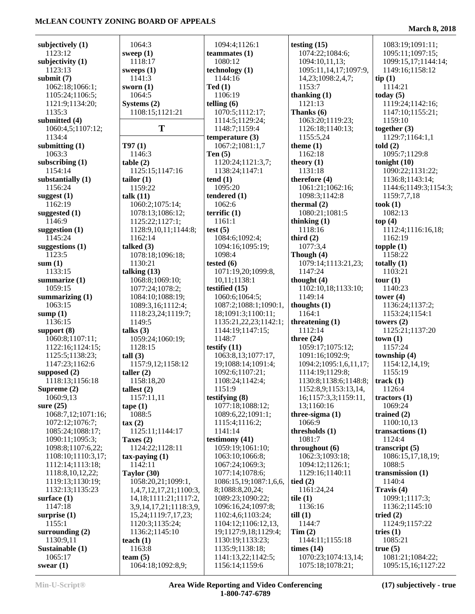| subjectively $(1)$ | 1064:3                     | 1094:4;1126:1          | testing $(15)$         | 1083:19;1091:11;      |
|--------------------|----------------------------|------------------------|------------------------|-----------------------|
| 1123:12            | sweep $(1)$                | teammates $(1)$        | 1074:22;1084:6;        | 1095:11;1097:15;      |
| subjectivity $(1)$ | 1118:17                    | 1080:12                | 1094:10,11,13;         | 1099:15,17;1144:14;   |
| 1123:13            | sweeps $(1)$               | technology(1)          | 1095:11,14,17;1097:9,  | 1149:16;1158:12       |
| submit $(7)$       | 1141:3                     | 1144:16                | 14, 23; 1098: 2, 4, 7; | tip(1)                |
| 1062:18;1066:1;    | sworn $(1)$                | Ted(1)                 | 1153:7                 | 1114:21               |
| 1105:24;1106:5;    | 1064:5                     | 1106:19                | thanking (1)           | today $(5)$           |
| 1121:9;1134:20;    | Systems $(2)$              | telling $(6)$          | 1121:13                | 1119:24;1142:16;      |
| 1135:3             | 1108:15;1121:21            | 1070:5;1112:17;        | Thanks (6)             | 1147:10;1155:21;      |
| submitted (4)      |                            | 1114:5;1129:24;        | 1063:20;1119:23;       | 1159:10               |
| 1060:4,5;1107:12;  | T                          | 1148:7;1159:4          | 1126:18;1140:13;       | together $(3)$        |
|                    |                            |                        |                        |                       |
| 1134:4             |                            | temperature $(3)$      | 1155:5,24              | 1129:7;1164:1,1       |
| submitting $(1)$   | T97(1)                     | 1067:2;1081:1,7        | theme $(1)$            | told(2)               |
| 1063:3             | 1146:3                     | Ten $(5)$              | 1162:18                | 1095:7;1129:8         |
| subscribing $(1)$  | table(2)                   | 1120:24;1121:3,7;      | theory $(1)$           | tonight $(10)$        |
| 1154:14            | 1125:15;1147:16            | 1138:24;1147:1         | 1131:18                | 1090:22;1131:22;      |
| substantially (1)  | tailor $(1)$               | tend(1)                | therefore (4)          | 1136:8;1143:14;       |
| 1156:24            | 1159:22                    | 1095:20                | 1061:21;1062:16;       | 1144:6;1149:3;1154:3; |
| suggest (1)        | talk (11)                  | tendered (1)           | 1098:3;1142:8          | 1159:7,7,18           |
| 1162:19            | 1060:2;1075:14;            | 1062:6                 | thermal $(2)$          | took(1)               |
| suggested $(1)$    | 1078:13;1086:12;           | terrific $(1)$         | 1080:21;1081:5         | 1082:13               |
| 1146:9             | 1125:22;1127:1;            | 1161:1                 | thinking $(1)$         | top(4)                |
| suggestion $(1)$   | 1128:9,10,11;1144:8;       | test $(5)$             | 1118:16                | 1112:4;1116:16,18;    |
| 1145:24            | 1162:14                    | 1084:6;1092:4;         | third $(2)$            | 1162:19               |
| suggestions $(1)$  | talked $(3)$               | 1094:16;1095:19;       | 1077:3,4               | topple $(1)$          |
| 1123:5             | 1078:18;1096:18;           | 1098:4                 | Though (4)             | 1158:22               |
| sum(1)             | 1130:21                    | tested $(6)$           | 1079:14;1113:21,23;    | totally $(1)$         |
| 1133:15            | talking $(13)$             | 1071:19,20;1099:8,     | 1147:24                | 1103:21               |
| summarize $(1)$    | 1068:8;1069:10;            | 10,11;1138:1           | thought (4)            | tour (1)              |
| 1059:15            | 1077:24;1078:2;            | testified (15)         | 1102:10,18;1133:10;    | 1140:23               |
| summarizing $(1)$  | 1084:10;1088:19;           | 1060:6;1064:5;         | 1149:14                | tower $(4)$           |
| 1063:15            | 1089:3,16;1112:4;          | 1087:2;1088:1;1090:1,  | thoughts $(1)$         | 1136:24;1137:2;       |
| sump $(1)$         | 1118:23,24;1119:7;         | 18;1091:3;1100:11;     | 1164:1                 | 1153:24;1154:1        |
| 1136:15            | 1149:5                     | 1135:21,22,23;1142:1;  | threatening $(1)$      | towers $(2)$          |
| support $(8)$      | talks $(3)$                | 1144:19;1147:15;       | 1112:14                | 1125:21;1137:20       |
| 1060:8;1107:11;    | 1059:24;1060:19;           | 1148:7                 | three $(24)$           | town(1)               |
| 1122:16;1124:15;   | 1128:15                    | testify $(11)$         | 1059:17;1075:12;       | 1157:24               |
| 1125:5;1138:23;    | tall(3)                    | 1063:8,13;1077:17,     | 1091:16;1092:9;        | township (4)          |
| 1147:23;1162:6     | 1157:9,12;1158:12          | 19;1088:14;1091:4;     | 1094:2;1095:1,6,11,17; | 1154:12,14,19;        |
| supposed (2)       |                            | 1092:6;1107:21;        | 1114:19;1129:8;        | 1155:19               |
| 1118:13;1156:18    | taller $(2)$               | 1108:24;1142:4;        | 1130:8;1138:6;1148:8;  |                       |
|                    | 1158:18,20                 |                        |                        | track $(1)$           |
| Supreme $(2)$      | tallest $(2)$              | 1151:9                 | 1152:8,9;1153:13,14,   | 1126:4                |
| 1060:9,13          | 1157:11,11                 | testifying (8)         | 16;1157:3,3;1159:11,   | tractors $(1)$        |
| sure $(25)$        | $\text{tape} (1)$          | 1077:18;1088:12;       | 13;1160:16             | 1069:24               |
| 1068:7,12;1071:16; | 1088:5                     | 1089:6,22;1091:1;      | three-sigma $(1)$      | trained $(2)$         |
| 1072:12;1076:7;    | $\text{tax}(2)$            | 1115:4;1116:2;         | 1066:9                 | 1100:10,13            |
| 1085:24;1088:17;   | 1125:11;1144:17            | 1141:14                | thresholds (1)         | transactions $(1)$    |
| 1090:11;1095:3;    | Taxes $(2)$                | testimony (41)         | 1081:7                 | 1124:4                |
| 1098:8;1107:6,22;  | 1124:22;1128:11            | 1059:19;1061:10;       | throughout (6)         | transcript $(5)$      |
| 1108:10;1110:3,17; | $tax$ -paying $(1)$        | 1063:10;1066:8;        | 1062:3;1093:18;        | 1086:15,17,18,19;     |
| 1112:14;1113:18;   | 1142:11                    | 1067:24;1069:3;        | 1094:12;1126:1;        | 1088:5                |
| 1118:8,10,12,22;   | Taylor $(30)$              | 1077:14;1078:6;        | 1129:16;1140:11        | transmission $(1)$    |
| 1119:13;1130:19;   | 1058:20,21;1099:1,         | 1086:15,19;1087:1,6,6, | tied $(2)$             | 1140:4                |
| 1132:13;1135:23    | 1,4,7,12,17,21;1100:3,     | 8;1088:8,20,24;        | 1161:24,24             | Travis (4)            |
| surface $(1)$      | 14, 18; 1111: 21; 1117: 2, | 1089:23;1090:22;       | tile $(1)$             | 1099:1;1117:3;        |
| 1147:18            | 3,9,14,17,21;1118:3,9,     | 1096:16,24;1097:8;     | 1136:16                | 1136:2;1145:10        |
| surprise $(1)$     | 15,24;1119:7,17,23;        | 1102:4,6;1103:24;      | till(1)                | tried $(2)$           |
| 1155:1             | 1120:3;1135:24;            | 1104:12;1106:12,13,    | 1144:7                 | 1124:9:1157:22        |
| surrounding $(2)$  | 1136:2;1145:10             | 19;1127:9,18;1129:4;   | Tim(2)                 | tries $(1)$           |
| 1130:9,11          | teach $(1)$                | 1130:19;1133:23;       | 1144:11;1155:18        | 1085:21               |
| Sustainable (1)    | 1163:8                     | 1135:9;1138:18;        | times $(14)$           | true(5)               |
| 1065:17            | team $(5)$                 | 1141:13,22;1142:5;     | 1070:23;1074:13,14;    | 1081:21;1084:22;      |
| swear $(1)$        | 1064:18;1092:8,9;          | 1156:14;1159:6         | 1075:18;1078:21;       | 1095:15,16;1127:22    |
|                    |                            |                        |                        |                       |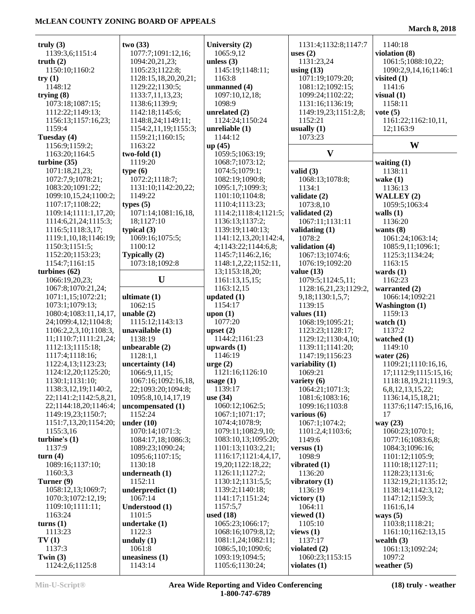÷

| truly $(3)$                                   | two(33)              | University (2)                               | 1131:4;1132:8;1147:7  | 1140:18               |
|-----------------------------------------------|----------------------|----------------------------------------------|-----------------------|-----------------------|
| 1139:3,6;1151:4                               | 1077:7;1091:12,16;   | 1065:9,12                                    | uses $(2)$            | violation (8)         |
| truth $(2)$                                   | 1094:20,21,23;       | unless $(3)$                                 | 1131:23,24            | 1061:5;1088:10,22;    |
| 1150:10;1160:2                                | 1105:23;1122:8;      | 1145:19;1148:11;                             | using $(13)$          | 1090:2,9,14,16;1146:1 |
| try $(1)$                                     | 1128:15,18,20,20,21; | 1163:8                                       | 1071:19;1079:20;      | visited $(1)$         |
| 1148:12                                       | 1129:22;1130:5;      | unmanned (4)                                 | 1081:12;1092:15;      | 1141:6                |
| trying (8)                                    | 1133:7,11,13,23;     | 1097:10,12,18;                               | 1099:24;1102:22;      | visual $(1)$          |
| 1073:18;1087:15;                              | 1138:6;1139:9;       | 1098:9                                       | 1131:16;1136:19;      | 1158:11               |
| 1112:22;1149:13;                              | 1142:18;1145:6;      | unrelated $(2)$                              | 1149:19,23;1151:2,8;  | vote $(5)$            |
| 1156:13;1157:16,23;                           | 1148:8,24;1149:11;   | 1124:24;1150:24                              | 1152:21               | 1161:22;1162:10,11,   |
| 1159:4                                        | 1154:2,11,19;1155:3; | unreliable $(1)$                             | usually $(1)$         | 12;1163:9             |
| Tuesday (4)                                   | 1159:21;1160:15;     | 1144:12                                      | 1073:23               |                       |
| 1156:9;1159:2;                                | 1163:22              | up(45)                                       |                       | W                     |
| 1163:20;1164:5                                | $two-fold(1)$        | 1059:5;1063:19;                              | $\mathbf{V}$          |                       |
| turbine (35)                                  | 1119:20              | 1068:7;1073:12;                              |                       | waiting $(1)$         |
| 1071:18,21,23;                                | type(6)              | 1074:5;1079:1;                               | valid $(3)$           | 1138:11               |
| 1072:7,9;1078:21;                             | 1072:2;1118:7;       | 1082:19;1090:8;                              | 1068:13;1078:8;       | wake $(1)$            |
| 1083:20;1091:22;                              | 1131:10;1142:20,22;  | 1095:1,7;1099:3;                             | 1134:1                | 1136:13               |
| 1099:10,15,24;1100:2;                         | 1149:22              | 1101:10;1104:8;                              | validate (2)          | WALLEY (2)            |
| 1107:17;1108:22;                              | types $(5)$          | 1110:4;1113:23;                              | 1073:8,10             | 1059:5;1063:4         |
|                                               | 1071:14;1081:16,18,  | 1114:2;1118:4;1121:5;                        | validated (2)         | walls $(1)$           |
| 1109:14;1111:1,17,20;<br>1114:6,21,24;1115:3; | 18;1127:10           | 1136:13;1137:2;                              | 1067:11;1131:11       | 1136:20               |
| 1116:5;1118:3,17;                             | typical $(3)$        | 1139:19;1140:13;                             |                       | wants $(8)$           |
|                                               |                      |                                              | validating $(1)$      |                       |
| 1119:1,10,18;1146:19;                         | 1069:16;1075:5;      | 1141:12,13,20;1142:4,<br>4;1143:22;1144:6,8; | 1078:2                | 1061:24;1063:14;      |
| 1150:3;1151:5;                                | 1100:12              |                                              | validation (4)        | 1085:9,11;1096:1;     |
| 1152:20;1153:23;                              | Typically (2)        | 1145:7;1146:2,16;                            | 1067:13;1074:6;       | 1125:3;1134:24;       |
| 1154:7;1161:15                                | 1073:18;1092:8       | 1148:1,2,22;1152:11,                         | 1076:19;1092:20       | 1163:15               |
| turbines (62)                                 |                      | 13;1153:18,20;                               | value $(13)$          | wards $(1)$           |
| 1066:19,20,23;                                | U                    | 1161:13,15,15;                               | 1079:5;1124:5,11;     | 1162:23               |
| 1067:8;1070:21,24;                            |                      | 1163:12,15                                   | 1128:16,21,23;1129:2, | warranted (2)         |
| 1071:1,15;1072:21;                            | ultimate $(1)$       | updated $(1)$                                | 9, 18; 1130: 1, 5, 7; | 1066:14;1092:21       |
| 1073:1;1079:13;                               | 1062:15              | 1154:17                                      | 1139:15               | <b>Washington</b> (1) |
| 1080:4;1083:11,14,17,                         | unable $(2)$         | upon $(1)$                                   | values $(11)$         | 1159:13               |
| 24;1099:4,12;1104:8;                          | 1115:12;1143:13      | 1077:20                                      | 1068:19;1095:21;      | watch $(1)$           |
| 1106:2,2,3,10;1108:3,                         | unavailable (1)      | upset $(2)$                                  | 1123:23;1128:17;      | 1137:2                |
| 11;1110:7;1111:21,24;                         | 1138:19              | 1144:2;1161:23                               | 1129:12;1130:4,10;    | watched $(1)$         |
| 1112:13;1115:18;                              | unbearable $(2)$     | upwards $(1)$                                | 1139:11;1141:20;      | 1149:10               |
| 1117:4;1118:16;                               | 1128:1,1             | 1146:19                                      | 1147:19;1156:23       | water $(26)$          |
| 1122:4,13;1123:23;                            | uncertainty (14)     | $\text{urge} (2)$                            | variability (1)       | 1109:21;1110:16,16,   |
| 1124:12,20;1125:20;                           | 1066:9,11,15;        | 1121:16;1126:10                              | 1069:21               | 17;1112:9;1115:15,16; |
| 1130:1;1131:10;                               | 1067:16;1092:16,18,  | usage(1)                                     | variety $(6)$         | 1118:18,19,21;1119:3, |
| 1138:3,12,19;1140:2,                          | 22;1093:20;1094:8;   | 1139:17                                      | 1064:21;1071:3;       | 6,8,12,13,15,22;      |
| 22;1141:2;1142:5,8,21,                        | 1095:8,10,14,17,19   | use $(34)$                                   | 1081:6;1083:16;       | 1136:14,15,18,21;     |
| 22;1144:18,20;1146:4;                         | uncompensated (1)    | 1060:12;1062:5;                              | 1099:16;1103:8        | 1137:6;1147:15,16,16, |
| 1149:19,23;1150:7;                            | 1152:24              | 1067:1;1071:17;                              | various (6)           | 17                    |
| 1151:7,13,20;1154:20;                         | under $(10)$         | 1074:4;1078:9;                               | 1067:1;1074:2;        | way (23)              |
| 1155:3,16                                     | 1070:14;1071:3;      | 1079:11;1082:9,10;                           | 1101:2,4;1103:6;      | 1060:23;1070:1;       |
| turbine's (1)                                 | 1084:17,18;1086:3;   | 1083:10,13;1095:20;                          | 1149:6                | 1077:16;1083:6,8;     |
| 1137:9                                        | 1089:23;1090:24;     | 1101:13;1103:2,21;                           | versus $(1)$          | 1084:3;1096:16;       |
| turn(4)                                       | 1095:6;1107:15;      | 1116:17;1121:4,4,17,                         | 1098:9                | 1101:12;1105:9;       |
| 1089:16;1137:10;                              | 1130:18              | 19,20;1122:18,22;                            | vibrated $(1)$        | 1110:18;1127:11;      |
| 1160:3,3                                      | underneath $(1)$     | 1126:11;1127:2;                              | 1136:20               | 1128:23;1131:6;       |
| Turner (9)                                    | 1152:11              | 1130:12;1131:5,5;                            | vibratory (1)         | 1132:19,21;1135:12;   |
| 1058:12,13;1069:7;                            | underpredict (1)     | 1139:2;1140:18;                              | 1136:19               | 1138:14;1142:3,12;    |
| 1070:3;1072:12,19;                            | 1067:14              | 1141:17;1151:24;                             | victory $(1)$         | 1147:12;1159:3;       |
| 1109:10;1111:11;                              | Understood (1)       | 1157:5,7                                     | 1064:11               | 1161:6,14             |
| 1163:24                                       | 1101:5               | used $(18)$                                  | viewed $(1)$          | ways $(5)$            |
| turns(1)                                      | undertake $(1)$      | 1065:23;1066:17;                             | 1105:10               | 1103:8;1118:21;       |
| 1113:23                                       | 1122:3               | 1068:16;1079:8,12;                           | views $(1)$           | 1161:10;1162:13,15    |
| TV(1)                                         | unduly $(1)$         | 1081:1,24;1082:11;                           | 1137:17               | wealth $(3)$          |
| 1137:3                                        | 1061:8               | 1086:5,10;1090:6;                            | violated $(2)$        | 1061:13;1092:24;      |
| Twin $(3)$                                    | uneasiness (1)       | 1093:19;1094:5;                              | 1060:23;1153:15       | 1097:2                |
| 1124:2,6;1125:8                               | 1143:14              | 1105:6;1130:24;                              | violates $(1)$        | weather $(5)$         |
|                                               |                      |                                              |                       |                       |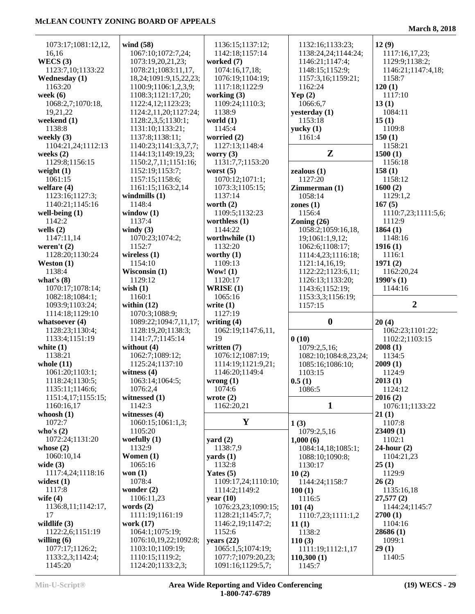| 1073:17;1081:12,12,         | wind (58)                            | 1136:15;1137:12;                        | 1132:16;1133:23;      | 12(9)               |
|-----------------------------|--------------------------------------|-----------------------------------------|-----------------------|---------------------|
| 16,16                       | 1067:10;1072:7,24;                   | 1142:18;1157:14                         | 1138:24,24;1144:24;   | 1117:16,17,23;      |
| WECS $(3)$                  | 1073:19,20,21,23;                    | worked $(7)$                            | 1146:21;1147:4;       | 1129:9;1138:2;      |
|                             |                                      | 1074:16,17,18;                          |                       |                     |
| 1123:7,10;1133:22           | 1078:21;1083:11,17,                  |                                         | 1148:15;1152:9;       | 1146:21;1147:4,18;  |
| <b>Wednesday</b> (1)        | 18,24;1091:9,15,22,23;               | 1076:19;1104:19;                        | 1157:3,16;1159:21;    | 1158:7              |
| 1163:20                     | 1100:9;1106:1,2,3,9;                 | 1117:18;1122:9                          | 1162:24               | 120(1)              |
| week $(6)$                  | 1108:3;1121:17,20;                   | working $(3)$                           | Yep $(2)$             | 1117:10             |
| 1068:2,7;1070:18,           | 1122:4,12;1123:23;                   | 1109:24;1110:3;                         | 1066:6,7              | 13(1)               |
|                             |                                      |                                         |                       |                     |
| 19,21,22                    | 1124:2,11,20;1127:24;                | 1138:9                                  | yesterday (1)         | 1084:11             |
| weekend $(1)$               | 1128:2,3,5;1130:1;                   | world $(1)$                             | 1153:18               | 15(1)               |
| 1138:8                      | 1131:10;1133:21;                     | 1145:4                                  | yucky(1)              | 1109:8              |
| weekly $(3)$                | 1137:8;1138:11;                      | worried (2)                             | 1161:4                | 150(1)              |
| 1104:21,24;1112:13          | 1140:23;1141:3,3,7,7;                | 1127:13;1148:4                          |                       | 1158:21             |
| weeks $(2)$                 | 1144:13;1149:19,23;                  | worry $(3)$                             | Z                     | 1500(1)             |
|                             |                                      |                                         |                       |                     |
| 1129:8;1156:15              | 1150:2,7,11;1151:16;                 | 1131:7,7;1153:20                        |                       | 1156:18             |
| weight $(1)$                | 1152:19;1153:7;                      | worst $(5)$                             | zealous(1)            | 158(1)              |
| 1061:15                     | 1157:15;1158:6;                      | 1070:12;1071:1;                         | 1127:20               | 1158:12             |
| welfare $(4)$               | 1161:15;1163:2,14                    | 1073:3;1105:15;                         | Zimmerman(1)          | 1600(2)             |
| 1123:16;1127:3;             | windmills $(1)$                      | 1137:14                                 | 1058:14               | 1129:1,2            |
|                             |                                      |                                         |                       |                     |
| 1140:21;1145:16             | 1148:4                               | worth $(2)$                             | zones $(1)$           | 167(5)              |
| well-being $(1)$            | window $(1)$                         | 1109:5;1132:23                          | 1156:4                | 1110:7,23;1111:5,6; |
| 1142:2                      | 1137:4                               | worthless $(1)$                         | Zoning $(26)$         | 1112:9              |
| wells $(2)$                 | windy $(3)$                          | 1144:22                                 | 1058:2;1059:16,18,    | 1864(1)             |
|                             |                                      |                                         |                       |                     |
| 1147:11,14                  | 1070:23;1074:2;                      | worthwhile (1)                          | 19;1061:1,9,12;       | 1148:16             |
| weren't $(2)$               | 1152:7                               | 1132:20                                 | 1062:6;1108:17;       | 1916(1)             |
| 1128:20;1130:24             | wireless $(1)$                       | worthy $(1)$                            | 1114:4,23;1116:18;    | 1116:1              |
| Weston $(1)$                | 1154:10                              | 1109:13                                 | 1121:14,16,19;        | 1971(2)             |
| 1138:4                      | Wisconsin $(1)$                      | Wow! $(1)$                              | 1122:22;1123:6,11;    | 1162:20,24          |
|                             | 1129:12                              |                                         |                       |                     |
| what's $(8)$                |                                      | 1120:17                                 | 1126:13;1133:20;      | 1990's $(1)$        |
| 1070:17;1078:14;            | wish $(1)$                           | WRISE $(1)$                             | 1143:6;1152:19;       | 1144:16             |
| 1082:18;1084:1;             | 1160:1                               | 1065:16                                 | 1153:3,3;1156:19;     |                     |
|                             |                                      |                                         |                       |                     |
|                             |                                      |                                         |                       |                     |
| 1093:9;1103:24;             | within $(12)$                        | write $(1)$                             | 1157:15               | $\overline{2}$      |
| 1114:18;1129:10             | 1070:3;1088:9;                       | 1127:19                                 |                       |                     |
| whatsoever $(4)$            | 1089:22;1094:7,11,17;                | writing $(4)$                           | $\boldsymbol{0}$      | 20(4)               |
| 1128:23;1130:4;             | 1128:19,20;1138:3;                   | 1062:19;1147:6,11,                      |                       | 1062:23;1101:22;    |
| 1133:4;1151:19              | 1141:7,7;1145:14                     | 19                                      | 0(10)                 | 1102:2;1103:15      |
|                             |                                      |                                         |                       |                     |
| white $(1)$                 | without (4)                          | written (7)                             | 1079:2,5,16;          | 2008(1)             |
| 1138:21                     | 1062:7;1089:12;                      | 1076:12;1087:19;                        | 1082:10;1084:8,23,24; | 1134:5              |
| whole $(11)$                | 1125:24;1137:10                      | 1114:19;1121:9,21;                      | 1085:16;1086:10;      | 2009(1)             |
| 1061:20;1103:1;             | witness $(4)$                        | 1146:20;1149:4                          | 1103:15               | 1124:9              |
| 1118:24;1130:5;             | 1063:14;1064:5;                      |                                         |                       |                     |
|                             |                                      | wrong(1)                                | 0.5(1)                | 2013(1)             |
| 1135:11;1146:6;             | 1076:2,4                             | 1074:6                                  | 1086:5                | 1124:12             |
| 1151:4,17;1155:15;          | witnessed $(1)$                      | wrote $(2)$                             |                       | 2016(2)             |
| 1160:16,17                  | 1142:3                               | 1162:20,21                              | $\mathbf{1}$          | 1076:11;1133:22     |
| whoosh $(1)$                | witnesses $(4)$                      |                                         |                       | 21(1)               |
| 1072:7                      | 1060:15;1061:1,3;                    | Y                                       | 1(3)                  | 1107:8              |
| who's $(2)$                 | 1105:20                              |                                         | 1079:2,5,16           | 23409(1)            |
|                             |                                      |                                         |                       |                     |
| 1072:24;1131:20             | woefully $(1)$                       | yard $(2)$                              | 1,000(6)              | 1102:1              |
| whose $(2)$                 | 1132:9                               | 1138:7,9                                | 1084:14,18;1085:1;    | $24$ -hour $(2)$    |
| 1060:10,14                  | Women $(1)$                          | $\mathbf{yards}\left(1\right)$          | 1088:10;1090:8;       | 1104:21,23          |
| wide $(3)$                  | 1065:16                              | 1132:8                                  | 1130:17               | 25(1)               |
| 1117:4,24;1118:16           | won $(1)$                            | Yates $(5)$                             | 10(2)                 | 1129:9              |
|                             |                                      |                                         |                       |                     |
| widest $(1)$                | 1078:4                               | 1109:17,24;1110:10;                     | 1144:24;1158:7        | 26(2)               |
| 1117:8                      | wonder $(2)$                         | 1114:2;1149:2                           | 100(1)                | 1135:16,18          |
| wife $(4)$                  | 1106:11,23                           | year $(10)$                             | 1116:5                | 27,577(2)           |
| 1136:8,11;1142:17,          | words $(2)$                          | 1076:23,23;1090:15;                     | 101(4)                | 1144:24;1145:7      |
| 17                          | 1111:19;1161:19                      | 1128:21;1145:7,7;                       | 1110:7,23;1111:1,2    | 2700(1)             |
| wildlife $(3)$              | work (17)                            | 1146:2, 19; 1147:2;                     |                       | 1104:16             |
|                             |                                      |                                         | 11(1)                 |                     |
| 1122:2,6;1151:19            | 1064:1;1075:19;                      | 1152:6                                  | 1138:2                | 28686 (1)           |
| willing $(6)$               | 1076:10,19,22;1092:8;                | years $(22)$                            | 110(3)                | 1099:1              |
| 1077:17;1126:2;             | 1103:10;1109:19;                     | 1065:1,5;1074:19;                       | 1111:19;1112:1,17     | 29(1)               |
| 1133:2,3;1142:4;<br>1145:20 | 1110:15;1119:2;<br>1124:20;1133:2,3; | 1077:7;1079:20,23;<br>1091:16;1129:5,7; | 110,300(1)<br>1145:7  | 1140:5              |